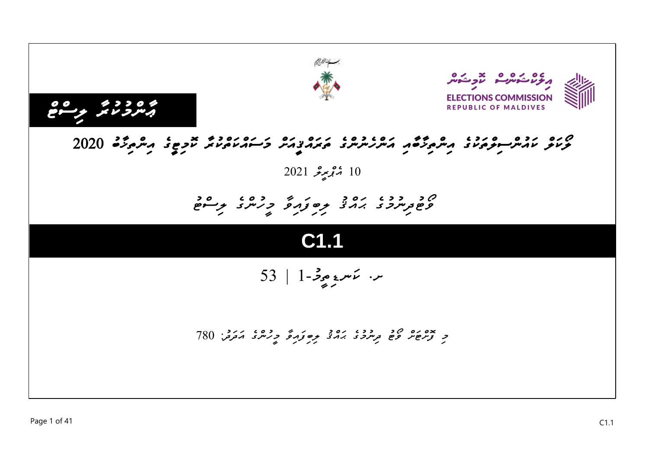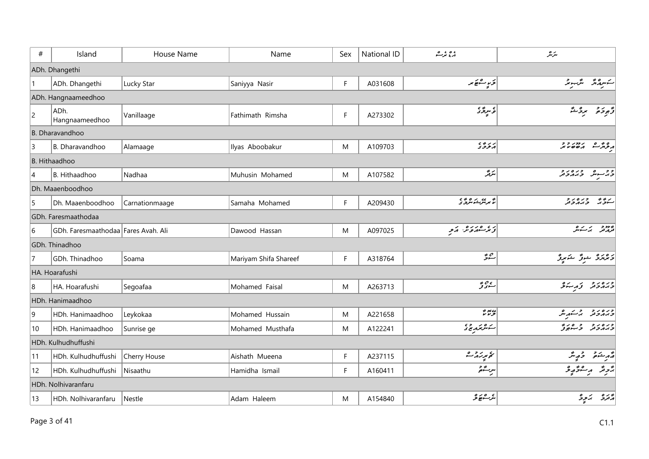| #  | Island                              | House Name     | Name                  | Sex | National ID | ، ه ، مرگ            | ىئرىتر                             |  |  |  |
|----|-------------------------------------|----------------|-----------------------|-----|-------------|----------------------|------------------------------------|--|--|--|
|    | ADh. Dhangethi                      |                |                       |     |             |                      |                                    |  |  |  |
|    | ADh. Dhangethi                      | Lucky Star     | Saniyya Nasir         | F   | A031608     | ځه په شوکایر         | سكسرة مراكب مترجو                  |  |  |  |
|    | ADh. Hangnaameedhoo                 |                |                       |     |             |                      |                                    |  |  |  |
| 2  | ADh.<br>Hangnaameedhoo              | Vanillaage     | Fathimath Rimsha      | F   | A273302     | ء<br>حرسپوگری        | ژوده بروڅ                          |  |  |  |
|    | B. Dharavandhoo                     |                |                       |     |             |                      |                                    |  |  |  |
| 3  | B. Dharavandhoo                     | Alamaage       | Ilyas Aboobakur       | M   | A109703     | ر ر » ،<br>پرنوبری   | 77777<br>ەر ۋە ئە                  |  |  |  |
|    | B. Hithaadhoo                       |                |                       |     |             |                      |                                    |  |  |  |
| 4  | B. Hithaadhoo                       | Nadhaa         | Muhusin Mohamed       | M   | A107582     | ىترەتر               | כל הים כלפריכ<br>כל היות כלולכת    |  |  |  |
|    | Dh. Maaenboodhoo                    |                |                       |     |             |                      |                                    |  |  |  |
| 5  | Dh. Maaenboodhoo                    | Carnationmaage | Samaha Mohamed        | F   | A209430     | ر<br>ما برېتون مرد د | و ر ه ر و<br>تر پر ژ تر<br>سترقيقه |  |  |  |
|    | GDh. Faresmaathodaa                 |                |                       |     |             |                      |                                    |  |  |  |
| 6  | GDh. Faresmaathodaa Fares Avah. Ali |                | Dawood Hassan         | M   | A097025     | تره ورزه ممو         | پروو پر سکاهل<br>فرمانو بر سکاهل   |  |  |  |
|    | GDh. Thinadhoo                      |                |                       |     |             |                      |                                    |  |  |  |
|    | GDh. Thinadhoo                      | Soama          | Mariyam Shifa Shareef | F   | A318764     | مشوشح                | ر ورو <sub>شو</sub> ژ ځېږو         |  |  |  |
|    | HA. Hoarafushi                      |                |                       |     |             |                      |                                    |  |  |  |
| 8  | HA. Hoarafushi                      | Segoafaa       | Mohamed Faisal        | M   | A263713     | ے جو تو              | ورەرو تەرىنو                       |  |  |  |
|    | HDh. Hanimaadhoo                    |                |                       |     |             |                      |                                    |  |  |  |
| 9  | HDh. Hanimaadhoo                    | Leykokaa       | Mohamed Hussain       | M   | A221658     | در پر پر<br>مورد ر   | ورەرو ورىدىگ                       |  |  |  |
| 10 | HDh. Hanimaadhoo                    | Sunrise ge     | Mohamed Musthafa      | M   | A122241     | ر مرکز د د د د       | ورەر د ەرد<br>وبەرونر وب           |  |  |  |
|    | HDh. Kulhudhuffushi                 |                |                       |     |             |                      |                                    |  |  |  |
| 11 | HDh. Kulhudhuffushi                 | Cherry House   | Aishath Mueena        | F   | A237115     | ىج بىر ئەرمىگە       | وكرشكو وكرس                        |  |  |  |
| 12 | HDh. Kulhudhuffushi                 | Nisaathu       | Hamidha Ismail        | F   | A160411     | سرڪو                 | גיבת השבהב                         |  |  |  |
|    | HDh. Nolhivaranfaru                 |                |                       |     |             |                      |                                    |  |  |  |
| 13 | HDh. Nolhivaranfaru                 | Nestle         | Adam Haleem           | M   | A154840     | ى مەر مۇ ئو          | پرو پروو                           |  |  |  |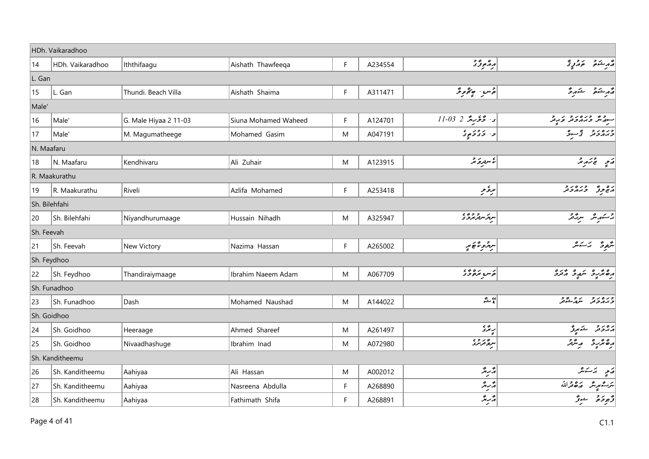|            | HDh. Vaikaradhoo |                       |                      |           |         |                                     |                            |
|------------|------------------|-----------------------|----------------------|-----------|---------|-------------------------------------|----------------------------|
| 14         | HDh. Vaikaradhoo | Iththifaagu           | Aishath Thawfeeqa    | F         | A234554 | ە مەم ۋى                            | مەر شەم ئەمرىرىگى          |
| L. Gan     |                  |                       |                      |           |         |                                     |                            |
| 15         | L. Gan           | Thundi. Beach Villa   | Aishath Shaima       | F         | A311471 | پرسو په <i>پوهو</i> مځه             | مەرىشقى ئىشىرقى            |
| Male'      |                  |                       |                      |           |         |                                     |                            |
| 16         | Male'            | G. Male Hiyaa 2 11-03 | Siuna Mohamed Waheed | F         | A124701 | $11-03$ $2\frac{2}{5}$ ، د د د د 11 | سوره وره د و د د و         |
| 17         | Male'            | M. Magumatheege       | Mohamed Gasim        | M         | A047191 | ر د در در م<br>د ۱ د د د وړ         | 37072                      |
|            | N. Maafaru       |                       |                      |           |         |                                     |                            |
| 18         | N. Maafaru       | Kendhivaru            | Ali Zuhair           | ${\sf M}$ | A123915 | ء سر <sub>مرحہ</sub> تر             | أوسمح سيرمر                |
|            | R. Maakurathu    |                       |                      |           |         |                                     |                            |
| 19         | R. Maakurathu    | Riveli                | Azlifa Mohamed       | F         | A253418 | برؤمر                               | أرجع ومحمدة المحمدة        |
|            | Sh. Bilehfahi    |                       |                      |           |         |                                     |                            |
| 20         | Sh. Bilehfahi    | Niyandhurumaaqe       | Hussain Nihadh       | ${\sf M}$ | A325947 | سرکر سرچر شرح ک                     | برستهر شهر سربر تقر        |
| Sh. Feevah |                  |                       |                      |           |         |                                     |                            |
| 21         | Sh. Feevah       | New Victory           | Nazima Hassan        | F         | A265002 | مبرقره ره کامپر                     | لترفوق الكاسكانس           |
|            | Sh. Feydhoo      |                       |                      |           |         |                                     |                            |
| 22         | Sh. Feydhoo      | Thandiraiymaage       | Ibrahim Naeem Adam   | M         | A067709 | <br>  په سوېږې د <sup>پ</sup>       | رەپرىي شرك مەدر            |
|            | Sh. Funadhoo     |                       |                      |           |         |                                     |                            |
| 23         | Sh. Funadhoo     | Dash                  | Mohamed Naushad      | ${\sf M}$ | A144022 | پی ہے                               | ورەرو رومۇ                 |
|            | Sh. Goidhoo      |                       |                      |           |         |                                     |                            |
| 24         | Sh. Goidhoo      | Heeraage              | Ahmed Shareef        | M         | A261497 | ر پوځ<br>په مر                      | رەرو خىمرۇ                 |
| 25         | Sh. Goidhoo      | Nivaadhashuge         | Ibrahim Inad         | M         | A072980 | بر د د د ،<br>برغ تر نر د           | مەھترىرى مەشرىر            |
|            | Sh. Kanditheemu  |                       |                      |           |         |                                     |                            |
| 26         | Sh. Kanditheemu  | Aahiyaa               | Ali Hassan           | ${\sf M}$ | A002012 | ومريز                               | أەيج برسكىش                |
| 27         | Sh. Kanditheemu  | Aahiyaa               | Nasreena Abdulla     | F         | A268890 | پر بر<br>مس                         | تترعي تقريبتر التكفير الله |
| 28         | Sh. Kanditheemu  | Aahiyaa               | Fathimath Shifa      | F         | A268891 | وتربر                               | وَجوحَة شووَّ              |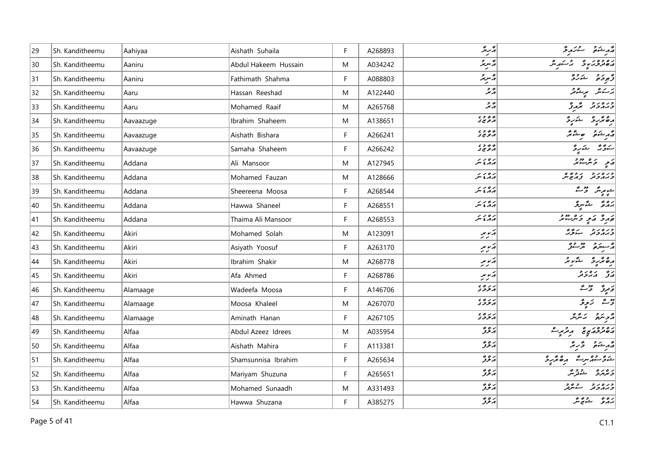| 29 | Sh. Kanditheemu | Aahiyaa   | Aishath Suhaila      | F         | A268893 | رمعر پر                 | و ديگر ديگر ديگر<br>د ديگر ديگر ديگر                                                                                                                                                                                                                                                                                                                                                                     |
|----|-----------------|-----------|----------------------|-----------|---------|-------------------------|----------------------------------------------------------------------------------------------------------------------------------------------------------------------------------------------------------------------------------------------------------------------------------------------------------------------------------------------------------------------------------------------------------|
| 30 | Sh. Kanditheemu | Aaniru    | Abdul Hakeem Hussain | M         | A034242 | رمسر بر                 | ره وه ره د و در ه د                                                                                                                                                                                                                                                                                                                                                                                      |
| 31 | Sh. Kanditheemu | Aaniru    | Fathimath Shahma     | F         | A088803 | لتمسر بخه               | توجدة خدرة                                                                                                                                                                                                                                                                                                                                                                                               |
| 32 | Sh. Kanditheemu | Aaru      | Hassan Reeshad       | M         | A122440 | پر پر                   | برك مر مشقر                                                                                                                                                                                                                                                                                                                                                                                              |
| 33 | Sh. Kanditheemu | Aaru      | Mohamed Raaif        | ${\sf M}$ | A265768 | پر پر                   | ورەر ئەر                                                                                                                                                                                                                                                                                                                                                                                                 |
| 34 | Sh. Kanditheemu | Aavaazuge | Ibrahim Shaheem      | M         | A138651 | ږ د د ،<br>د تو م  ې    | رە ئەر ئىرگ                                                                                                                                                                                                                                                                                                                                                                                              |
| 35 | Sh. Kanditheemu | Aavaazuge | Aishath Bishara      | F         | A266241 | پر پر د م<br>  پر پوځ ي |                                                                                                                                                                                                                                                                                                                                                                                                          |
| 36 | Sh. Kanditheemu | Aavaazuge | Samaha Shaheem       | F         | A266242 | ږ د د ،<br>پرو مي د     | $\begin{bmatrix} 0 & \frac{1}{2} & \frac{1}{2} & \frac{1}{2} & \frac{1}{2} & \frac{1}{2} & \frac{1}{2} & \frac{1}{2} & \frac{1}{2} & \frac{1}{2} & \frac{1}{2} & \frac{1}{2} & \frac{1}{2} & \frac{1}{2} & \frac{1}{2} & \frac{1}{2} & \frac{1}{2} & \frac{1}{2} & \frac{1}{2} & \frac{1}{2} & \frac{1}{2} & \frac{1}{2} & \frac{1}{2} & \frac{1}{2} & \frac{1}{2} & \frac{1}{2} & \frac{1}{2} & \frac{$ |
| 37 | Sh. Kanditheemu | Addana    | Ali Mansoor          | ${\sf M}$ | A127945 | بره بر بر               | $\begin{bmatrix} 2 & 7 & 0 & 0 & 0 & 0 \\ 0 & 0 & 0 & 0 & 0 & 0 \\ 0 & 0 & 0 & 0 & 0 & 0 \\ 0 & 0 & 0 & 0 & 0 & 0 \\ 0 & 0 & 0 & 0 & 0 & 0 \\ 0 & 0 & 0 & 0 & 0 & 0 \\ 0 & 0 & 0 & 0 & 0 & 0 \\ 0 & 0 & 0 & 0 & 0 & 0 \\ 0 & 0 & 0 & 0 & 0 & 0 \\ 0 & 0 & 0 & 0 & 0 & 0 & 0 \\ 0 & 0 & 0 & 0 & 0 & 0 & 0 \\ 0 & 0 & 0 & $                                                                                |
| 38 | Sh. Kanditheemu | Addana    | Mohamed Fauzan       | ${\sf M}$ | A128666 | پره بړند                | כלסנכ נרשית                                                                                                                                                                                                                                                                                                                                                                                              |
| 39 | Sh. Kanditheemu | Addana    | Sheereena Moosa      | F         | A268544 | بره بر بر               | $\begin{array}{cc} \hline 2 & 2 & 2 \\ 2 & 2 & 2 \\ 2 & 2 & 2 \end{array}$                                                                                                                                                                                                                                                                                                                               |
| 40 | Sh. Kanditheemu | Addana    | Hawwa Shaneel        | F         | A268551 | بره بړند<br>مرکز مر     | رەپچە سەمبرى                                                                                                                                                                                                                                                                                                                                                                                             |
| 41 | Sh. Kanditheemu | Addana    | Thaima Ali Mansoor   | F         | A268553 | بره بر بر               |                                                                                                                                                                                                                                                                                                                                                                                                          |
| 42 | Sh. Kanditheemu | Akiri     | Mohamed Solah        | ${\sf M}$ | A123091 | مزمونير                 | ورەر دىرى<br>ۋىدەر ئەنگەر                                                                                                                                                                                                                                                                                                                                                                                |
| 43 | Sh. Kanditheemu | Akiri     | Asiyath Yoosuf       | F         | A263170 | وسيسمه                  | انج سور حد حده و حرم انجاز<br>انگر سور مرد حرم انگر                                                                                                                                                                                                                                                                                                                                                      |
| 44 | Sh. Kanditheemu | Akiri     | Ibrahim Shakir       | ${\sf M}$ | A268778 | وسبر                    |                                                                                                                                                                                                                                                                                                                                                                                                          |
| 45 | Sh. Kanditheemu | Akiri     | Afa Ahmed            | F         | A268786 | وسوسر                   | رو دورو                                                                                                                                                                                                                                                                                                                                                                                                  |
| 46 | Sh. Kanditheemu | Alamaage  | Wadeefa Moosa        | F         | A146706 | ر ر » ><br>پرنوبری      | ديسته<br>ىز بەرگە<br>مەسىرىگە                                                                                                                                                                                                                                                                                                                                                                            |
| 47 | Sh. Kanditheemu | Alamaage  | Moosa Khaleel        | M         | A267070 | برژی                    | $\frac{1}{2}$                                                                                                                                                                                                                                                                                                                                                                                            |
| 48 | Sh. Kanditheemu | Alamaage  | Aminath Hanan        | F         | A267105 | پر پر پر<br>پر تر ژ     | أأدبتهم المكرمر                                                                                                                                                                                                                                                                                                                                                                                          |
| 49 | Sh. Kanditheemu | Alfaa     | Abdul Azeez Idrees   | ${\sf M}$ | A035954 | پر ه په                 | גם בפגם בי תבעים                                                                                                                                                                                                                                                                                                                                                                                         |
| 50 | Sh. Kanditheemu | Alfaa     | Aishath Mahira       | F         | A113381 | پره پي                  |                                                                                                                                                                                                                                                                                                                                                                                                          |
| 51 | Sh. Kanditheemu | Alfaa     | Shamsunnisa Ibrahim  | F         | A265634 | روپژ                    |                                                                                                                                                                                                                                                                                                                                                                                                          |
| 52 | Sh. Kanditheemu | Alfaa     | Mariyam Shuzuna      | F         | A265651 | برویژ                   | رەرە شەرش                                                                                                                                                                                                                                                                                                                                                                                                |
| 53 | Sh. Kanditheemu | Alfaa     | Mohamed Sunaadh      | ${\sf M}$ | A331493 | پر ویچ                  | و ر ه ر د<br>تر پر ژ تر                                                                                                                                                                                                                                                                                                                                                                                  |
| 54 | Sh. Kanditheemu | Alfaa     | Hawwa Shuzana        | F         | A385275 | پروژ                    | رەپ <sub>ە س</sub> ەرى<br>بەرە سىرى                                                                                                                                                                                                                                                                                                                                                                      |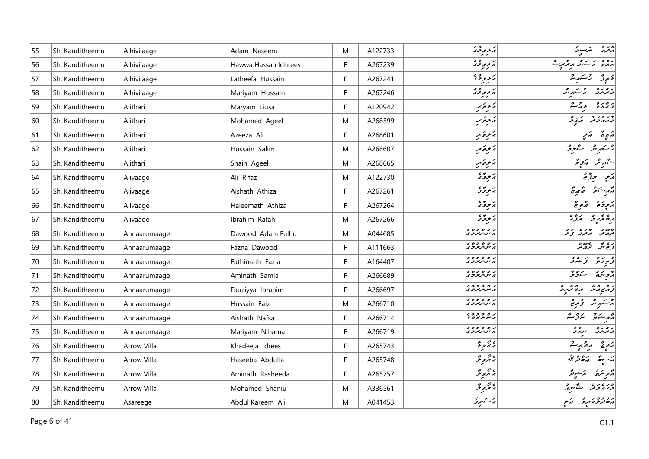| 55 | Sh. Kanditheemu | Alhivilaage        | Adam Naseem          | M         | A122733 | <br>  پر در و و د                       | أرتره ترجو                                           |
|----|-----------------|--------------------|----------------------|-----------|---------|-----------------------------------------|------------------------------------------------------|
| 56 | Sh. Kanditheemu | Alhivilaage        | Hawwa Hassan Idhrees | F         | A267239 | د د و ژَگ<br>د ر                        | رەپر<br>بەرە بەسەس مەمىرىدە                          |
| 57 | Sh. Kanditheemu | Alhivilaage        | Latheefa Hussain     | F         | A267241 | ر<br>پروونژی                            | ىمبور ئەسىر                                          |
| 58 | Sh. Kanditheemu | Alhivilaage        | Mariyam Hussain      | F         | A267246 | د روځ د<br>مرم                          | جە <b>سە</b> ر بىر<br>ر ه ر ه<br>د بربر د            |
| 59 | Sh. Kanditheemu | Alithari           | Maryam Liusa         | F         | A120942 | لأحرة مر                                | وبروره ورقم                                          |
| 60 | Sh. Kanditheemu | Alithari           | Mohamed Ageel        | M         | A268599 | وكمعرضو                                 | ورەرو كەنى ئا                                        |
| 61 | Sh. Kanditheemu | Alithari           | Azeeza Ali           | F         | A268601 | وكمعرضو                                 | أَمَنِي ثَمَّ أَمَنِي                                |
| 62 | Sh. Kanditheemu | Alithari           | Hussain Salim        | ${\sf M}$ | A268607 | وكمعرض                                  | ر مسکور شرور مسکوری<br>مسلم                          |
| 63 | Sh. Kanditheemu | Alithari           | Shain Ageel          | ${\sf M}$ | A268665 | وكمعرضو                                 | شەرش كەنچى                                           |
| 64 | Sh. Kanditheemu | Alivaage           | Ali Rifaz            | M         | A122730 | پروژه                                   | أوسمع سرقر تبح                                       |
| 65 | Sh. Kanditheemu | Alivaage           | Aishath Athiza       | F         | A267261 | پر پر پر                                | پ <sup>و</sup> پر ځوه<br>په ک<br>وشجيح               |
| 66 | Sh. Kanditheemu | Alivaage           | Haleemath Athiza     | F         | A267264 | پر وي                                   | رچينج<br>برويزة                                      |
| 67 | Sh. Kanditheemu | Alivaage           | Ibrahim Rafah        | ${\sf M}$ | A267266 | پر یو ی                                 | ە ھەترىر <sup>ى</sup><br>ر پر ه<br>برو بر            |
| 68 | Sh. Kanditheemu | Annaarumaage       | Dawood Adam Fulhu    | M         | A044685 | ر ه پر و پر ،<br>مرس پر پر د            | پر دو و<br>تو <sub>م</sub> هر تو<br>پره وو           |
| 69 | Sh. Kanditheemu | Annaarumaage       | Fazna Dawood         | F         | A111663 | ر ه پر و پر ،<br>مرس پر پر د            | ىر ەيگە<br>بونى ئىگر<br>پر دو و.<br>تر <i>هر</i> تعر |
| 70 | Sh. Kanditheemu | Annaarumaage       | Fathimath Fazla      | F         | A164407 | ر ه په وو ،<br>مرس پر پرو د             | وحجوحهم<br>تۇشىۋ                                     |
| 71 | Sh. Kanditheemu | Annaarumaage       | Aminath Samla        | F         | A266689 | ر ه په وو ،<br>مرس پر پر و              | سەۋىۋ<br>ۇ جە ئىدۇ                                   |
| 72 | Sh. Kanditheemu | Annaarumaage       | Fauziyya Ibrahim     | F         | A266697 | ر ه و و و ،<br>پرس سر پر و ی            | ۇر <sup>م</sup> ورىگە<br>برە ئۆرۈ                    |
| 73 | Sh. Kanditheemu | Annaarumaage       | Hussain Faiz         | ${\sf M}$ | A266710 | ر ه و و و ،<br>د سرسربرو د              | تر مر ح<br>جر س <sub>ک</sub> ر مر                    |
| 74 | Sh. Kanditheemu | Annaarumaage       | Aishath Nafsa        | F         | A266714 | ر ه ۶ و ۶ و<br>مرس سر پر <del>ر</del> و | و مر د شو د<br>مرم شو ه<br>سرویځ                     |
| 75 | Sh. Kanditheemu | Annaarumaage       | Mariyam Nihama       | F         | A266719 | ره پر و د ،<br>  په سرسرو د             | ر ه ر ه<br><del>و</del> بربرو<br>سورچ                |
| 76 | Sh. Kanditheemu | Arrow Villa        | Khadeeja Idrees      | F         | A265743 | وحروقر                                  | زَمْرِيحٌ ۖ رِتْرَبِّرِ ۖ                            |
| 77 | Sh. Kanditheemu | <b>Arrow Villa</b> | Haseeba Abdulla      | F         | A265748 | ە ج <sub>ى</sub> ھومۇ                   | برە تراللە<br>برَسعة                                 |
| 78 | Sh. Kanditheemu | <b>Arrow Villa</b> | Aminath Rasheeda     | F         | A265757 | ە جەھرىچە<br>مەسرەپەتىر                 | ە ئەسىرە<br>ىمەئىسە قە                               |
| 79 | Sh. Kanditheemu | <b>Arrow Villa</b> | Mohamed Shaniu       | M         | A336561 | لمرجوقه                                 | و ر ه ر د<br>تر پر ژ تر<br>شەھر                      |
| 80 | Sh. Kanditheemu | Asareege           | Abdul Kareem Ali     | M         | A041453 | ەرسە يېرى                               | ره ده درو کرد                                        |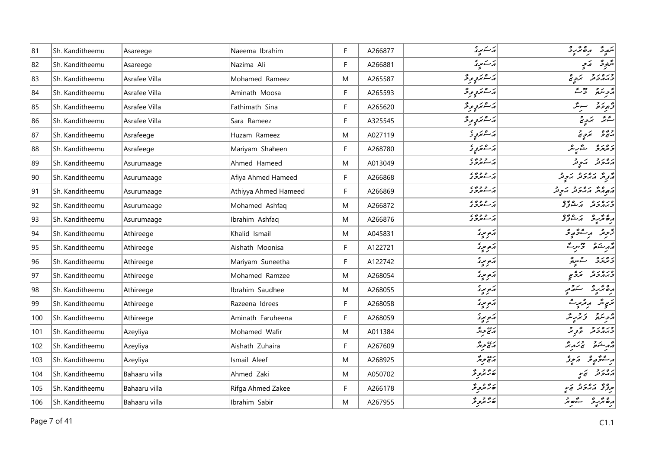| 81  | Sh. Kanditheemu | Asareege      | Naeema Ibrahim       | F  | A266877 | ىر سەبىرى<br>كەنسىسىيەت                 | ەر ھەئرىر 2<br>ر<br>سُمەرىخ<br>مە                                                                                        |
|-----|-----------------|---------------|----------------------|----|---------|-----------------------------------------|--------------------------------------------------------------------------------------------------------------------------|
| 82  | Sh. Kanditheemu | Asareege      | Nazima Ali           | F. | A266881 | وَسَوَمِرِهِ                            | سمَّغ <sub>ُ</sub> رِدَّ<br>ەئىيە                                                                                        |
| 83  | Sh. Kanditheemu | Asrafee Villa | Mohamed Rameez       | M  | A265587 | لەشتىروقى                               | - <i>درور</i> و<br>دېروگر<br>بئرجرهم                                                                                     |
| 84  | Sh. Kanditheemu | Asrafee Villa | Aminath Moosa        | F  | A265593 | لەشقىروقە                               | دو مشر<br>أأروسرة                                                                                                        |
| 85  | Sh. Kanditheemu | Asrafee Villa | Fathimath Sina       | F  | A265620 | ئەس <sup>ى</sup> دىمۇ ھ <sub>ە</sub> ئى | و مرد<br>ترجو حرمو<br>سەمگر                                                                                              |
| 86  | Sh. Kanditheemu | Asrafee Villa | Sara Rameez          | F  | A325545 | ە سەئدى <sub>ر جە</sub> مۇ              | $\begin{array}{cc} \hline \downarrow & \downarrow \uparrow \\ \downarrow & \downarrow \downarrow \downarrow \end{array}$ |
| 87  | Sh. Kanditheemu | Asrafeege     | Huzam Rameez         | M  | A027119 | وسنعردي                                 | $\frac{2}{x}$ $\frac{2}{x}$ $\frac{2}{x}$                                                                                |
| 88  | Sh. Kanditheemu | Asrafeege     | Mariyam Shaheen      | F  | A268780 | ىر ھەترى <sub>رى</sub>                  | ڪ پر مگر<br>ر ه ر ه<br>تر <del>ب</del> ر بر                                                                              |
| 89  | Sh. Kanditheemu | Asurumaage    | Ahmed Hameed         | M  | A013049 | ر و و » ،<br>د سنورۍ                    | دەرو بەدە                                                                                                                |
| 90  | Sh. Kanditheemu | Asurumaage    | Afiya Ahmed Hameed   | F  | A266868 | بر و و و »<br>پر سوپرو د                | أو و رور د رو د                                                                                                          |
| 91  | Sh. Kanditheemu | Asurumaage    | Athiyya Ahmed Hameed | F. | A266869 | ر و و د »<br>پرستوری                    | גם מי מיני הכל                                                                                                           |
| 92  | Sh. Kanditheemu | Asurumaage    | Mohamed Ashfaq       | M  | A266872 | ر و و د و<br>پرسه مور د                 | ورەرو كەشۇر.<br>جەمەدىر كەشۇرى                                                                                           |
| 93  | Sh. Kanditheemu | Asurumaage    | Ibrahim Ashfaq       | M  | A266876 | ر و و د »<br>پرستوری                    | مەھرىرە كەشىرى                                                                                                           |
| 94  | Sh. Kanditheemu | Athireege     | Khalid Ismail        | M  | A045831 | ړ<br>مرموسونه                           | تزوقر برعوقروعه                                                                                                          |
| 95  | Sh. Kanditheemu | Athireege     | Aishath Moonisa      | F  | A122721 | ر<br>مرمو مور                           | أشهر شكاتها والمستحسن والمستكر                                                                                           |
| 96  | Sh. Kanditheemu | Athireege     | Mariyam Suneetha     | F  | A122742 | <br>  در هو مورځ                        | גפגם הייתו                                                                                                               |
| 97  | Sh. Kanditheemu | Athireege     | Mohamed Ramzee       | M  | A268054 | <br>  مرموسور                           | ورەر دەر كە                                                                                                              |
| 98  | Sh. Kanditheemu | Athireege     | Ibrahim Saudhee      | M  | A268055 | لرَهومورَ                               | ەر ھەترىر <i>2</i><br>ستهرمو                                                                                             |
| 99  | Sh. Kanditheemu | Athireege     | Razeena Idrees       | F  | A268058 | ر<br>د حومور                            | ىرىم شەر بەرگىرىشى<br>مەنبە شەر بەرگە                                                                                    |
| 100 | Sh. Kanditheemu | Athireege     | Aminath Faruheena    | F  | A268059 | لأحومونه<br>كمسيرة                      | ۇرسىم ئەربىر                                                                                                             |
| 101 | Sh. Kanditheemu | Azeyliya      | Mohamed Wafir        | M  | A011384 | ريم مرتز                                | ورەرو ئەر                                                                                                                |
| 102 | Sh. Kanditheemu | Azeyliya      | Aishath Zuhaira      | F  | A267609 | ر رہے<br>مربح <del>م</del> رمر          | أقهر منشقى تمخ ترمرنتمر                                                                                                  |
| 103 | Sh. Kanditheemu | Azeyliya      | Ismail Aleef         | M  | A268925 | <br>  پرسمج محرچر                       | أراعتم ويحمي وكمبيوثر                                                                                                    |
| 104 | Sh. Kanditheemu | Bahaaru villa | Ahmed Zaki           | M  | A050702 | ەربىرە ۋ                                |                                                                                                                          |
| 105 | Sh. Kanditheemu | Bahaaru villa | Rifga Ahmed Zakee    | F  | A266178 | پر مو <sub>ع</sub> و پژ                 | روو د دورو در<br>مرکز محمد محمد                                                                                          |
| 106 | Sh. Kanditheemu | Bahaaru villa | Ibrahim Sabir        | M  | A267955 | ە ئەترەپچە                              | أرەنزىر بەھىر                                                                                                            |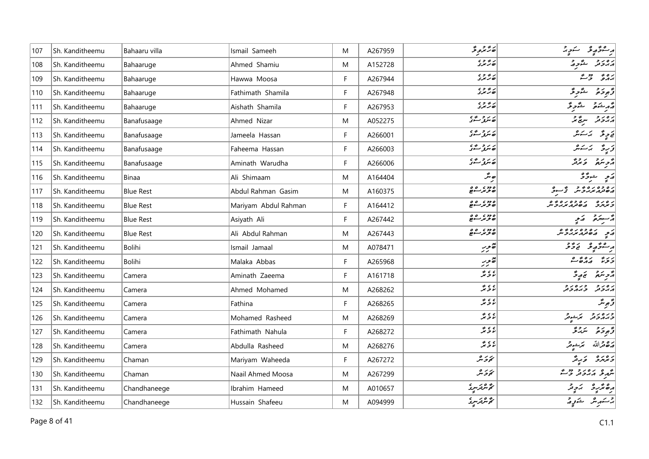| 107 | Sh. Kanditheemu | Bahaaru villa    | Ismail Sameeh        | M  | A267959 | ە ئەترە بۇ                             | و جو ديگر ديگر                                                    |
|-----|-----------------|------------------|----------------------|----|---------|----------------------------------------|-------------------------------------------------------------------|
| 108 | Sh. Kanditheemu | Bahaaruge        | Ahmed Shamiu         | M  | A152728 | ر بر و ،<br>ن تر پور                   | رەرو ئەدە                                                         |
| 109 | Sh. Kanditheemu | Bahaaruge        | Hawwa Moosa          | F  | A267944 | ر پر و ،<br>ن <i>خ</i> تر <sub>ک</sub> | رەپچ<br>دو مح                                                     |
| 110 | Sh. Kanditheemu | Bahaaruge        | Fathimath Shamila    | F  | A267948 | ر پر و ،<br>ن <i>ن تر</i> د            | ا تو جو چر جر<br>ا<br>ڪ <sub>تر</sub> ئر                          |
| 111 | Sh. Kanditheemu | Bahaaruge        | Aishath Shamila      | F  | A267953 | ر پر و ،<br>ن <i>ه ر</i> گری           | وگرېشو څوگو                                                       |
| 112 | Sh. Kanditheemu | Banafusaage      | Ahmed Nizar          | M  | A052275 | ە ئەرىپى ئە                            | رەرو سۆر                                                          |
| 113 | Sh. Kanditheemu | Banafusaage      | Jameela Hassan       | F  | A266001 | ە ئىردىقىي                             | قاورگا انرىكىش                                                    |
| 114 | Sh. Kanditheemu | Banafusaage      | Faheema Hassan       | F  | A266003 | ە ئىرۇپىيى                             | ۇرۇ بەسەھ                                                         |
| 115 | Sh. Kanditheemu | Banafusaage      | Aminath Warudha      | F  | A266006 | ر رو و و ،                             | أثر حريرة<br>ر و پر<br>ح مرتر                                     |
| 116 | Sh. Kanditheemu | Binaa            | Ali Shimaam          | M  | A164404 | ھ سگر                                  | أركمتم والمحافرة                                                  |
| 117 | Sh. Kanditheemu | <b>Blue Rest</b> | Abdul Rahman Gasim   | M  | A160375 | ە دە يەرە<br>ھىرىرىسى                  | رە دەرە دەپرىتى ب                                                 |
| 118 | Sh. Kanditheemu | <b>Blue Rest</b> | Mariyam Abdul Rahman | F. | A164412 | ە دو ۽ مەھ                             | ر ه د ه ر ه د ه<br>پره تر پر برگ<br>ر ه ر ه<br><del>د</del> بربرگ |
| 119 | Sh. Kanditheemu | <b>Blue Rest</b> | Asiyath Ali          | F  | A267442 | ە دە يەرە<br>ھۆسرىسى                   | أممسوره وكمعي                                                     |
| 120 | Sh. Kanditheemu | <b>Blue Rest</b> | Ali Abdul Rahman     | M  | A267443 | ە دە يەرە<br>ھۈبرىسوغ                  | C COLOROL CO                                                      |
| 121 | Sh. Kanditheemu | <b>Bolihi</b>    | Ismail Jamaal        | M  | A078471 | پيور<br>پر ر                           | برڪوڻي و چوڻو                                                     |
| 122 | Sh. Kanditheemu | <b>Bolihi</b>    | Malaka Abbas         | F  | A265968 | پور<br>حوړ                             | 2501<br>رزه                                                       |
| 123 | Sh. Kanditheemu | Camera           | Aminath Zaeema       | F  | A161718 | ى ئەلتە<br>مارىخە                      | مُتَحِسَمُ بِمَهْرَ                                               |
| 124 | Sh. Kanditheemu | Camera           | Ahmed Mohamed        | M  | A268262 | ى ئەلتە<br>مارىخە                      | و رە ر د<br><i>د ب</i> رگرىز<br>ر ه ر د<br>پر ژونر                |
| 125 | Sh. Kanditheemu | Camera           | Fathina              | F  | A268265 | ى ئەلىر<br>مارىخە                      | ۇ بۇ بىگە                                                         |
| 126 | Sh. Kanditheemu | Camera           | Mohamed Rasheed      | M  | A268269 | ى ئەيۋ                                 | وره رو بر شوتر<br> وبرووتر برشوتر                                 |
| 127 | Sh. Kanditheemu | Camera           | Fathimath Nahula     | F  | A268272 | ى ئەلتە<br>مارىخە                      | وٌ وِ دَوَ مَرَ وَ وَ                                             |
| 128 | Sh. Kanditheemu | Camera           | Abdulla Rasheed      | M  | A268276 | ، ، د بر                               | بره و الله محرشوند<br>صصرالله محرشوند                             |
| 129 | Sh. Kanditheemu | Chaman           | Mariyam Waheeda      | F  | A267272 | ىئەر ھ                                 | وحروف وبرقر                                                       |
| 130 | Sh. Kanditheemu | Chaman           | Naail Ahmed Moosa    | M  | A267299 | ىئەر ھ                                 | شرو ړه ده د و                                                     |
| 131 | Sh. Kanditheemu | Chandhaneege     | Ibrahim Hameed       | M  | A010657 | ىچە ئىرتى <i>ر ئىر</i> ىد              |                                                                   |
| 132 | Sh. Kanditheemu | Chandhaneege     | Hussain Shafeeu      | M  | A094999 | ىچە ئىرتى <i>رىنى</i> گە               | جر شهر شکوری                                                      |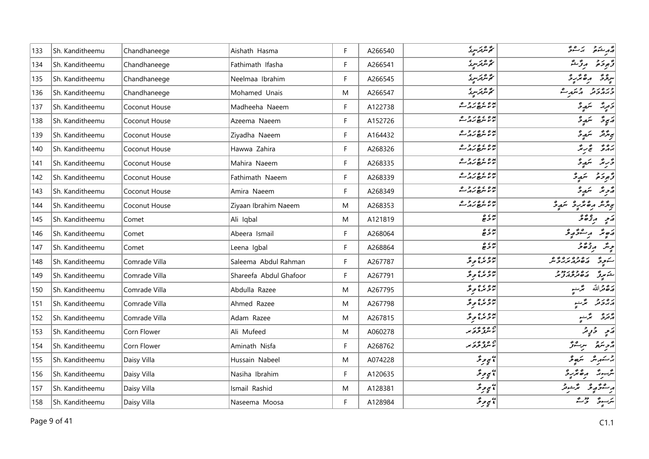| 133 | Sh. Kanditheemu | Chandhaneege  | Aishath Hasma          | F  | A266540 | ىچە ئىرتى <i>ر ئىر</i> ىد              | برسدة<br>ائی <sub>م</sub> رشتوند<br>مسی               |
|-----|-----------------|---------------|------------------------|----|---------|----------------------------------------|-------------------------------------------------------|
| 134 | Sh. Kanditheemu | Chandhaneege  | Fathimath Ifasha       | F. | A266541 | ۇ ئىرتى <i>ر س</i> ىيە                 | ۇ بور بو<br>رىر تەشقە                                 |
| 135 | Sh. Kanditheemu | Chandhaneege  | Neelmaa Ibrahim        | F. | A266545 | ىچە مەكتىر س <sub>و</sub> ي            | سرچڙ<br>ەھ ترر ۋ                                      |
| 136 | Sh. Kanditheemu | Chandhaneege  | Mohamed Unais          | M  | A266547 | ىر مەركىزىس <sub>ى</sub><br>مە         | و ر ه ر و<br><i>و پر</i> پر تر<br>رئىدە               |
| 137 | Sh. Kanditheemu | Coconut House | Madheeha Naeem         | F  | A122738 | بره ء ه ر د م                          | ىز مورگ<br>مەسىم<br>سَمِيرة                           |
| 138 | Sh. Kanditheemu | Coconut House | Azeema Naeem           | F  | A152726 | بره ء ه ر د م                          | ويمي پڅ<br>سَمِيرَة                                   |
| 139 | Sh. Kanditheemu | Coconut House | Ziyadha Naeem          | F  | A164432 | بره ، ، <i>د د</i> ه م                 | ببوجر<br>سَمِرٍ ح                                     |
| 140 | Sh. Kanditheemu | Coconut House | Hawwa Zahira           | F. | A268326 | بره ، ه ر د ه<br>تر تر شرف ک           | رە پە<br>ىتى سەتتىر                                   |
| 141 | Sh. Kanditheemu | Coconut House | Mahira Naeem           | F  | A268335 | بره ، ه ر د ه                          | وَرِيرٌ<br>سَمِيرَة                                   |
| 142 | Sh. Kanditheemu | Coconut House | Fathimath Naeem        | F  | A268339 | بره و د و د و ه                        | ۇ بوخ <sub>ى</sub> م<br>سَمِيرة                       |
| 143 | Sh. Kanditheemu | Coconut House | Amira Naeem            | F  | A268349 | بره ، و بر و ه                         | وترمر<br>سَمَدٍ ح                                     |
| 144 | Sh. Kanditheemu | Coconut House | Ziyaan Ibrahim Naeem   | M  | A268353 | بره ، ه ر د ه<br>بربر سرچ <i>ز</i> د ک | ىبەرگە<br>ەرھ ئ <sup>ۆ</sup> ر ۋ<br>سمەر              |
| 145 | Sh. Kanditheemu | Comet         | Ali Iqbal              | M  | A121819 | بری<br>روم                             | د ژەپى<br>ر<br>دي                                     |
| 146 | Sh. Kanditheemu | Comet         | Abeera Ismail          | F  | A268064 | بری<br>رو                              | رەپە<br>ەرسىۋەيچ                                      |
| 147 | Sh. Kanditheemu | Comet         | Leena Igbal            | F  | A268864 | بری<br>رو                              | ىرىتىر<br>ەرتى ئىتى                                   |
| 148 | Sh. Kanditheemu | Comrade Villa | Saleema Abdul Rahman   | F. | A267787 | بره ، ه ه و <del>گ</del> ر             | ر ه و ه ر ه د ه<br>پره تربر <del>ت</del> ر بر<br>سەرچ |
| 149 | Sh. Kanditheemu | Comrade Villa | Shareefa Abdul Ghafoor | F. | A267791 | بره <sup>په ه</sup> ومځه               | ڪ موقر<br>سن<br>ر ه و ه د رو و<br>پره تر تر تر س      |
| 150 | Sh. Kanditheemu | Comrade Villa | Abdulla Razee          | M  | A267795 | پره ی ه و محر                          | بر25 الله                                             |
| 151 | Sh. Kanditheemu | Comrade Villa | Ahmed Razee            | M  | A267798 | پره ی ه و محه                          | ر 2 د تر<br>م <i>ر</i> بر <del>5</del> تر             |
| 152 | Sh. Kanditheemu | Comrade Villa | Adam Razee             | M  | A267815 | بره ، ه ه و څه<br>پرې د بوڅ            | پر ہ<br>مرکزو<br>بخرسه                                |
| 153 | Sh. Kanditheemu | Corn Flower   | Ali Mufeed             | M  | A060278 | پره وي بر<br>  با سرو ځرم بر           | أەسمج و محمو محمد                                     |
| 154 | Sh. Kanditheemu | Corn Flower   | Aminath Nisfa          | F  | A268762 | ە ە ە ئەر<br>ئاسلامۇھ بىر              | ړ څر سرچ<br>سرىشۇ                                     |
| 155 | Sh. Kanditheemu | Daisy Villa   | Hussain Nabeel         | M  | A074228 | اءِ <sub>موع</sub> و                   | جرىسە مەشر<br>سرّەنز                                  |
| 156 | Sh. Kanditheemu | Daisy Villa   | Nasiha Ibrahim         | F  | A120635 | } موعه قر                              | متَّرْسورَ<br>م<br>ەھ تۇرۇ                            |
| 157 | Sh. Kanditheemu | Daisy Villa   | Ismail Rashid          | M  | A128381 | اءَ <sub>مح</sub> وموگ                 | وسنوحيو                                               |
| 158 | Sh. Kanditheemu | Daisy Villa   | Naseema Moosa          | F  | A128984 | ۽ سمج حرقته                            | ىئەسەدى<br>ئ                                          |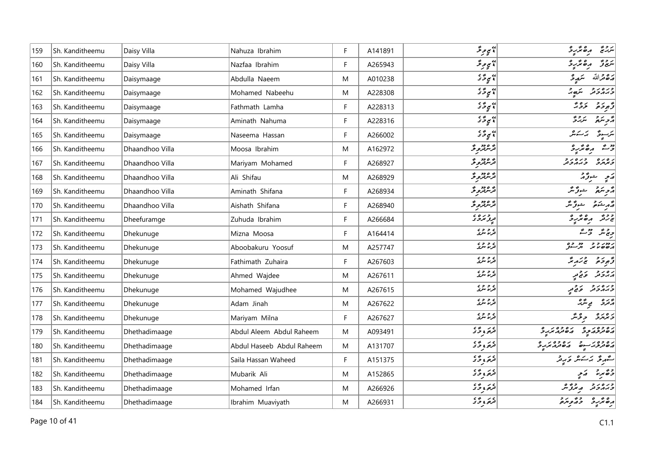| 159 | Sh. Kanditheemu | Daisy Villa     | Nahuza Ibrahim            | F  | A141891 | اءِ <sub>مح</sub> وظَ                 | وە ئۆرۈ<br>سرزيج                                               |
|-----|-----------------|-----------------|---------------------------|----|---------|---------------------------------------|----------------------------------------------------------------|
| 160 | Sh. Kanditheemu | Daisy Villa     | Nazfaa Ibrahim            | F. | A265943 | اء<br>موعر                            | ە ھەترىر ۋ<br>سرچ پژ                                           |
| 161 | Sh. Kanditheemu | Daisymaage      | Abdulla Naeem             | M  | A010238 | $\frac{c}{s}$ , $\frac{c}{s}$         | برە تراللە<br>سَمِيرة                                          |
| 162 | Sh. Kanditheemu | Daisymaage      | Mohamed Nabeehu           | M  | A228308 | اءِ سرچ تا<br>  ۽ سمج تاريخ           | و ر ه ر و<br>د بر د تر تر<br>سرەر                              |
| 163 | Sh. Kanditheemu | Daisymaage      | Fathmath Lamha            | F  | A228313 | پی پی تر <sup>2</sup>                 | ىزە بۇ<br>ۇ بور د                                              |
| 164 | Sh. Kanditheemu | Daisymaage      | Aminath Nahuma            | F  | A228316 | )» سرچری<br>  ناسخ تر <sub>ک</sub>    | أرمز بترة<br>سروی                                              |
| 165 | Sh. Kanditheemu | Daisymaage      | Naseema Hassan            | F  | A266002 | )، سمج تر د                           | ىئرسىدۇ<br>برسەيىتىر                                           |
| 166 | Sh. Kanditheemu | Dhaandhoo Villa | Moosa Ibrahim             | M  | A162972 | قرىرتروتر                             | دی مش<br>ەھ ترىر ۋ                                             |
| 167 | Sh. Kanditheemu | Dhaandhoo Villa | Mariyam Mohamed           | F  | A268927 | قر عروز محر                           | و ر ه ر د<br><i>و ټ</i> رو تر<br>ر ه ر ه<br><del>و</del> بربرو |
| 168 | Sh. Kanditheemu | Dhaandhoo Villa | Ali Shifau                | M  | A268929 | قر عروز محر                           | أەكىم سىردە                                                    |
| 169 | Sh. Kanditheemu | Dhaandhoo Villa | Aminath Shifana           | F  | A268934 | قرمرفرمرتخر                           | أثر جريئتمو<br>شەرگەنگر                                        |
| 170 | Sh. Kanditheemu | Dhaandhoo Villa | Aishath Shifana           | F  | A268940 | قرىرتروگر                             | ے وگر مگر<br>د مرکز دیگر<br>مرکز مشور                          |
| 171 | Sh. Kanditheemu | Dheefuramge     | Zuhuda Ibrahim            | F  | A266684 | ا پروتره و<br>اپروترو د               | ر وير<br>سي شرقتر<br>برە ئۆرۈ                                  |
| 172 | Sh. Kanditheemu | Dhekunuge       | Mizna Moosa               | F  | A164414 | ړ <i>د د</i> ›<br>تر <i>را س</i> رند  | جەنگە ئۇڭ                                                      |
| 173 | Sh. Kanditheemu | Dhekunuge       | Aboobakuru Yoosuf         | M  | A257747 | ء و و ء<br>تور سری                    | נדמג כפי כפי<br>גם <i>ס</i> אינג ת                             |
| 174 | Sh. Kanditheemu | Dhekunuge       | Fathimath Zuhaira         | F. | A267603 | ، و و ،<br>تور سری                    | أقهوحكم بمحتر يتمر                                             |
| 175 | Sh. Kanditheemu | Dhekunuge       | Ahmed Wajdee              | M  | A267611 | ړ <i>د د</i> ،<br>تر <i>ماس</i> ر     | د ۱۵ د ۱۵ د وړ                                                 |
| 176 | Sh. Kanditheemu | Dhekunuge       | Mohamed Wajudhee          | M  | A267615 | ی و و ،<br>تور سری                    | و ره ر و<br>تر پر ژنگر                                         |
| 177 | Sh. Kanditheemu | Dhekunuge       | Adam Jinah                | M  | A267622 | ړ <i>د</i> پر<br>تور کمبرن            | ى <sub>جە</sub> مىڭرىر<br>په ره<br>د ترو                       |
| 178 | Sh. Kanditheemu | Dhekunuge       | Mariyam Milna             | F  | A267627 | ړ <i>د د</i> ›<br>تر <i>را س</i> رند  | رەرە دۇش                                                       |
| 179 | Sh. Kanditheemu | Dhethadimaage   | Abdul Aleem Abdul Raheem  | M  | A093491 | ړ د پر<br>تره د ژ د                   | ره وه در ه<br>پره تربر تر<br>ره وه ر<br>په <i>ه ترڅه چ</i> ې   |
| 180 | Sh. Kanditheemu | Dhethadimaage   | Abdul Haseeb Abdul Raheem | M  | A131707 | ه د په وي<br>تر <sub>گ</sub> ونو تر د | נספר בי נספס גם                                                |
| 181 | Sh. Kanditheemu | Dhethadimaage   | Saila Hassan Waheed       | F  | A151375 | ه د په په<br>مر <sub>ج نو</sub> د د   | ترىكىش قەرىتى<br>شەرىخە                                        |
| 182 | Sh. Kanditheemu | Dhethadimaage   | Mubarik Ali               | M  | A152865 | ړ د پر<br>تره د ژ د                   | وە براز كەير                                                   |
| 183 | Sh. Kanditheemu | Dhethadimaage   | Mohamed Irfan             | M  | A266926 | ړ د پر<br>تره د ژ د                   | و ره ر د<br><i>د ب</i> رگر تر<br>ە بىر ۋىس                     |
| 184 | Sh. Kanditheemu | Dhethadimaage   | Ibrahim Muaviyath         | M  | A266931 | ړ د پر په<br>تره د تر د               | دەندىق دەردە                                                   |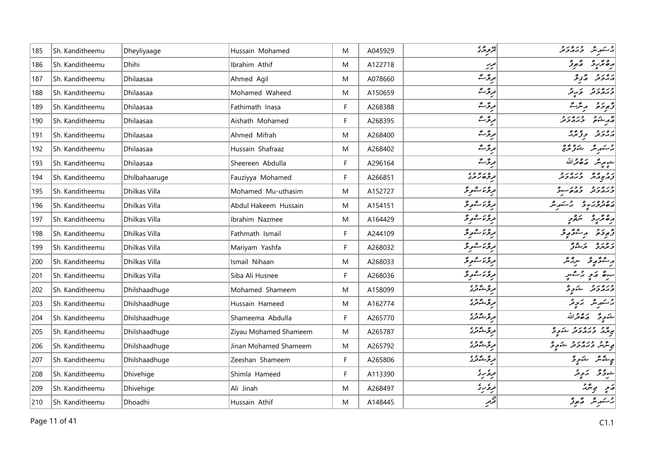| 185 | Sh. Kanditheemu | Dheyliyaage   | Hussain Mohamed       | M           | A045929 | ه د د د ،<br>مرمورد د                              | وكرمر وره دو                                                          |
|-----|-----------------|---------------|-----------------------|-------------|---------|----------------------------------------------------|-----------------------------------------------------------------------|
|     |                 |               |                       |             |         |                                                    |                                                                       |
| 186 | Sh. Kanditheemu | <b>Dhihi</b>  | Ibrahim Athif         | M           | A122718 | توپر<br>مرکز                                       | ە ئەبور<br>ەر ھەترىر <i>3</i>                                         |
| 187 | Sh. Kanditheemu | Dhilaasaa     | Ahmed Agil            | M           | A078660 | ىر ئۇ شە                                           | دەر د ئەتى ئى                                                         |
| 188 | Sh. Kanditheemu | Dhilaasaa     | Mohamed Waheed        | M           | A150659 | ىر ئۇ شە                                           | و ر ه ر د<br>تر پر تر تر<br>ءَ ٻه تقر                                 |
| 189 | Sh. Kanditheemu | Dhilaasaa     | Fathimath Inasa       | F           | A268388 | ىر ئۇ شە                                           | قرموده مرتثب                                                          |
| 190 | Sh. Kanditheemu | Dhilaasaa     | Aishath Mohamed       | F.          | A268395 | ترقر محم                                           | ه دشتمو وره د <del>د</del>                                            |
| 191 | Sh. Kanditheemu | Dhilaasaa     | Ahmed Mifrah          | M           | A268400 | ىر ئۇ شە                                           | بره رو وه ده.                                                         |
| 192 | Sh. Kanditheemu | Dhilaasaa     | Hussain Shafraaz      | M           | A268402 | ورۇ ئە                                             | چرىسىمبەش ھۆرىمىتى                                                    |
| 193 | Sh. Kanditheemu | Dhilaasaa     | Sheereen Abdulla      | F           | A296164 | درگر گ                                             | شومریٹر <mark>رکھ تر</mark> اللّٰہ                                    |
| 194 | Sh. Kanditheemu | Dhilbahaaruge | Fauziyya Mohamed      | F           | A266851 | و د ه د و ،<br>درمر <i>ه ر</i> برد                 | נגים מי כנסנכ<br>צגישונות כמוכנג                                      |
| 195 | Sh. Kanditheemu | Dhilkas Villa | Mohamed Mu-uthasim    | M           | A152727 | <sub>مر</sub> وبر <sub>شور</sub> وً                | כנים בי כבל כ                                                         |
| 196 | Sh. Kanditheemu | Dhilkas Villa | Abdul Hakeem Hussain  | M           | A154151 | <sub>مر</sub> وبر <sub>شور</sub> وً                | رە دەرىر ئەسكىر ش                                                     |
| 197 | Sh. Kanditheemu | Dhilkas Villa | Ibrahim Nazmee        | M           | A164429 | <sub>مر</sub> وب <sub>ۇ س</sub> ە <sub>ھ م</sub> ۇ | وه پر ده سره د                                                        |
| 198 | Sh. Kanditheemu | Dhilkas Villa | Fathmath Ismail       | F           | A244109 | <sub>قرقرىم</sub> س <sub>ى</sub> موقە              | توجوجو برحوحي                                                         |
| 199 | Sh. Kanditheemu | Dhilkas Villa | Mariyam Yashfa        | F           | A268032 | <sub>قرقرى</sub> مە <sub>ھرى</sub> تى              | رەرە پرىشۇ                                                            |
| 200 | Sh. Kanditheemu | Dhilkas Villa | Ismail Nihaan         | M           | A268033 | <br>  مرکزیز سفورمحر                               | ر جۇم ئو سرگىر                                                        |
| 201 | Sh. Kanditheemu | Dhilkas Villa | Siba Ali Husnee       | F           | A268036 | <sub>مر</sub> وبر <sub>شور</sub> وً                | سوڭ ركيم برگ شهر                                                      |
| 202 | Sh. Kanditheemu | Dhilshaadhuge | Mohamed Shameem       | M           | A158099 | و د د شود و په                                     |                                                                       |
| 203 | Sh. Kanditheemu | Dhilshaadhuge | Hussain Hameed        | M           | A162774 | و و گرو د و د<br>مرکز شگ <sup>و</sup> نری          | برسكريش الكرجيش                                                       |
| 204 | Sh. Kanditheemu | Dhilshaadhuge | Shameema Abdulla      | $\mathsf F$ | A265770 | و ه <sup>و و</sup> ۶<br>درگرشگ <sup>و</sup> نرو    | شَورٍتَر صَ <b>صَ</b> قَرَاللّه                                       |
| 205 | Sh. Kanditheemu | Dhilshaadhuge | Ziyau Mohamed Shameem | M           | A265787 | تورڅو شو د د                                       | و در در د خود                                                         |
| 206 | Sh. Kanditheemu | Dhilshaadhuge | Jinan Mohamed Shameem | M           | A265792 | و و شگور ک                                         | م شر پر در در در سکوپایی<br>م                                         |
| 207 | Sh. Kanditheemu | Dhilshaadhuge | Zeeshan Shameem       | F           | A265806 | و و گرو <sup>ء</sup> و <sup>ج</sup>                | ىم ئەڭ ئىمر ئ                                                         |
| 208 | Sh. Kanditheemu | Dhivehige     | Shimla Hameed         | F           | A113390 | ورځ رئ<br>مر                                       | $\frac{1}{2}$ $\frac{2}{2}$ $\frac{2}{2}$ $\frac{2}{2}$ $\frac{3}{2}$ |
| 209 | Sh. Kanditheemu | Dhivehige     | Ali Jinah             | M           | A268497 | ورة رئي                                            | أرشح مح يتمدثه                                                        |
| 210 | Sh. Kanditheemu | Dhoadhi       | Hussain Athif         | M           | A148445 | ج<br>تومر                                          | ير سكور من الأجوالي                                                   |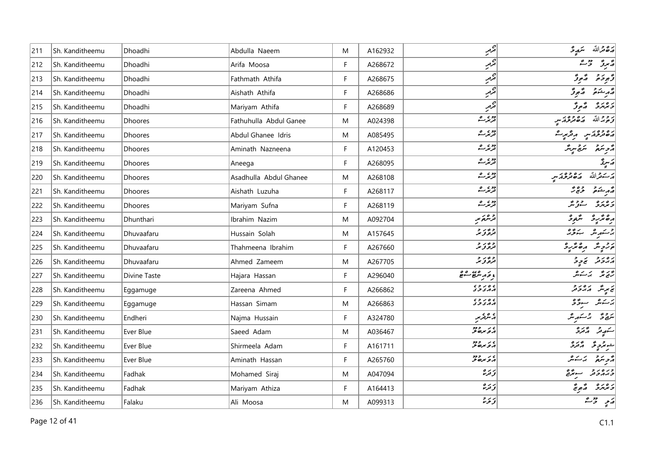| 211 | Sh. Kanditheemu | Dhoadhi        | Abdulla Naeem          | M           | A162932 | م<br>تومر                              | رە داللە س <i>ر ي</i> ۇ                   |
|-----|-----------------|----------------|------------------------|-------------|---------|----------------------------------------|-------------------------------------------|
| 212 | Sh. Kanditheemu | Dhoadhi        | Arifa Moosa            | $\mathsf F$ | A268672 | تحرمر                                  | پر سرقر<br>مربر<br>دين شهر                |
| 213 | Sh. Kanditheemu | Dhoadhi        | Fathmath Athifa        | $\mathsf F$ | A268675 | ج<br>مومر                              | وٌوِدَهُ مُوَ                             |
| 214 | Sh. Kanditheemu | Dhoadhi        | Aishath Athifa         | F           | A268686 | ج<br>موقو                              | مەرىشى مەر                                |
| 215 | Sh. Kanditheemu | Dhoadhi        | Mariyam Athifa         | F.          | A268689 | ە<br>تىرىر                             | تر مرد ه<br>ەقىمۇقە                       |
| 216 | Sh. Kanditheemu | Dhoores        | Fathuhulla Abdul Ganee | M           | A024398 | دد ،<br>تربر ک                         | ر د د الله په موروز سر                    |
| 217 | Sh. Kanditheemu | <b>Dhoores</b> | Abdul Ghanee Idris     | M           | A085495 | دو ۽ ه                                 | הפיניה המת ב                              |
| 218 | Sh. Kanditheemu | <b>Dhoores</b> | Aminath Nazneena       | $\mathsf F$ | A120453 | دد ،<br>تربر ک                         |                                           |
| 219 | Sh. Kanditheemu | Dhoores        | Aneega                 | F           | A268095 | دد ،<br>تربر ک                         |                                           |
| 220 | Sh. Kanditheemu | Dhoores        | Asadhulla Abdul Ghanee | ${\sf M}$   | A268108 | دد ،<br>تربر ک                         | مركحقرالله<br>ره وه د سر<br>مەھىر پروزىس  |
| 221 | Sh. Kanditheemu | Dhoores        | Aishath Luzuha         | F           | A268117 | دو ۽ ه                                 | وكرمشق وده                                |
| 222 | Sh. Kanditheemu | <b>Dhoores</b> | Mariyam Sufna          | F           | A268119 | دو ۽ ه                                 | ر ه ر ه<br><del>ر</del> بربرگ<br>شۇر ئىگە |
| 223 | Sh. Kanditheemu | Dhunthari      | Ibrahim Nazim          | M           | A092704 | و ه بر<br>تر سرچ س                     | متزوجه<br>ەھ ئ <sup>ۆ</sup> ر ۋ           |
| 224 | Sh. Kanditheemu | Dhuvaafaru     | Hussain Solah          | M           | A157645 | و پر بر<br>تر <i>وگ</i> تر             | ر مسکور میگر دیده<br>مرگزار میگر          |
| 225 | Sh. Kanditheemu | Dhuvaafaru     | Thahmeena Ibrahim      | F           | A267660 | و پر بر<br>تر <i>وگ</i> تر             | وزويتر المقتربة                           |
| 226 | Sh. Kanditheemu | Dhuvaafaru     | Ahmed Zameem           | M           | A267705 | و په بر ح<br>تر <i>وگ</i> مر           | أرور والمحافرة                            |
| 227 | Sh. Kanditheemu | Divine Taste   | Hajara Hassan          | F.          | A296040 | و عرض عن عام ع                         | رەيە ئەسەھ                                |
| 228 | Sh. Kanditheemu | Eggamuge       | Zareena Ahmed          | F           | A266862 | 55500                                  | پرسپر مہرد تر                             |
| 229 | Sh. Kanditheemu | Eggamuge       | Hassan Simam           | M           | A266863 | 55500                                  | بر کشته سوژو                              |
| 230 | Sh. Kanditheemu | Endheri        | Najma Hussain          | F           | A324780 | وكمعرمر                                | بترويج المرتشر مرتكز                      |
| 231 | Sh. Kanditheemu | Ever Blue      | Saeed Adam             | M           | A036467 | ג גם בדב<br>גם השיב                    | ے پر تہ پر و<br>سکھیے ہمیں                |
| 232 | Sh. Kanditheemu | Ever Blue      | Shirmeela Adam         | F.          | A161711 | ג גם בדב<br>גם <i>ג</i> ם <del>ב</del> | شوټرو څر پروژ                             |
| 233 | Sh. Kanditheemu | Ever Blue      | Aminath Hassan         | F           | A265760 | ג גם בדב<br>גם <i>ה</i> ס <del>ב</del> | أأرجع أياسكس                              |
| 234 | Sh. Kanditheemu | Fadhak         | Mohamed Siraj          | ${\sf M}$   | A047094 | وتره                                   | ورەرو سىرتى                               |
| 235 | Sh. Kanditheemu | Fadhak         | Mariyam Athiza         | $\mathsf F$ | A164413 | ر ر ه<br>و تر ر                        | ر ه ر ه<br><del>و</del> بربر و<br>وشجويح  |
| 236 | Sh. Kanditheemu | Falaku         | Ali Moosa              | M           | A099313 | ترتزر                                  | اړنو دحمش                                 |
|     |                 |                |                        |             |         |                                        |                                           |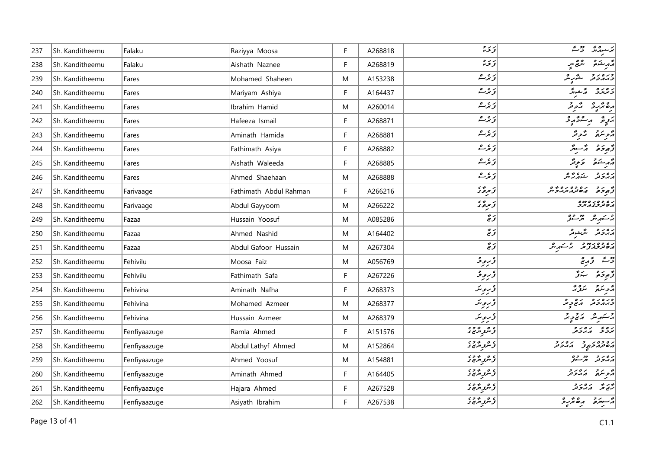| 237 | Sh. Kanditheemu | Falaku       | Raziyya Moosa          | F         | A268818 | تر خرر                                                          | حر مشر                                                                                                                                                                                                                           |
|-----|-----------------|--------------|------------------------|-----------|---------|-----------------------------------------------------------------|----------------------------------------------------------------------------------------------------------------------------------------------------------------------------------------------------------------------------------|
| 238 | Sh. Kanditheemu | Falaku       | Aishath Naznee         | F         | A268819 | ترتزر                                                           | ۇ مەشكەمى<br>مەم<br>ىئىچ بىر                                                                                                                                                                                                     |
| 239 | Sh. Kanditheemu | Fares        | Mohamed Shaheen        | M         | A153238 | ئەبئرىشە                                                        | ورەر ئەسەر                                                                                                                                                                                                                       |
| 240 | Sh. Kanditheemu | Fares        | Mariyam Ashiya         | F         | A164437 | ئەيئرىشە                                                        | گر شہ دگر<br>ر ه ر ه<br><del>د</del> بربرگر                                                                                                                                                                                      |
| 241 | Sh. Kanditheemu | Fares        | Ibrahim Hamid          | M         | A260014 | ئەبئرىشە                                                        | أرە ئەر ئەر ئە                                                                                                                                                                                                                   |
| 242 | Sh. Kanditheemu | Fares        | Hafeeza Ismail         | F         | A268871 | ۇ ئەرم                                                          | بروة المستوضع                                                                                                                                                                                                                    |
| 243 | Sh. Kanditheemu | Fares        | Aminath Hamida         | F         | A268881 | ۇ ئەرم                                                          | أأوسكم الأوقر                                                                                                                                                                                                                    |
| 244 | Sh. Kanditheemu | Fares        | Fathimath Asiya        | F         | A268882 | ئە ئەر ھ                                                        | و ده شود.<br>زوده م                                                                                                                                                                                                              |
| 245 | Sh. Kanditheemu | Fares        | Aishath Waleeda        | F         | A268885 | ئەبئرىشە                                                        | مەرشىق قويۇ                                                                                                                                                                                                                      |
| 246 | Sh. Kanditheemu | Fares        | Ahmed Shaehaan         | ${\sf M}$ | A268888 | ۇ ئۈرى                                                          | رەرد دەپرە                                                                                                                                                                                                                       |
| 247 | Sh. Kanditheemu | Farivaage    | Fathimath Abdul Rahman | F         | A266216 | تو مور پر پر                                                    | ره وه ره <i>و ه</i><br>پره تربر تر س<br>وٌجوحَ ح                                                                                                                                                                                 |
| 248 | Sh. Kanditheemu | Farivaage    | Abdul Gayyoom          | M         | A266222 | ىز مرگ <sup>ى</sup><br>ك                                        | ر ۵ ۵ ۵ ۵ ۵ وه<br>ג ۴ تورمونو پر بر تر                                                                                                                                                                                           |
| 249 | Sh. Kanditheemu | Fazaa        | Hussain Yoosuf         | M         | A085286 | ترتج                                                            | جەسى <sub>م</sub> ە ھەم جۇ جەم                                                                                                                                                                                                   |
| 250 | Sh. Kanditheemu | Fazaa        | Ahmed Nashid           | ${\sf M}$ | A164402 | تریخ                                                            | رەر تە<br>مەركى سەيدىر                                                                                                                                                                                                           |
| 251 | Sh. Kanditheemu | Fazaa        | Abdul Gafoor Hussain   | M         | A267304 | تریخ                                                            | رە دەر دەر بەسىر ش                                                                                                                                                                                                               |
| 252 | Sh. Kanditheemu | Fehivilu     | Moosa Faiz             | M         | A056769 | ۇروڭر                                                           | روم ژری                                                                                                                                                                                                                          |
| 253 | Sh. Kanditheemu | Fehivilu     | Fathimath Safa         | F         | A267226 | ۇروڭر                                                           | ۇ بۇ ئەقتى ئىستۇ                                                                                                                                                                                                                 |
| 254 | Sh. Kanditheemu | Fehivina     | Aminath Nafha          | F         | A268373 | ۇ <sub>سرحە</sub> بىڭە                                          | أأدوسكم المسترقم                                                                                                                                                                                                                 |
| 255 | Sh. Kanditheemu | Fehivina     | Mohamed Azmeer         | M         | A268377 | ۇروپر                                                           | כממכת השכת                                                                                                                                                                                                                       |
| 256 | Sh. Kanditheemu | Fehivina     | Hussain Azmeer         | M         | A268379 | اؤ س <sub>رحو</sub> مئز                                         | جسكر مرهم وكالمحاج بمر                                                                                                                                                                                                           |
| 257 | Sh. Kanditheemu | Fenfiyaazuge | Ramla Ahmed            | F         | A151576 | ، معرور و ،<br>از شور پر پر                                     | ره د بره رو                                                                                                                                                                                                                      |
| 258 | Sh. Kanditheemu | Fenfiyaazuge | Abdul Lathyf Ahmed     | ${\sf M}$ | A152864 | ې شو پر دې<br>د شو پر پر د                                      | גפרפר גפני                                                                                                                                                                                                                       |
| 259 | Sh. Kanditheemu | Fenfiyaazuge | Ahmed Yoosuf           | M         | A154881 | ئۇنترى <i>م ھەج</i>                                             | גם גם ברבים.<br>הגבות הל-יו                                                                                                                                                                                                      |
| 260 | Sh. Kanditheemu | Fenfiyaazuge | Aminath Ahmed          | F         | A164405 | ئۇ شرىر تەرى<br>  ئۇ شرىر تىرى                                  | أأوسكم أأكدونر                                                                                                                                                                                                                   |
| 261 | Sh. Kanditheemu | Fenfiyaazuge | Hajara Ahmed           | F         | A267528 | ې ه <sub>رو</sub> پر دې<br>د سر <sub>و</sub> پر پر              | بور به روبر در در در در این کار در این کار در این کار در این کار در این کار در این کار در این کار در این کار د<br>کارگان کارگان کارگان کارگان کارگان کارگان کارگان کارگان کارگان کارگان کارگان کارگان کارگان کارگان کارگان کارگا |
| 262 | Sh. Kanditheemu | Fenfiyaazuge | Asiyath Ibrahim        | F         | A267538 | ې ه <sub>رو</sub> پژويز<br>د سر <sub>و ت</sub> ريخ <sub>ک</sub> | ومستروح وه وحرير                                                                                                                                                                                                                 |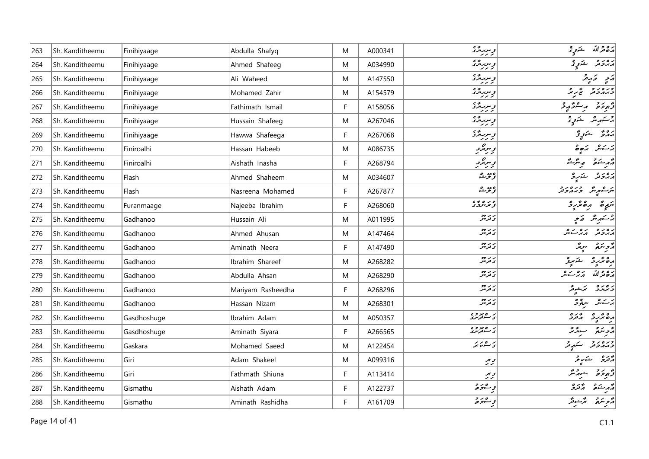| 263 | Sh. Kanditheemu | Finihiyaage | Abdulla Shafyq    | M  | A000341 | و سربر پر <sup>ی</sup><br>بر بر بر   | بره قرالله خورٍ محمد<br>مصرالله                       |
|-----|-----------------|-------------|-------------------|----|---------|--------------------------------------|-------------------------------------------------------|
| 264 | Sh. Kanditheemu | Finihiyaage | Ahmed Shafeeg     | M  | A034990 | او مدر پروژه<br><u>گرم</u> ر         | رەرو شەرد                                             |
| 265 | Sh. Kanditheemu | Finihiyaage | Ali Waheed        | M  | A147550 | و سربر پر می<br>بر بر بر             | رَمِي - حَ بِرِ مَرْ                                  |
| 266 | Sh. Kanditheemu | Finihiyaage | Mohamed Zahir     | M  | A154579 | او مدر دي.<br><u>سبب</u>             |                                                       |
| 267 | Sh. Kanditheemu | Finihiyaage | Fathimath Ismail  | F. | A158056 | و سربر پر می<br>بر سربر              | و دو مشخوره                                           |
| 268 | Sh. Kanditheemu | Finihiyaage | Hussain Shafeeg   | M  | A267046 | و سور پژی<br>تر بر بردی              | ج ستمريش ڪي پيج                                       |
| 269 | Sh. Kanditheemu | Finihiyaage | Hawwa Shafeega    | F  | A267068 | او سربر دی<br>است                    |                                                       |
| 270 | Sh. Kanditheemu | Finiroalhi  | Hassan Habeeb     | M  | A086735 | وسرچمو                               | $\begin{vmatrix} 2 & 2 & 2 \ 2 & 2 & 3 \end{vmatrix}$ |
| 271 | Sh. Kanditheemu | Finiroalhi  | Aishath Inasha    | F  | A268794 | وسرچو                                | أورشوم أرتكت                                          |
| 272 | Sh. Kanditheemu | Flash       | Ahmed Shaheem     | M  | A034607 | ە يە ھ                               |                                                       |
| 273 | Sh. Kanditheemu | Flash       | Nasreena Mohamed  | F. | A267877 | ە يە ھ                               | تر می دره در د                                        |
| 274 | Sh. Kanditheemu | Furanmaage  | Najeeba Ibrahim   | F  | A268060 | و ر ه و »<br>تو <del>ب</del> ر سرچ ی | تنبيءُ مِهْتَبِ و                                     |
| 275 | Sh. Kanditheemu | Gadhanoo    | Hussain Ali       | M  | A011995 | ر ر دو<br>تارینل                     | برستهرش مكو                                           |
| 276 | Sh. Kanditheemu | Gadhanoo    | Ahmed Ahusan      | M  | A147464 | ر ر دو<br>تا تارمن                   | 7070 707                                              |
| 277 | Sh. Kanditheemu | Gadhanoo    | Aminath Neera     | F  | A147490 | ر ر دو<br>تارینل                     | أأترسم سبكر                                           |
| 278 | Sh. Kanditheemu | Gadhanoo    | Ibrahim Shareef   | M  | A268282 | ر ر دو<br>تارینل                     | وه پر ده شمېرو                                        |
| 279 | Sh. Kanditheemu | Gadhanoo    | Abdulla Ahsan     | M  | A268290 | ر ر دو<br>تارینل                     | مَصْعَراللّه<br>ىر بۇ سەنگە                           |
| 280 | Sh. Kanditheemu | Gadhanoo    | Mariyam Rasheedha | F. | A268296 | ر ر دو<br>تارمبر                     | ويحمدوا المتحصية                                      |
| 281 | Sh. Kanditheemu | Gadhanoo    | Hassan Nizam      | M  | A268301 | ر ر دو<br>تح <b>م</b> رس             | بركسك سفوق                                            |
| 282 | Sh. Kanditheemu | Gasdhoshuge | Ibrahim Adam      | M  | A050357 | ر ۔ 2 پر و ۽<br>ي سسوفرس             | ەرگەر<br>ە ھەترىر <sup>ە</sup>                        |
| 283 | Sh. Kanditheemu | Gasdhoshuge | Aminath Siyara    | F  | A266565 | ر رہ پو و ،<br>کا سنگرمزی            | أرمز ينهج<br>سىزدىگە                                  |
| 284 | Sh. Kanditheemu | Gaskara     | Mohamed Saeed     | M  | A122454 | ى سەرىمىر                            | ورەرو سەرو                                            |
| 285 | Sh. Kanditheemu | Giri        | Adam Shakeel      | M  | A099316 | ى مىر<br>كرىم                        | ڪ مو قر<br>پور ہ<br>پر تعری                           |
| 286 | Sh. Kanditheemu | Giri        | Fathmath Shiuna   | F  | A113414 | ى مو<br>كرىم                         | أوالمح وكالمحمر وأستريح                               |
| 287 | Sh. Kanditheemu | Gismathu    | Aishath Adam      | F. | A122737 | ت <sub>و</sub> ر شونر و<br>مر        | و شرح وره<br>مگهر شده مگمر                            |
| 288 | Sh. Kanditheemu | Gismathu    | Aminath Rashidha  | F  | A161709 | اتوسفرة                              | أتزجر سكرة التحريث وتكر                               |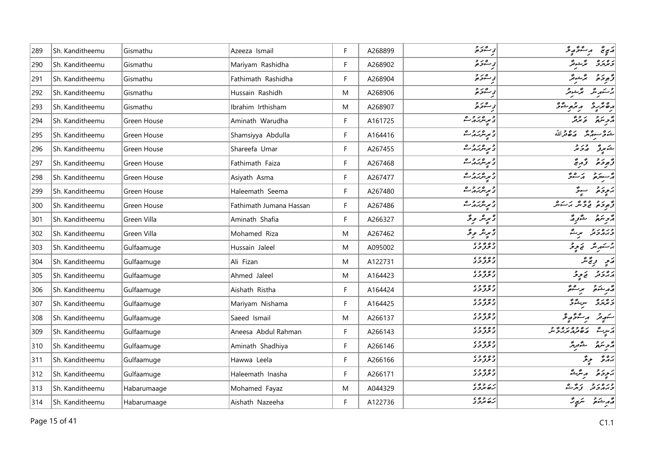| 289 | Sh. Kanditheemu | Gismathu           | Azeeza Ismail           | F         | A268899 | تې شونز و                                   | رەۋرچ<br>لهَ بِي بِجَ                       |
|-----|-----------------|--------------------|-------------------------|-----------|---------|---------------------------------------------|---------------------------------------------|
| 290 | Sh. Kanditheemu | Gismathu           | Mariyam Rashidha        | F.        | A268902 | تې سىمىتى ھ                                 | ر ه ر ه<br><del>و</del> بربر و              |
| 291 | Sh. Kanditheemu | Gismathu           | Fathimath Rashidha      | F.        | A268904 | اتوسفرة                                     | یم کے مقر<br>ۇ ب <sub>و</sub> ر د           |
| 292 | Sh. Kanditheemu | Gismathu           | Hussain Rashidh         | M         | A268906 | تو ڪھ جو حو                                 | ر<br>رئاسکېرىنگر گېرىشونگر                  |
| 293 | Sh. Kanditheemu | Gismathu           | Ibrahim Irthisham       | M         | A268907 | اتح سنعرجو                                  | رەترىر رىزرىش                               |
| 294 | Sh. Kanditheemu | <b>Green House</b> | Aminath Warudha         | F         | A161725 | <sub>ج مو</sub> ير پر چرم<br>کا پر پر پر پر | أأدمره وتروي                                |
| 295 | Sh. Kanditheemu | Green House        | Shamsiyya Abdulla       | F         | A164416 | دېمپرېټر <u>پر ده</u>                       | خوش وهر مكافرالله                           |
| 296 | Sh. Kanditheemu | <b>Green House</b> | Shareefa Umar           | F         | A267455 | د مړيند مرحمه ه<br>  د مړيند مرحمه          |                                             |
| 297 | Sh. Kanditheemu | <b>Green House</b> | Fathimath Faiza         | F         | A267468 | <sub>جە بىر</sub> ىرىر جەر                  | وتجودهم وتمريح                              |
| 298 | Sh. Kanditheemu | <b>Green House</b> | Asiyath Asma            | F         | A267477 | د پرې <i>تر پر د</i> ه                      | و مسور ده در در د                           |
| 299 | Sh. Kanditheemu | <b>Green House</b> | Haleemath Seema         | F         | A267480 | د پرې <i>رېژ د</i> ه                        | ېز موږي.<br>سرچ<br>سوژ                      |
| 300 | Sh. Kanditheemu | <b>Green House</b> | Fathimath Jumana Hassan | F         | A267486 | ئەسپەر <i>ىرى مى</i> ك                      | و دو دوه دره                                |
| 301 | Sh. Kanditheemu | Green Villa        | Aminath Shafia          | F         | A266327 | د <sub>مو</sub> ینه <sub>عرف</sub> قه       | ړٌ پر شور شور                               |
| 302 | Sh. Kanditheemu | Green Villa        | Mohamed Riza            | M         | A267462 | <sub>دممب</sub> ر <sub>م</sub> وته          | ورەرو برگ                                   |
| 303 | Sh. Kanditheemu | Gulfaamuge         | Hussain Jaleel          | M         | A095002 | و ه و و ء<br>د ترتر تر د                    | رحم المستمر والمحافية في والمحر             |
| 304 | Sh. Kanditheemu | Gulfaamuge         | Ali Fizan               | ${\sf M}$ | A122731 | د ه و د د<br>د ترتر د د                     | ړې وچ پر                                    |
| 305 | Sh. Kanditheemu | Gulfaamuge         | Ahmed Jaleel            | M         | A164423 | د ه و و ،<br>د ترتو تر د                    | رەرو ئەرۇ                                   |
| 306 | Sh. Kanditheemu | Gulfaamuge         | Aishath Ristha          | F.        | A164424 | د ه و و ء<br>د ترتو د د                     | وكرمشكم مرسقتم                              |
| 307 | Sh. Kanditheemu | Gulfaamuge         | Mariyam Nishama         | F         | A164425 | د ه و د د ،<br>د ترتر تر د                  | ر ہ ر ہ<br><del>ر</del> بربر تر<br>سريشگرگر |
| 308 | Sh. Kanditheemu | Gulfaamuge         | Saeed Ismail            | M         | A266137 | وه پوو ،<br>د تروگر د                       | سكهيقر وتحقيقى                              |
| 309 | Sh. Kanditheemu | Gulfaamuge         | Aneesa Abdul Rahman     | F         | A266143 | د ه و د د ،<br>د نروگرد د                   | געל הפני הפני ה                             |
| 310 | Sh. Kanditheemu | Gulfaamuge         | Aminath Shadhiya        | F         | A266146 | د ه و د د ،<br>د ترتر د د                   | و سر است المعدد المراكز<br>مراكب المسلم     |
| 311 | Sh. Kanditheemu | Gulfaamuge         | Hawwa Leela             | F         | A266166 | د ه و د د ،<br>د ترتر تر د                  | $rac{20}{20}$<br>موقر<br>تو                 |
| 312 | Sh. Kanditheemu | Gulfaamuge         | Haleemath Inasha        | F         | A266171 | د ه و د د<br>د ترتر د د                     | پر پر پر پر پر پر                           |
| 313 | Sh. Kanditheemu | Habarumaage        | Mohamed Fayaz           | M         | A044329 | ر ر د د ،<br>ره برو د                       | و ره ر د<br><i>و پر</i> پر تر<br>تر پژ شه   |
| 314 | Sh. Kanditheemu | Habarumaage        | Aishath Nazeeha         | F         | A122736 | ر ر د » ،<br>ره برو د                       | أقرم يسكونه التربي تحر                      |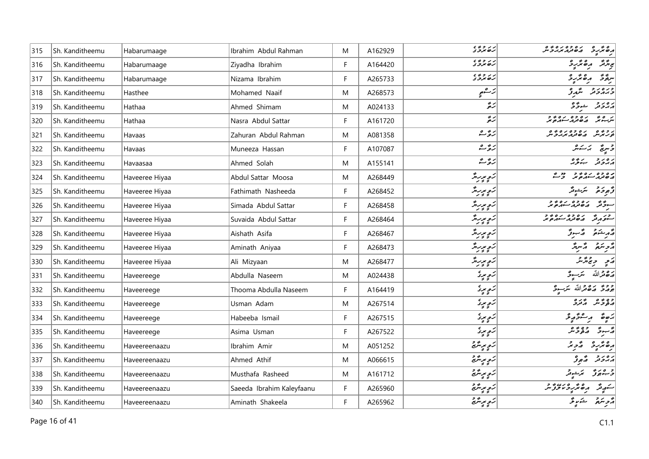| 315 | Sh. Kanditheemu | Habarumaage    | Ibrahim Abdul Rahman      | M         | A162929 | ر ر د ه ،<br>ره برو د                   | ر ٥ ۶ ٥ <i>٧ ٥ ٥ ٩</i><br>٩. @ تر ٨. <i>پر بر</i> <del>گ</del> ر<br>ەر ھەترىر <i>3</i> |
|-----|-----------------|----------------|---------------------------|-----------|---------|-----------------------------------------|----------------------------------------------------------------------------------------|
| 316 | Sh. Kanditheemu | Habarumaage    | Ziyadha Ibrahim           | F         | A164420 | ر ر د » ،<br>ره برو د                   | لمجوهزهر<br>ەرھەترىر <sup>ى</sup>                                                      |
| 317 | Sh. Kanditheemu | Habarumaage    | Nizama Ibrahim            | F         | A265733 | ر ر د » ،<br>ره برو د                   | سرچٌوَ<br>ە ھەترىر ۋ                                                                   |
| 318 | Sh. Kanditheemu | Hasthee        | Mohamed Naaif             | M         | A268573 | ئرشو                                    | و رە ر د<br><i>د بر</i> گرىر<br>سرەر                                                   |
| 319 | Sh. Kanditheemu | Hathaa         | Ahmed Shimam              | ${\sf M}$ | A024133 | رپچ                                     | ره رو در ده<br>پرېدن سنوگر                                                             |
| 320 | Sh. Kanditheemu | Hathaa         | Nasra Abdul Sattar        | F         | A161720 | رپچ                                     | ره وه ره د و<br>پره تر پر سر په تر<br>ىر بە ئە<br>مىزىبە ئىر                           |
| 321 | Sh. Kanditheemu | Havaas         | Zahuran Abdul Rahman      | M         | A081358 | ر پۇر                                   | ر ه د ه د ه د ه<br>پره تربر تر س<br>ر چەمبە<br>خوشەتتىرىپى                             |
| 322 | Sh. Kanditheemu | Havaas         | Muneeza Hassan            | F         | A107087 | ر پۇ شە                                 | ۇسچ بەسەر                                                                              |
| 323 | Sh. Kanditheemu | Havaasaa       | Ahmed Solah               | ${\sf M}$ | A155141 | ر پۇسىگە                                | ره ر و بر ده ه<br>پرېدونو کريدنوبر                                                     |
| 324 | Sh. Kanditheemu | Haveeree Hiyaa | Abdul Sattar Moosa        | M         | A268449 | ئەھ بىرىرىتر<br>ئىسىمە                  | ر ه وه ر ه د و<br>پرې تر د شهرې تر<br>دين مشر                                          |
| 325 | Sh. Kanditheemu | Haveeree Hiyaa | Fathimath Nasheeda        | F         | A268452 | ر<br>موسورېږ                            | تزجوخا متمشيقر                                                                         |
| 326 | Sh. Kanditheemu | Haveeree Hiyaa | Simada Abdul Sattar       | F         | A268458 | ا ئەھ بىرىرىد<br>ئىستىقىسى              | ر ٥ ر ٥ ر ٥ ر ٥<br>پره تر پر سه پر پر<br>سە ئۇ تىگر                                    |
| 327 | Sh. Kanditheemu | Haveeree Hiyaa | Suvaida Abdul Sattar      | F         | A268464 | ا تەھ بىرىر پۇ<br>ئىستىقىسى             | ر ٥ ۶ ٥ ٥ ٠ ٥ ٠<br>درحالمرور سوره بو<br>شىمۇ مەتىر                                     |
| 328 | Sh. Kanditheemu | Haveeree Hiyaa | Aishath Asifa             | F         | A268467 | ا ژه مرر پژ<br><u>شقید م</u>            | أقهر شكافه الأسبوق                                                                     |
| 329 | Sh. Kanditheemu | Haveeree Hiyaa | Aminath Aniyaa            | F         | A268473 | ر<br>موسورېږ                            | הכיתה הייתה                                                                            |
| 330 | Sh. Kanditheemu | Haveeree Hiyaa | Ali Mizyaan               | M         | A268477 | ر<br>موسورېژ                            | ە ئەھرىپەتكە                                                                           |
| 331 | Sh. Kanditheemu | Haveereege     | Abdulla Naseem            | M         | A024438 | ر<br>سوپېرو                             | أرة قرالله تترجع                                                                       |
| 332 | Sh. Kanditheemu | Haveereege     | Thooma Abdulla Naseem     | F         | A164419 | ر<br>سره پېړۍ                           | ووء بره و الله ترجو                                                                    |
| 333 | Sh. Kanditheemu | Haveereege     | Usman Adam                | ${\sf M}$ | A267514 | ر<br>سره ببرد                           | وەپ ھەرە                                                                               |
| 334 | Sh. Kanditheemu | Haveereege     | Habeeba Ismail            | F         | A267515 | ر<br>سوپېرو                             | ەرسىۋەيج<br>پرُحوَةٌ                                                                   |
| 335 | Sh. Kanditheemu | Haveereege     | Asima Usman               | F         | A267522 | ر<br>سره مورد                           | رمج سبزقر<br>و و پر مر<br>مرفر <del>پ</del> ر                                          |
| 336 | Sh. Kanditheemu | Haveereenaazu  | Ibrahim Amir              | M         | A051252 | ئە <sub>ھە</sub> بىر ئ <sup>ىرى</sup> ج | ە ھەترىر <sup>ە</sup><br>ړ څر تر                                                       |
| 337 | Sh. Kanditheemu | Haveereenaazu  | Ahmed Athif               | M         | A066615 | ر <sub>عو</sub> برېترنج                 | پروژو<br>رچم و                                                                         |
| 338 | Sh. Kanditheemu | Haveereenaazu  | Musthafa Rasheed          | ${\sf M}$ | A161712 | ئە <sub>ھە</sub> بىر مەڭتى<br>ئە        | و وره کرېدوگر                                                                          |
| 339 | Sh. Kanditheemu | Haveereenaazu  | Saeeda Ibrahim Kaleyfaanu | F         | A265960 | <br> ر <sub>ەپەرى</sub> ترى             | ىرە ئەرە دىن دىن<br>مەھ ئەرە بىرى ئىر<br>سئەرىتىر                                      |
| 340 | Sh. Kanditheemu | Haveereenaazu  | Aminath Shakeela          | F         | A265962 | ئە <sub>ھە</sub> بىر يىڭى<br>.          | أأروبترة فتكرفه                                                                        |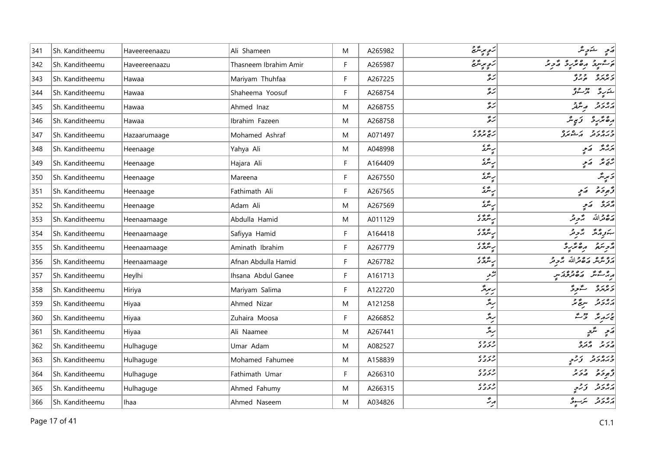| 341 | Sh. Kanditheemu | Haveereenaazu | Ali Shameen           | M  | A265982 | رَ <sub>مٍ م</sub> رِيَّن <sub>َ</sub> جُ | ړَر شَوَيْر                                   |
|-----|-----------------|---------------|-----------------------|----|---------|-------------------------------------------|-----------------------------------------------|
| 342 | Sh. Kanditheemu | Haveereenaazu | Thasneem Ibrahim Amir | F  | A265987 | لئوبريثي                                  | وكسرد وعترده ودبر                             |
| 343 | Sh. Kanditheemu | Hawaa         | Mariyam Thuhfaa       | F. | A267225 | رپچ                                       | ر ه بر ه<br><del>د</del> بر بر د<br>ەدىر      |
| 344 | Sh. Kanditheemu | Hawaa         | Shaheema Yoosuf       | F  | A268754 | رپچ                                       | ے کیے تھے<br>ت<br>دد د ه<br>در سرو            |
| 345 | Sh. Kanditheemu | Hawaa         | Ahmed Inaz            | M  | A268755 | ری                                        | رەرد مەشتر                                    |
| 346 | Sh. Kanditheemu | Hawaa         | Ibrahim Fazeen        | M  | A268758 | رپچ                                       | أرە ئۆر ئىس ئىل                               |
| 347 | Sh. Kanditheemu | Hazaarumaage  | Mohamed Ashraf        | M  | A071497 | ر پر و پر ی<br>رسح مرو <sub>ی</sub>       | ورەرو كەشىر                                   |
| 348 | Sh. Kanditheemu | Heenaage      | Yahya Ali             | M  | A048998 | ر پٿري<br>په                              | يره پژ کرمړ                                   |
| 349 | Sh. Kanditheemu | Heenaage      | Hajara Ali            | F  | A164409 | رپٹرند                                    | پور پر<br>رقع تئر<br>ەكىسى                    |
| 350 | Sh. Kanditheemu | Heenaage      | Mareena               | F  | A267550 | ر پڻري<br>په                              | وَبِرِيرٌ                                     |
| 351 | Sh. Kanditheemu | Heenaage      | Fathimath Ali         | F. | A267565 | ریٹرند                                    | وحموحهم<br>ەئىيە                              |
| 352 | Sh. Kanditheemu | Heenaage      | Adam Ali              | M  | A267569 | رپٹرند                                    | أوره أرمي                                     |
| 353 | Sh. Kanditheemu | Heenaamaage   | Abdulla Hamid         | M  | A011129 | ر پژوي<br>په مرد د                        | بڑونٹر<br><mark>بر22</mark> مرالله            |
| 354 | Sh. Kanditheemu | Heenaamaage   | Safiyya Hamid         | F  | A164418 | ر پڙھ<br>پي                               | بتورمز رمحوقه                                 |
| 355 | Sh. Kanditheemu | Heenaamaage   | Aminath Ibrahim       | F  | A267779 | ر پژو <sup>ي</sup>                        | أقربتهم وهقرة                                 |
| 356 | Sh. Kanditheemu | Heenaamaage   | Afnan Abdulla Hamid   | F  | A267782 | ر پژو <sup>ي</sup>                        | بره و محدث محمدالله محرور                     |
| 357 | Sh. Kanditheemu | Heylhi        | Ihsana Abdul Ganee    | F  | A161713 | ر<br>مرمو                                 | وروميش وە دەرىر                               |
| 358 | Sh. Kanditheemu | Hiriya        | Mariyam Salima        | F. | A122720 | ر بر پژ<br>مر                             | رەرە شوۋ                                      |
| 359 | Sh. Kanditheemu | Hiyaa         | Ahmed Nizar           | M  | A121258 | رېژ                                       | سریج تئر<br>بر 2 د 15<br>م.بر <del>5</del> تر |
| 360 | Sh. Kanditheemu | Hiyaa         | Zuhaira Moosa         | F  | A266852 | ىرچە                                      | دويم<br>چ ئەمرىتى<br>م                        |
| 361 | Sh. Kanditheemu | Hiyaa         | Ali Naamee            | M  | A267441 | رېژ                                       | ر<br>په پېښمنې                                |
| 362 | Sh. Kanditheemu | Hulhaguge     | Umar Adam             | M  | A082527 | و ر و ،<br>رى ى                           | $\overline{\mathcal{Z}}$<br>پور ہ<br>مرکز     |
| 363 | Sh. Kanditheemu | Hulhaguge     | Mohamed Fahumee       | M  | A158839 | و ر و ،<br>رند و و                        | ورەرو تەر                                     |
| 364 | Sh. Kanditheemu | Hulhaguge     | Fathimath Umar        | F  | A266310 | و ر و ،<br>رى ى                           | توجدة ورد                                     |
| 365 | Sh. Kanditheemu | Hulhaguge     | Ahmed Fahumy          | M  | A266315 | و ر و ،<br>رؤى ى                          | رەر در                                        |
| 366 | Sh. Kanditheemu | Ihaa          | Ahmed Naseem          | M  | A034826 | وش                                        | رەر د سرّبەۋ                                  |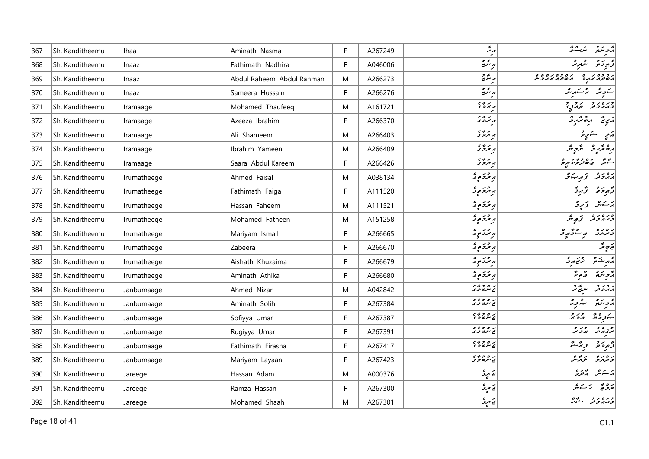| 367 | Sh. Kanditheemu | Ihaa        | Aminath Nasma             | F  | A267249 | ويح                        | ىئرىشۇ<br>أرمحه سرد                                                                                                                                                                                                                                     |
|-----|-----------------|-------------|---------------------------|----|---------|----------------------------|---------------------------------------------------------------------------------------------------------------------------------------------------------------------------------------------------------------------------------------------------------|
| 368 | Sh. Kanditheemu | Inaaz       | Fathimath Nadhira         | F. | A046006 | وبثني                      | و په پر د<br>سٌروبرٌ                                                                                                                                                                                                                                    |
| 369 | Sh. Kanditheemu | Inaaz       | Abdul Raheem Abdul Rahman | M  | A266273 | ەر سرچ                     | ره وه ره مسره ده دره وه<br>پره توپر <i>تر پر چې پر تر پر چ</i> س                                                                                                                                                                                        |
| 370 | Sh. Kanditheemu | lnaaz       | Sameera Hussain           | F. | A266276 | ەرسىتى                     | برسەمەر<br>سكوپر                                                                                                                                                                                                                                        |
| 371 | Sh. Kanditheemu | Iramaage    | Mohamed Thaufeeq          | M  | A161721 | بر بو د ،<br>بر بود د      | כנים ניבי בי                                                                                                                                                                                                                                            |
| 372 | Sh. Kanditheemu | Iramaage    | Azeeza Ibrahim            | F  | A266370 | د بوره د<br>م بورگ         | دە ئەرچ<br>رسمج تج                                                                                                                                                                                                                                      |
| 373 | Sh. Kanditheemu | Iramaage    | Ali Shameem               | M  | A266403 | د بود و<br>د بور و         | ستورد<br>ړ<br>مړينې                                                                                                                                                                                                                                     |
| 374 | Sh. Kanditheemu | Iramaage    | Ibrahim Yameen            | M  | A266409 | د بوره د<br>م بورگ         | ېژ <sub>چ</sub> بر                                                                                                                                                                                                                                      |
| 375 | Sh. Kanditheemu | Iramaage    | Saara Abdul Kareem        | F  | A266426 | ەر بىرى                    | د ده دور ده ده د                                                                                                                                                                                                                                        |
| 376 | Sh. Kanditheemu | Irumatheege | Ahmed Faisal              | M  | A038134 | ېر پر دې<br>بر بردې پي     | برەرد ۋەسكى                                                                                                                                                                                                                                             |
| 377 | Sh. Kanditheemu | Irumatheege | Fathimath Faiga           | F. | A111520 | ېر تر دې<br>رسمر د ځو      | ۇ بوز ە                                                                                                                                                                                                                                                 |
| 378 | Sh. Kanditheemu | Irumatheege | Hassan Faheem             | M  | A111521 | ېر بر دې<br>بر بر دې       | برسەيىتە                                                                                                                                                                                                                                                |
| 379 | Sh. Kanditheemu | Irumatheege | Mohamed Fatheen           | M  | A151258 | وبرزوء                     | و ره ر د<br><i>و پر</i> پر تر<br>تو جو مثر                                                                                                                                                                                                              |
| 380 | Sh. Kanditheemu | Irumatheege | Mariyam Ismail            | F  | A266665 | د بر دې<br>بر بر دې        | ەرسىۋەيۋ<br>ر ه ر ه<br><del>ر</del> بربر و                                                                                                                                                                                                              |
| 381 | Sh. Kanditheemu | Irumatheege | Zabeera                   | F. | A266670 | د بر دې<br>بر بر دې د      | ر<br>ناھي<br>م                                                                                                                                                                                                                                          |
| 382 | Sh. Kanditheemu | Irumatheege | Aishath Khuzaima          | F. | A266679 | ېر پر دې<br>پر پر دې       | و د کرد د کار د کار د کار د کار د کار د کار د کار د کار د کار د کار د کار د کار د کار د کار د کار د کار د کار<br>د کار د کار د کار د کار د کار د کار د کار د کار د کار د کار د کار د کار د کار د کار د کار د کار د کار د کار د<br>جە ئەرى <del>كى</del> |
| 383 | Sh. Kanditheemu | Irumatheege | Aminath Athika            | F  | A266680 | لرېږدي                     | رژه ژ<br>أأروسهم                                                                                                                                                                                                                                        |
| 384 | Sh. Kanditheemu | Janbumaage  | Ahmed Nizar               | M  | A042842 | ر ه و و »<br>بح سرحه و د   | ر ه ر د<br>پر ژونر<br>سريح تر                                                                                                                                                                                                                           |
| 385 | Sh. Kanditheemu | Janbumaage  | Aminath Solih             | F  | A267384 | ر ه د و و ،<br>قع سره تر د | بڈور<br>أرمز بترة                                                                                                                                                                                                                                       |
| 386 | Sh. Kanditheemu | Janbumaage  | Sofiyya Umar              | F  | A267387 | ر ه د و »<br>تع سرحه تر د  | يئوره پژ<br>و ر و<br>در س                                                                                                                                                                                                                               |
| 387 | Sh. Kanditheemu | Janbumaage  | Rugiyya Umar              | F  | A267391 | ر ه و و »<br>تع سرچ تر د   | جە تەرەپە<br>مەنبەر مەنبە<br>ەرىر                                                                                                                                                                                                                       |
| 388 | Sh. Kanditheemu | Janbumaage  | Fathimath Firasha         | F  | A267417 | ر ه د و و<br>نح سرچ تر د   | و مرد<br>اقرام در د<br>وبرثيثة                                                                                                                                                                                                                          |
| 389 | Sh. Kanditheemu | Janbumaage  | Mariyam Layaan            | F  | A267423 | ر ه د و و ،<br>تع سرچ تر ی | ر ه بر ه<br><del>و</del> بربر و<br>ئەۋىر                                                                                                                                                                                                                |
| 390 | Sh. Kanditheemu | Jareege     | Hassan Adam               | M  | A000376 | ر<br>تع مورد               | ئەسەئى <sup>د</sup><br>پور ہ<br>مرتزو                                                                                                                                                                                                                   |
| 391 | Sh. Kanditheemu | Jareege     | Ramza Hassan              | F  | A267300 | ر م<br>انع مورد<br>ا       | بر ہ م<br>مرد م                                                                                                                                                                                                                                         |
| 392 | Sh. Kanditheemu | Jareege     | Mohamed Shaah             | M  | A267301 | ر<br>قع مورگ               | ورەر دەر                                                                                                                                                                                                                                                |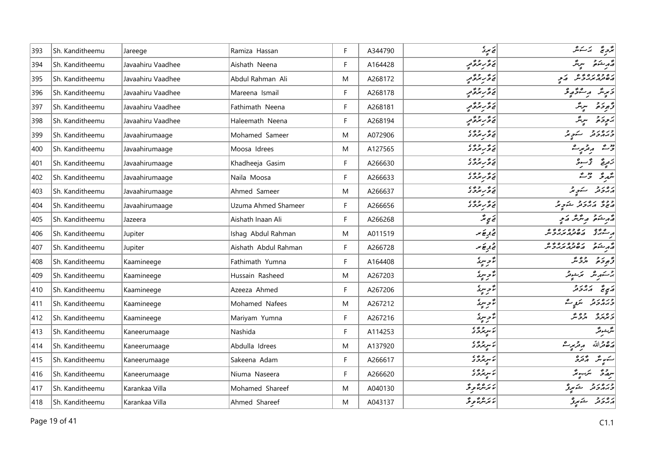| 393 | Sh. Kanditheemu | Jareege           | Ramiza Hassan        | F  | A344790 | <br>  تع سمي <sup>5</sup>              | ترویخ اندکشر                                        |
|-----|-----------------|-------------------|----------------------|----|---------|----------------------------------------|-----------------------------------------------------|
| 394 | Sh. Kanditheemu | Javaahiru Vaadhee | Aishath Neena        | F. | A164428 | <br>  ئ قرىر ترقد مېر                  | و د شکوه سرمگر                                      |
| 395 | Sh. Kanditheemu | Javaahiru Vaadhee | Abdul Rahman Ali     | M  | A268172 | ئەڭرىر ئەر                             | ره وه ره ده به در در د                              |
| 396 | Sh. Kanditheemu | Javaahiru Vaadhee | Mareena Ismail       | F. | A268178 | پر گرېرگە تېر                          | برىشۇپەيۋ<br>ۇ ئېرىت <sub>ىر</sub>                  |
| 397 | Sh. Kanditheemu | Javaahiru Vaadhee | Fathimath Neena      | F  | A268181 | <br>  ئ قرىر برگەنو                    | ۇ بوخۇ<br>سریٹر                                     |
| 398 | Sh. Kanditheemu | Javaahiru Vaadhee | Haleemath Neena      | F  | A268194 | ر و بر و و بر<br>محمد برگرمو           | يُبودُو سِرِيْرٌ                                    |
| 399 | Sh. Kanditheemu | Javaahirumaage    | Mohamed Sameer       | M  | A072906 | پر څر پر څر ئ                          | و ر ه ر د<br>د بر پر تر<br>سكوير                    |
| 400 | Sh. Kanditheemu | Javaahirumaage    | Moosa Idrees         | M  | A127565 | ر پر پر پر پر<br>نے تر پر پر پر        | وژیځ پروژبې <sup>م</sup> کا                         |
| 401 | Sh. Kanditheemu | Javaahirumaage    | Khadheeja Gasim      | F  | A266630 | پر څر پر چري                           | تزمريح تخرجو                                        |
| 402 | Sh. Kanditheemu | Javaahirumaage    | Naila Moosa          | F  | A266633 | ریم رحمہ ی<br>  ہے جگہ مرکز ی          | ىتىدىخە<br>دريم                                     |
| 403 | Sh. Kanditheemu | Javaahirumaage    | Ahmed Sameer         | M  | A266637 | پر څر پر چري                           | رەرو سەچە                                           |
| 404 | Sh. Kanditheemu | Javaahirumaage    | Uzuma Ahmed Shameer  | F. | A266656 | پر څر پر چري<br>  پر چرچ <sub>چر</sub> | ووه رورو شرور                                       |
| 405 | Sh. Kanditheemu | Jazeera           | Aishath Inaan Ali    | F  | A266268 | ئے بچے مگر                             | ە ئەشكەر مەنگەر كەير                                |
| 406 | Sh. Kanditheemu | Jupiter           | Ishag Abdul Rahman   | M  | A011519 | 2 بوڪ سر                               | ەمەە رەدەرەمەە<br>مەسىرى مەھەممەمەر                 |
| 407 | Sh. Kanditheemu | Jupiter           | Aishath Abdul Rahman | F  | A266728 | قح بوڪ <sub>ا</sub> سر                 | ر ه و و ه ر ه د ه<br>پره تعربر تر س<br>و د مشتر د م |
| 408 | Sh. Kanditheemu | Kaamineege        | Fathimath Yumna      | F. | A164408 | مۇجەسرى<br>مەس                         | توجدة المرداني                                      |
| 409 | Sh. Kanditheemu | Kaamineege        | Hussain Rasheed      | M  | A267203 | مڈحہ سر <sup>ی</sup><br>مسرح           | رحم مكر مكان المحرم والمحر                          |
| 410 | Sh. Kanditheemu | Kaamineege        | Azeeza Ahmed         | F. | A267206 | مڈحہ سر <sup>ی</sup><br>مسرح           | كەنچ قىم كەر د                                      |
| 411 | Sh. Kanditheemu | Kaamineege        | Mohamed Nafees       | M  | A267212 | مڈحہ سرچ<br>م                          | ورەرو شرت                                           |
| 412 | Sh. Kanditheemu | Kaamineege        | Mariyam Yumna        | F  | A267216 | نۇ جەسىئە<br>سىرسىيە                   | و ه مر<br>مرد س<br>ر ه ر ه<br><del>ر</del> بربر د   |
| 413 | Sh. Kanditheemu | Kaneerumaage      | Nashida              | F  | A114253 | ر<br>رأ سر پر ژ د                      | مگرىشوتگر<br>م                                      |
| 414 | Sh. Kanditheemu | Kaneerumaage      | Abdulla Idrees       | M  | A137920 | ر سرچري<br>موسرچري                     | <b>بر25</b> مرالله<br>ىر قرىر شە                    |
| 415 | Sh. Kanditheemu | Kaneerumaage      | Sakeena Adam         | F  | A266617 | ر<br>ئەسر پر دى                        | سەر شەھرە                                           |
| 416 | Sh. Kanditheemu | Kaneerumaage      | Niuma Naseera        | F  | A266620 | ر سرچر <sup>ي</sup>                    | أسمدة أأسبوس                                        |
| 417 | Sh. Kanditheemu | Karankaa Villa    | Mohamed Shareef      | M  | A040130 | ئەنئەرتقى ئوق                          | و ره ر د<br>تر پر ژنر<br>ىشكىرۇ                     |
| 418 | Sh. Kanditheemu | Karankaa Villa    | Ahmed Shareef        | M  | A043137 | ئە ئەشرىئۇمۇ قە                        | رەرد خىرو                                           |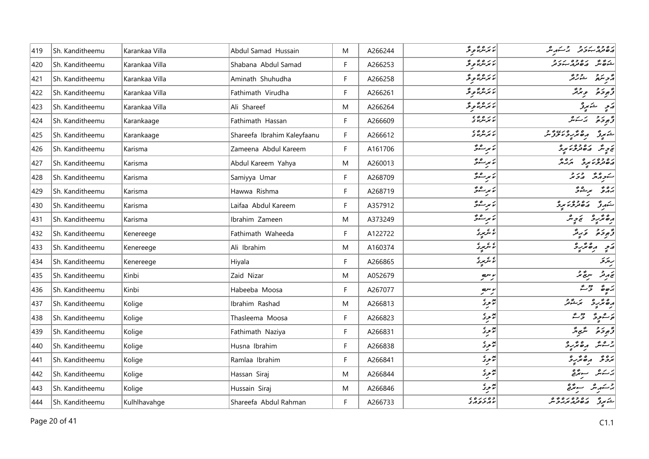| 419 | Sh. Kanditheemu | Karankaa Villa | Abdul Samad Hussain         | ${\sf M}$ | A266244 | ئەندىئە ھەمە                                      | رە دە رىرد برگىرىش                                                                                                      |
|-----|-----------------|----------------|-----------------------------|-----------|---------|---------------------------------------------------|-------------------------------------------------------------------------------------------------------------------------|
| 420 | Sh. Kanditheemu | Karankaa Villa | Shabana Abdul Samad         | F         | A266253 | ئەبر رەپرىتى                                      | ر ده شهر ده وه ر ر د<br>شوخه شهر شهر مسرو تر                                                                            |
| 421 | Sh. Kanditheemu | Karankaa Villa | Aminath Shuhudha            | F         | A266258 | ئەنگەرىگە بوڭر                                    | أأزجر سكرة المشارقة                                                                                                     |
| 422 | Sh. Kanditheemu | Karankaa Villa | Fathimath Virudha           | F         | A266261 | ئەنئەرىئ <sup>ى</sup> بو قە                       | ومجموحه وممتر                                                                                                           |
| 423 | Sh. Kanditheemu | Karankaa Villa | Ali Shareef                 | ${\sf M}$ | A266264 | ئەنگەرىگە بەرگە                                   | أەكىم ئىسكىنى ئىچە ئىچە ئىسكى ئىسكى ئىسكى ئىسكى ئىسكى ئىسكى ئىسكى ئىسكى ئىسكى ئىسكى ئىسكى ئىسكى ئىسكى ئىسكى ئى<br>مەنبە |
| 424 | Sh. Kanditheemu | Karankaage     | Fathimath Hassan            | F         | A266609 | ر ره و د ،<br>ما <del>ب</del> ر مرتز <sub>ک</sub> | ۇ بودۇ بارىك                                                                                                            |
| 425 | Sh. Kanditheemu | Karankaage     | Shareefa Ibrahim Kaleyfaanu | F         | A266612 | ر ر ه و و ،<br>ما ترس د د                         | خور مەنزىرە                                                                                                             |
| 426 | Sh. Kanditheemu | Karisma        | Zameena Abdul Kareem        | F         | A161706 | ئەبىر يەمۇ                                        | ى چىگە ھەھرورىمبرد                                                                                                      |
| 427 | Sh. Kanditheemu | Karisma        | Abdul Kareem Yahya          | ${\sf M}$ | A260013 | لأمر يثمرثه                                       | גם כפגם גם ביל                                                                                                          |
| 428 | Sh. Kanditheemu | Karisma        | Samiyya Umar                | F         | A268709 | لأبرعيق                                           | سومہ درو                                                                                                                |
| 429 | Sh. Kanditheemu | Karisma        | Hawwa Rishma                | F         | A268719 | لأبرسثاقر                                         | ) ئەرەپ بىرىشى ئە                                                                                                       |
| 430 | Sh. Kanditheemu | Karisma        | Laifaa Abdul Kareem         | F         | A357912 | لأبرعث                                            | ره وه ره<br>پره ترور برو<br>سەر ۋ                                                                                       |
| 431 | Sh. Kanditheemu | Karisma        | Ibrahim Zameen              | M         | A373249 | ر<br>رأ موسكون                                    | ېر چې پېر د<br>بر ځانگړ<br>ىئ جەنگر                                                                                     |
| 432 | Sh. Kanditheemu | Kenereege      | Fathimath Waheeda           | F         | A122722 | ى<br>ئامىرىپرى                                    | وتجوزه ورقر                                                                                                             |
| 433 | Sh. Kanditheemu | Kenereege      | Ali Ibrahim                 | ${\sf M}$ | A160374 | ى<br>ئامىرىيەنچ                                   | $\begin{array}{cc} \circ & \circ & \circ \\ \circ & \circ & \circ \\ \circ & \circ & \circ \end{array}$                 |
| 434 | Sh. Kanditheemu | Kenereege      | Hiyala                      | F         | A266865 | ع مثر سر مح<br> <br> <br>                         | رىزى                                                                                                                    |
| 435 | Sh. Kanditheemu | Kinbi          | Zaid Nizar                  | ${\sf M}$ | A052679 | ر سرچ<br>ر                                        | $\overline{\mathcal{Z}_{\mathcal{C}_{\mathcal{F}}}^{\mathcal{Z}_{\mathcal{F}}}}$                                        |
| 436 | Sh. Kanditheemu | Kinbi          | Habeeba Moosa               | F         | A267077 | ر سرچ<br>ر                                        | دريم                                                                                                                    |
| 437 | Sh. Kanditheemu | Kolige         | Ibrahim Rashad              | M         | A266813 | بو<br>ماھرى                                       | ىر شەھر                                                                                                                 |
| 438 | Sh. Kanditheemu | Kolige         | Thasleema Moosa             | F         | A266823 | لقمربح                                            | ە ئەمۇر<br>دو مح                                                                                                        |
| 439 | Sh. Kanditheemu | Kolige         | Fathimath Naziya            | F         | A266831 | بو<br>مامور                                       | ۇ ب <sub>و</sub> ر د<br>سَّدِيم تَرَ                                                                                    |
| 440 | Sh. Kanditheemu | Kolige         | Husna Ibrahim               | F         | A266838 | لتعري                                             |                                                                                                                         |
| 441 | Sh. Kanditheemu | Kolige         | Ramlaa Ibrahim              | F         | A266841 | پر د<br>ماھرى                                     | $rac{1}{2}$                                                                                                             |
| 442 | Sh. Kanditheemu | Kolige         | Hassan Siraj                | ${\sf M}$ | A266844 | بو<br>موس                                         | ىر كەشرا سەتتىرقى                                                                                                       |
| 443 | Sh. Kanditheemu | Kolige         | Hussain Siraj               | ${\sf M}$ | A266846 | لتعريجه                                           | برسكور شريدهم                                                                                                           |
| 444 | Sh. Kanditheemu | Kulhlhavahge   | Shareefa Abdul Rahman       | F         | A266733 | و ه ر ر ه ،<br>ما پر نو پر ی                      | ره وه ره ده<br>پره تربر تر تر<br>شەمرۇ                                                                                  |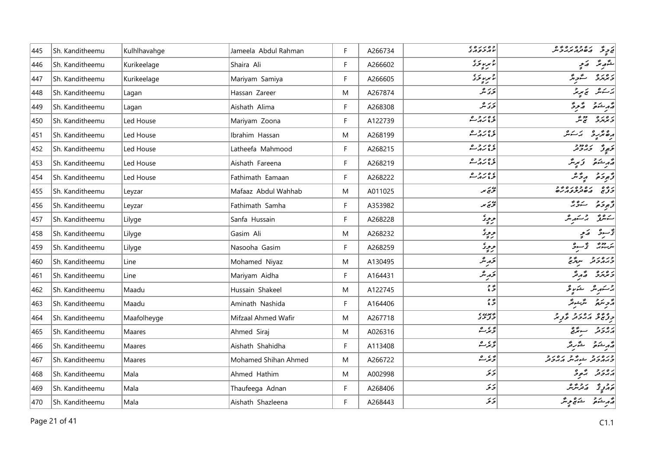| 445 | Sh. Kanditheemu | Kulhlhavahge | Jameela Abdul Rahman | F         | A266734 | وه ر ر ه ،<br>ماړ نوار د | ره وه ره <i>و و.</i><br>پره تر پر تر تر تر<br>ئے <sub>تو</sub> تخر |
|-----|-----------------|--------------|----------------------|-----------|---------|--------------------------|--------------------------------------------------------------------|
| 446 | Sh. Kanditheemu | Kurikeelage  | Shaira Ali           | F         | A266602 | ئەبىر بويى<br>           | ڪوپڙ<br>ەتىر                                                       |
| 447 | Sh. Kanditheemu | Kurikeelage  | Mariyam Samiya       | F         | A266605 | ر<br>با تور بو توی       | $rac{\circ}{\circ}$                                                |
| 448 | Sh. Kanditheemu | Lagan        | Hassan Zareer        | M         | A267874 | ىز ئەھر                  | برسەيىتە<br>ىج ئىرىتر                                              |
| 449 | Sh. Kanditheemu | Lagan        | Aishath Alima        | F         | A268308 | ىز ئەھ                   | رٌورٌ<br>پ <sup>و</sup> پر شوې                                     |
| 450 | Sh. Kanditheemu | Led House    | Mariyam Zoona        | F         | A122739 | <sup>ى 2</sup> ىر ئە     | دو محر<br>سم<br>ويوبره                                             |
| 451 | Sh. Kanditheemu | Led House    | Ibrahim Hassan       | M         | A268199 | <sup>ى 2</sup> ىر ئەھ    | ەر ھەترىر <i>3</i><br>برَسەمىر                                     |
| 452 | Sh. Kanditheemu | Led House    | Latheefa Mahmood     | F         | A268215 | <sup>ى 2</sup> ىر ئەھ    | تَرْجٍ وَّ<br>ر ه دو و<br>تربر <del>و</del> تر                     |
| 453 | Sh. Kanditheemu | Led House    | Aishath Fareena      | F         | A268219 | <sup>ى 2</sup> ىر ئە     | ە ئەھمە ئەيدىگە                                                    |
| 454 | Sh. Kanditheemu | Led House    | Fathimath Eamaan     | F         | A268222 | <sup>ى 2</sup> ىر ئە     | قهوخو رومر                                                         |
| 455 | Sh. Kanditheemu | Leyzar       | Mafaaz Abdul Wahhab  | M         | A011025 | ے ر<br>محریم مر          |                                                                    |
| 456 | Sh. Kanditheemu | Leyzar       | Fathimath Samha      | F         | A353982 | در<br>موسح مر            | سەۋېر<br>ا تۇ ج <sub>و</sub> تر م                                  |
| 457 | Sh. Kanditheemu | Lilyge       | Sanfa Hussain        | F         | A268228 | موموتى<br>مرتو           | سەھۇ<br>برسەمەمىر                                                  |
| 458 | Sh. Kanditheemu | Lilyge       | Gasim Ali            | ${\sf M}$ | A268232 | مومور<br>مربو            | لتحسوه ارتمع                                                       |
| 459 | Sh. Kanditheemu | Lilyge       | Nasooha Gasim        | F         | A268259 | مومور<br>مرتو            | ىئەر جۇ ئى<br>تۇسىۋ                                                |
| 460 | Sh. Kanditheemu | Line         | Mohamed Niyaz        | ${\sf M}$ | A130495 | ځه پګر                   | و ره ر د<br><i>د بر</i> پر تر<br>سرپر د                            |
| 461 | Sh. Kanditheemu | Line         | Mariyam Aidha        | F         | A164431 | ځه پګر                   | ويرمرو ومرتز                                                       |
| 462 | Sh. Kanditheemu | Maadu        | Hussain Shakeel      | M         | A122745 | っこ                       | چە يەر ھەر يۇر                                                     |
| 463 | Sh. Kanditheemu | Maadu        | Aminath Nashida      | F         | A164406 | ?彡                       | أترم سكرة التكريشوند                                               |
| 464 | Sh. Kanditheemu | Maafolheyge  | Mifzaal Ahmed Wafir  | M         | A267718 | په پوړ، ،<br>و تو لر و   | ووجو مهجعه وزبر                                                    |
| 465 | Sh. Kanditheemu | Maares       | Ahmed Siraj          | M         | A026316 | ۇ ئەر ھ                  | رەر ئىستىقى                                                        |
| 466 | Sh. Kanditheemu | Maares       | Aishath Shahidha     | F         | A113408 | ۇ ئەر ھ                  | قەرشۇق شۇرىتى                                                      |
| 467 | Sh. Kanditheemu | Maares       | Mohamed Shihan Ahmed | ${\sf M}$ | A266722 | ۇ ئەر ھ                  | ورەرو شەر كەرەرو<br>دېرمەدىر شەرىر كەبروىر                         |
| 468 | Sh. Kanditheemu | Mala         | Ahmed Hathim         | ${\sf M}$ | A002998 | ىزى                      | رەر ئەرە                                                           |
| 469 | Sh. Kanditheemu | Mala         | Thaufeega Adnan      | F         | A268406 | ىزى                      | ە ئەرتىرىتر<br>ە دېم تو تۇ                                         |
| 470 | Sh. Kanditheemu | Mala         | Aishath Shazleena    | F         | A268443 | رىز                      | ۇرىشۇ ھەتتى بويىگە                                                 |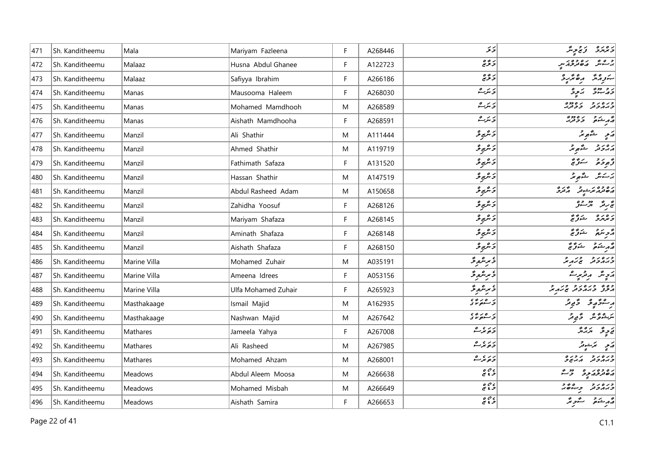| 471 | Sh. Kanditheemu | Mala         | Mariyam Fazleena    | $\mathsf F$ | A268446 | ىزى                                                                          | د وړه د د پره                                              |
|-----|-----------------|--------------|---------------------|-------------|---------|------------------------------------------------------------------------------|------------------------------------------------------------|
| 472 | Sh. Kanditheemu | Malaaz       | Husna Abdul Ghanee  | F           | A122723 | ر پر ه<br><del>ر</del> نرم                                                   | و و پر دووه سر                                             |
| 473 | Sh. Kanditheemu | Malaaz       | Safiyya Ibrahim     | $\mathsf F$ | A266186 | ر پر ه<br><del>ر</del> نرم                                                   | بنورش رەئدىي                                               |
| 474 | Sh. Kanditheemu | Manas        | Mausooma Haleem     | F           | A268030 | ى ئىر مىشە                                                                   | ر د دره                                                    |
| 475 | Sh. Kanditheemu | Manas        | Mohamed Mamdhooh    | M           | A268589 | ى ئىر مىشە                                                                   | ر ه دوه<br>تر تر <i>بر</i><br>و ره ر و<br><i>و بر</i> د تر |
| 476 | Sh. Kanditheemu | Manas        | Aishath Mamdhooha   | F.          | A268591 | ئە ئىر م                                                                     | ه مشور ده دوم.<br>او مشور دو در                            |
| 477 | Sh. Kanditheemu | Manzil       | Ali Shathir         | M           | A111444 | ئەمپر بۇ                                                                     | ړې ش <sub>م</sub> وند                                      |
| 478 | Sh. Kanditheemu | Manzil       | Ahmed Shathir       | ${\sf M}$   | A119719 | ۇ ئىرىپو ئى                                                                  | رەر ئەھمىر                                                 |
| 479 | Sh. Kanditheemu | Manzil       | Fathimath Safaza    | F           | A131520 | ئەنگەپو ئى                                                                   | وحجمج وحمح<br>سە ئەستى                                     |
| 480 | Sh. Kanditheemu | Manzil       | Hassan Shathir      | M           | A147519 | ئەمپرى <sub>ۋ</sub>                                                          | بر سے مگر ہو ہے                                            |
| 481 | Sh. Kanditheemu | Manzil       | Abdul Rasheed Adam  | M           | A150658 | 5 يرىپو پىر                                                                  | ן פרסן<br>גיש <i>נגיל ייבינגר</i> ולנגיב                   |
| 482 | Sh. Kanditheemu | Manzil       | Zahidha Yoosuf      | F           | A268126 | ئەنئىبى پى                                                                   | يح په قرار ده ده<br>مخ په قرار ده                          |
| 483 | Sh. Kanditheemu | Manzil       | Mariyam Shafaza     | F           | A268145 | ئەشىر ۋ                                                                      | ره ره بروند                                                |
| 484 | Sh. Kanditheemu | Manzil       | Aminath Shafaza     | $\mathsf F$ | A268148 | ئەمپر بۇ                                                                     | ړ څخه شرقونځ                                               |
| 485 | Sh. Kanditheemu | Manzil       | Aishath Shafaza     | F           | A268150 | ۇ ئىرىپە ۋ                                                                   | ۇرشۇ شۆر                                                   |
| 486 | Sh. Kanditheemu | Marine Villa | Mohamed Zuhair      | ${\sf M}$   | A035191 | ۇ برى <sub>نى ب</sub> ۇ                                                      |                                                            |
| 487 | Sh. Kanditheemu | Marine Villa | Ameena Idrees       | F.          | A053156 | ۇ <sub>مرى</sub> تر <sub>ىر</sub> ئۇ                                         | أترجيش ويتزبيث                                             |
| 488 | Sh. Kanditheemu | Marine Villa | Ulfa Mohamed Zuhair | F           | A265923 | د <sub>مر</sub> بر <sub>عر</sub> وً                                          | 2000 20000 2000                                            |
| 489 | Sh. Kanditheemu | Masthakaage  | Ismail Majid        | M           | A162935 | ر ۱۵۷۵.<br>د سوماړ                                                           | ر جۇرگە ئەيز                                               |
| 490 | Sh. Kanditheemu | Masthakaage  | Nashwan Majid       | M           | A267642 | ر ۱۵۷۵<br><del>د</del> سومان                                                 | برودي ويحيى                                                |
| 491 | Sh. Kanditheemu | Mathares     | Jameela Yahya       | F           | A267008 | ىر ر <sub>ى ھ</sub>                                                          | ر و تر ارداد<br>انحاج تر ارداد                             |
| 492 | Sh. Kanditheemu | Mathares     | Ali Rasheed         | M           | A267985 | ىر ر <sub>ى</sub> ھ                                                          | أة مح الم يتشوقر                                           |
| 493 | Sh. Kanditheemu | Mathares     | Mohamed Ahzam       | M           | A268001 | ر ر ، م<br><del>ر</del> مر مر                                                | כנסנכ נכנס                                                 |
| 494 | Sh. Kanditheemu | Meadows      | Abdul Aleem Moosa   | M           | A266638 | 282                                                                          | גם כסג <sub>בה</sub> כ"כ"ל ב                               |
| 495 | Sh. Kanditheemu | Meadows      | Mohamed Misbah      | M           | A266649 | $\overset{o}{\mathcal{E}} \overset{c}{\mathcal{E}} \overset{c}{\mathcal{S}}$ | و ر ه ر د<br>تر پر ژ تر<br>$70 - 7$                        |
| 496 | Sh. Kanditheemu | Meadows      | Aishath Samira      | $\mathsf F$ | A266653 | $\overset{o}{\mathcal{E}} \overset{c}{\mathcal{E}} \overset{c}{\mathcal{S}}$ | لقهر يشتمون ستحريم                                         |
|     |                 |              |                     |             |         |                                                                              |                                                            |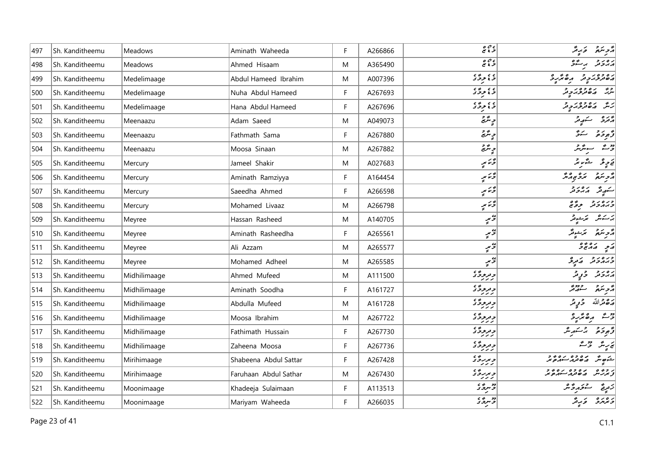| 497 | Sh. Kanditheemu | Meadows        | Aminath Waheeda       | F  | A266866 | 2000                                                                          | ومحر سرد<br>ءَ پرِ تَرُ                                             |
|-----|-----------------|----------------|-----------------------|----|---------|-------------------------------------------------------------------------------|---------------------------------------------------------------------|
| 498 | Sh. Kanditheemu | <b>Meadows</b> | Ahmed Hisaam          | M  | A365490 | $\overset{o}{\phantom{}}\,\overset{o}{\phantom{}}\,\overset{o}{\phantom{}}\,$ | رەرد رىپى                                                           |
| 499 | Sh. Kanditheemu | Medelimaage    | Abdul Hameed Ibrahim  | M  | A007396 | ه ، د و ،<br>و ، و و د                                                        | גפנג'קנג גליליק                                                     |
| 500 | Sh. Kanditheemu | Medelimaage    | Nuha Abdul Hameed     | F. | A267693 | وبالمردى                                                                      | وو ده ووور و<br>سرز م <i>ناه تروب</i> روتر                          |
| 501 | Sh. Kanditheemu | Medelimaage    | Hana Abdul Hameed     | F  | A267696 | ه ، د و .<br>د ، مرد د                                                        | ر په ده ده د د د                                                    |
| 502 | Sh. Kanditheemu | Meenaazu       | Adam Saeed            | M  | A049073 | جريثر                                                                         | پر رہ<br>دگرو<br>ستهيقر                                             |
| 503 | Sh. Kanditheemu | Meenaazu       | Fathmath Sama         | F  | A267880 | حريثر فح                                                                      | ستریخ<br>وٌجوحه                                                     |
| 504 | Sh. Kanditheemu | Meenaazu       | Moosa Sinaan          | M  | A267882 | ىر پىرى<br>ئو                                                                 | وتر محير<br>سەمئرىتر                                                |
| 505 | Sh. Kanditheemu | Mercury        | Jameel Shakir         | M  | A027683 | ځرنمبر                                                                        | قادرٍ و الشرار الم                                                  |
| 506 | Sh. Kanditheemu | Mercury        | Aminath Ramziyya      | F  | A164454 | ځرنمې                                                                         | بروبي مهر<br>و څخه سرچ                                              |
| 507 | Sh. Kanditheemu | Mercury        | Saeedha Ahmed         | F. | A266598 | اقحزميه                                                                       | بر ہ بر د<br>م <i>ر</i> بر <del>د</del> تر<br>سەر قر                |
| 508 | Sh. Kanditheemu | Mercury        | Mohamed Livaaz        | M  | A266798 | ځرنمې                                                                         | وره رو دره<br>وبردونر ودگن                                          |
| 509 | Sh. Kanditheemu | Meyree         | Hassan Rasheed        | M  | A140705 | ر<br>ترسمي                                                                    | ىزىسكاش ئىزىشىدىگر                                                  |
| 510 | Sh. Kanditheemu | Meyree         | Aminath Rasheedha     | F  | A265561 | اء<br>حسي                                                                     | مزويتم تمنيتر                                                       |
| 511 | Sh. Kanditheemu | Meyree         | Ali Azzam             | M  | A265577 | ره<br>حرمي                                                                    | $3801$ $20$                                                         |
| 512 | Sh. Kanditheemu | Meyree         | Mohamed Adheel        | M  | A265585 | اءِ پر                                                                        | ورەرو كەيدى                                                         |
| 513 | Sh. Kanditheemu | Midhilimaage   | Ahmed Mufeed          | M  | A111500 | او درود و ؟<br>اب                                                             | رەر دېر                                                             |
| 514 | Sh. Kanditheemu | Midhilimaage   | Aminath Soodha        | F  | A161727 | او درود و ؟<br><u>ر در</u>                                                    | ر دود پر<br>مستوجد تعر<br>أرمز يتزه                                 |
| 515 | Sh. Kanditheemu | Midhilimaage   | Abdulla Mufeed        | M  | A161728 | و درودگی<br>ر ر ر                                                             | برە داللە دېرىر                                                     |
| 516 | Sh. Kanditheemu | Midhilimaage   | Moosa Ibrahim         | M  | A267722 | وىروۇ ئى<br>  <u>رىرى</u> ر                                                   | $\begin{array}{cc} 0 & 0 & 0 \\ 0 & 0 & 0 \\ 0 & 0 & 0 \end{array}$ |
| 517 | Sh. Kanditheemu | Midhilimaage   | Fathimath Hussain     | F  | A267730 | و درودگی<br>ر ر ر                                                             | توجوحو برخيره                                                       |
| 518 | Sh. Kanditheemu | Midhilimaage   | Zaheena Moosa         | F  | A267736 | و درودگی<br>بر بر بر                                                          | ئىمەسىتىر<br> <br>ديو مشر                                           |
| 519 | Sh. Kanditheemu | Mirihimaage    | Shabeena Abdul Sattar | F. | A267428 | د برر دمی<br>ر ر ر                                                            | ر ه د ه ر ه د و<br>پره نوبر سوبر و بر<br>شەھ بىگر                   |
| 520 | Sh. Kanditheemu | Mirihimaage    | Faruhaan Abdul Sathar | M  | A267430 | او برروی<br><u>ربر</u>                                                        | ג כשים נגס כם גם שיביב<br>צייג היים בתה איירות מיב                  |
| 521 | Sh. Kanditheemu | Moonimaage     | Khadeeja Sulaimaan    | F  | A113513 | اد سرچ ی<br>  <del>ر</del> سرچ <sub>ک</sub>                                   | شۇمە <i>ۋ</i> ىر<br>نزَوِيٌّ                                        |
| 522 | Sh. Kanditheemu | Moonimaage     | Mariyam Waheeda       | F  | A266035 | ود سرچ ی<br>څسرچ <sub>ک</sub>                                                 | رەرە رېڭ                                                            |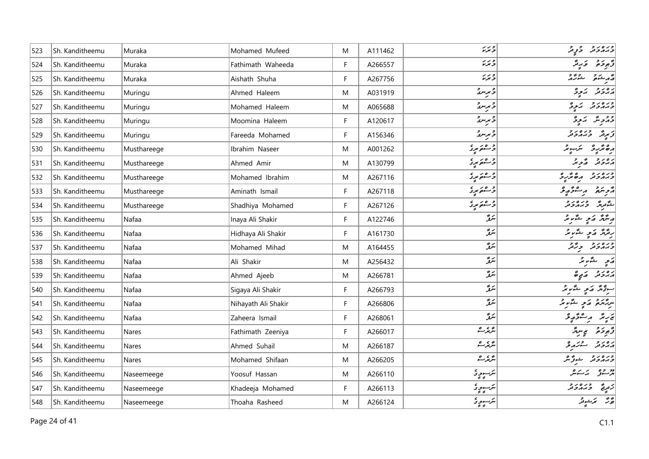| 523 | Sh. Kanditheemu | Muraka       | Mohamed Mufeed      | M           | A111462 | ويرز                                | دبرورو دوپه                                                                                                                                                                                                                                                                                                                                                                                                                                                                        |
|-----|-----------------|--------------|---------------------|-------------|---------|-------------------------------------|------------------------------------------------------------------------------------------------------------------------------------------------------------------------------------------------------------------------------------------------------------------------------------------------------------------------------------------------------------------------------------------------------------------------------------------------------------------------------------|
| 524 | Sh. Kanditheemu | Muraka       | Fathimath Waheeda   | F           | A266557 | ويرز                                | وَجِعِدَهُ وَرِيْدَ                                                                                                                                                                                                                                                                                                                                                                                                                                                                |
| 525 | Sh. Kanditheemu | Muraka       | Aishath Shuha       | F.          | A267756 | ويرز                                | ه دشتوم شورد و<br>مهر شوم شور در                                                                                                                                                                                                                                                                                                                                                                                                                                                   |
| 526 | Sh. Kanditheemu | Muringu      | Ahmed Haleem        | M           | A031919 | <br> خ.سر سمه<br>                   | أرور والمتحر                                                                                                                                                                                                                                                                                                                                                                                                                                                                       |
| 527 | Sh. Kanditheemu | Muringu      | Mohamed Haleem      | M           | A065688 | وتمرسو                              | ورەر د پرچ                                                                                                                                                                                                                                                                                                                                                                                                                                                                         |
| 528 | Sh. Kanditheemu | Muringu      | Moomina Haleem      | F.          | A120617 | وحمرسر                              | دو پر بر دو                                                                                                                                                                                                                                                                                                                                                                                                                                                                        |
| 529 | Sh. Kanditheemu | Muringu      | Fareeda Mohamed     | $\mathsf F$ | A156346 | وحمرسر                              | تو دره دره<br>توسیر در در در                                                                                                                                                                                                                                                                                                                                                                                                                                                       |
| 530 | Sh. Kanditheemu | Musthareege  | Ibrahim Naseer      | M           | A001262 | د صمر سر<br>پرېدنو                  |                                                                                                                                                                                                                                                                                                                                                                                                                                                                                    |
| 531 | Sh. Kanditheemu | Musthareege  | Ahmed Amir          | M           | A130799 | و صدر پر<br>تر سوه <sub>میر</sub> ر |                                                                                                                                                                                                                                                                                                                                                                                                                                                                                    |
| 532 | Sh. Kanditheemu | Musthareege  | Mohamed Ibrahim     | M           | A267116 | د صمر سر<br>پر سمونه سر             | כמחכת תפתיכ                                                                                                                                                                                                                                                                                                                                                                                                                                                                        |
| 533 | Sh. Kanditheemu | Musthareege  | Aminath Ismail      | F           | A267118 | د صمر مر <sub>ي</sub>               | أأتربتهم وسنتواريخه                                                                                                                                                                                                                                                                                                                                                                                                                                                                |
| 534 | Sh. Kanditheemu | Musthareege  | Shadhiya Mohamed    | F.          | A267126 | د صدر پر <sup>ج</sup>               | شورهر وبره د و                                                                                                                                                                                                                                                                                                                                                                                                                                                                     |
| 535 | Sh. Kanditheemu | Nafaa        | Inaya Ali Shakir    | $\mathsf F$ | A122746 | سرد                                 | أويثنثر مأمج لمشربن                                                                                                                                                                                                                                                                                                                                                                                                                                                                |
| 536 | Sh. Kanditheemu | Nafaa        | Hidhaya Ali Shakir  | $\mathsf F$ | A161730 | سَرَدٌ                              | رقرقر الأبراء الشراء تر                                                                                                                                                                                                                                                                                                                                                                                                                                                            |
| 537 | Sh. Kanditheemu | Nafaa        | Mohamed Mihad       | M           | A164455 | ىترتر                               | ورەرو دېر                                                                                                                                                                                                                                                                                                                                                                                                                                                                          |
| 538 | Sh. Kanditheemu | Nafaa        | Ali Shakir          | ${\sf M}$   | A256432 | سروٌ                                | ړې شريد                                                                                                                                                                                                                                                                                                                                                                                                                                                                            |
| 539 | Sh. Kanditheemu | Nafaa        | Ahmed Ajeeb         | M           | A266781 | سَرَدٌ                              | رەر ئەرى                                                                                                                                                                                                                                                                                                                                                                                                                                                                           |
| 540 | Sh. Kanditheemu | Nafaa        | Sigaya Ali Shakir   | F           | A266793 | سَرَدٌ                              | سوتمگر كمي ڪيونگر                                                                                                                                                                                                                                                                                                                                                                                                                                                                  |
| 541 | Sh. Kanditheemu | Nafaa        | Nihayath Ali Shakir | F.          | A266806 | سروٌ                                |                                                                                                                                                                                                                                                                                                                                                                                                                                                                                    |
| 542 | Sh. Kanditheemu | Nafaa        | Zaheera Ismail      | $\mathsf F$ | A268061 | سروٌ                                | لى بەشر مەشقۇم بو                                                                                                                                                                                                                                                                                                                                                                                                                                                                  |
| 543 | Sh. Kanditheemu | Nares        | Fathimath Zeeniya   | F.          | A266017 | يىمى ھ                              | قَهِ وَءُ تَمْ سِرْدً                                                                                                                                                                                                                                                                                                                                                                                                                                                              |
| 544 | Sh. Kanditheemu | <b>Nares</b> | Ahmed Suhail        | M           | A266187 | متزبر مع                            | أرەر دىر دى                                                                                                                                                                                                                                                                                                                                                                                                                                                                        |
| 545 | Sh. Kanditheemu | <b>Nares</b> | Mohamed Shifaan     | M           | A266205 | متزبر ه                             | ورەرو ھۆش                                                                                                                                                                                                                                                                                                                                                                                                                                                                          |
| 546 | Sh. Kanditheemu | Naseemeege   | Yoosuf Hassan       | ${\sf M}$   | A266110 | ىگەسىۋى<br>ئىستىق                   | در حرو بر سەھر                                                                                                                                                                                                                                                                                                                                                                                                                                                                     |
| 547 | Sh. Kanditheemu | Naseemeege   | Khadeeja Mohamed    | $\mathsf F$ | A266113 | ىئەسىرى<br>مۇسىر                    | و ره ر و<br><i>د ب</i> رگرفر<br>ئرىرىم<br>ئ                                                                                                                                                                                                                                                                                                                                                                                                                                        |
| 548 | Sh. Kanditheemu | Naseemeege   | Thoaha Rasheed      | M           | A266124 | ىئەسىرى<br>مىز بىر                  | $\begin{array}{cc} \overline{\phantom{0}} & \phantom{\int_{\mathcal{L}^1}} & \phantom{\int_{\mathcal{L}^2}} & \phantom{\int_{\mathcal{L}^2}} & \phantom{\int_{\mathcal{L}^2}} & \phantom{\int_{\mathcal{L}^2}} & \phantom{\int_{\mathcal{L}^2}} & \phantom{\int_{\mathcal{L}^2}} & \phantom{\int_{\mathcal{L}^2}} & \phantom{\int_{\mathcal{L}^2}} & \phantom{\int_{\mathcal{L}^2}} & \phantom{\int_{\mathcal{L}^2}} & \phantom{\int_{\mathcal{L}^2}} & \phantom{\int_{\mathcal{L$ |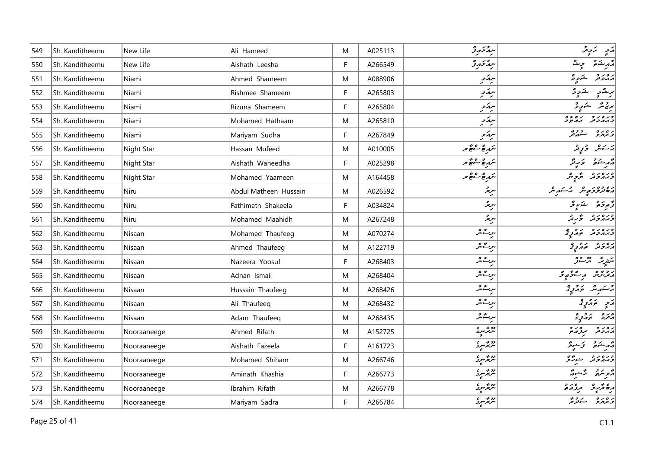| 549 | Sh. Kanditheemu | New Life    | Ali Hameed            | M         | A025113 | سرېز کورنځ                 | ړې پر <sub>و</sub> ړ                                 |
|-----|-----------------|-------------|-----------------------|-----------|---------|----------------------------|------------------------------------------------------|
| 550 | Sh. Kanditheemu | New Life    | Aishath Leesha        | F         | A266549 | بىرە ئۇرۇ                  | و مر شو د<br>مر<br>ح <sub>ر</sub> مدًّا<br>چ         |
| 551 | Sh. Kanditheemu | Niami       | Ahmed Shameem         | M         | A088906 | سرير                       | پروژو<br>ستورد                                       |
| 552 | Sh. Kanditheemu | Niami       | Rishmee Shameem       | F         | A265803 | سرير                       | ستورد<br>ىرىشىمى                                     |
| 553 | Sh. Kanditheemu | Niami       | Rizuna Shameem        | F         | A265804 | سرير                       | برې شر شکړې و                                        |
| 554 | Sh. Kanditheemu | Niami       | Mohamed Hathaam       | M         | A265810 | سرمر<br>سر                 | ر ه ۶ ه<br>بر د چ<br>و رە ر د<br><i>د بە</i> پەر تەر |
| 555 | Sh. Kanditheemu | Niami       | Mariyam Sudha         | F         | A267849 | سرير                       | ر ه ر ه<br><del>د</del> بربرگر<br>ستەرىخر            |
| 556 | Sh. Kanditheemu | Night Star  | Hassan Mufeed         | ${\sf M}$ | A010005 | سَم <i>رِ ڠ سُوڠ</i> بر    | پرسترس التاریخ                                       |
| 557 | Sh. Kanditheemu | Night Star  | Aishath Waheedha      | F         | A025298 | سَمَدِ ڇُ سُدِ ڇَ سَر      | ومديدة وريتمر                                        |
| 558 | Sh. Kanditheemu | Night Star  | Mohamed Yaameen       | M         | A164458 | ا <sub>سكىر</sub> غ شۇنىر  | ورەرو پەر                                            |
| 559 | Sh. Kanditheemu | Niru        | Abdul Matheen Hussain | M         | A026592 | سرچر                       |                                                      |
| 560 | Sh. Kanditheemu | Niru        | Fathimath Shakeela    | F         | A034824 | سرچر                       | قەر ئەرقى ئىسىم                                      |
| 561 | Sh. Kanditheemu | Niru        | Mohamed Maahidh       | M         | A267248 | سرچر                       | ورەر ئەر                                             |
| 562 | Sh. Kanditheemu | Nisaan      | Mohamed Thaufeeg      | M         | A070274 | ا <sub>سرىشىقى</sub><br>يە | ورەر د دوپى                                          |
| 563 | Sh. Kanditheemu | Nisaan      | Ahmed Thaufeeg        | ${\sf M}$ | A122719 | سرىستىر                    | د ه د د د و و<br>  د بر د د م د تړنی                 |
| 564 | Sh. Kanditheemu | Nisaan      | Nazeera Yoosuf        | F         | A268403 | سرىگەش                     | سَمْدِيرٌ مَرْحَسُورٌ                                |
| 565 | Sh. Kanditheemu | Nisaan      | Adnan Ismail          | M         | A268404 | اسرىقىقە                   |                                                      |
| 566 | Sh. Kanditheemu | Nisaan      | Hussain Thaufeeg      | M         | A268426 | سرىگىش                     | 2 سىمەمىر مىقرارىيە<br> -                            |
| 567 | Sh. Kanditheemu | Nisaan      | Ali Thaufeeg          | ${\sf M}$ | A268432 | البرجيم                    | أوسم والمحمد ويحي                                    |
| 568 | Sh. Kanditheemu | Nisaan      | Adam Thaufeeq         | M         | A268435 | امریشہ<br>پ                | پره روه<br>منرد م <i>وم</i> نځ                       |
| 569 | Sh. Kanditheemu | Nooraaneege | Ahmed Rifath          | M         | A152725 | دو پر<br>سربر سرپر         | ג ס ג כ<br>הגב تر - ת 2 ה ב                          |
| 570 | Sh. Kanditheemu | Nooraaneege | Aishath Fazeela       | F         | A161723 | دور مهر پر<br>سرچر سرچ     | ەرەبىئە ئەسىر                                        |
| 571 | Sh. Kanditheemu | Nooraaneege | Mohamed Shiham        | ${\sf M}$ | A266746 | دور په په<br>سرچرسرچ       | شەرگەنۇ<br>و رە ر د<br><i>د بر</i> بر تر             |
| 572 | Sh. Kanditheemu | Nooraaneege | Aminath Khashia       | F         | A266773 | دو په په<br>سربر سړند      | رَ ً شورَّ<br>أرمحه سرة                              |
| 573 | Sh. Kanditheemu | Nooraaneege | Ibrahim Rifath        | M         | A266778 | دور مهر پر<br>سرچر سرچ     | ەر ھەئرىر <i>د</i><br>بروژه                          |
| 574 | Sh. Kanditheemu | Nooraaneege | Mariyam Sadra         | F         | A266784 | چېر شرع<br>سر پېژمېرنگه    | رەرە بەدە                                            |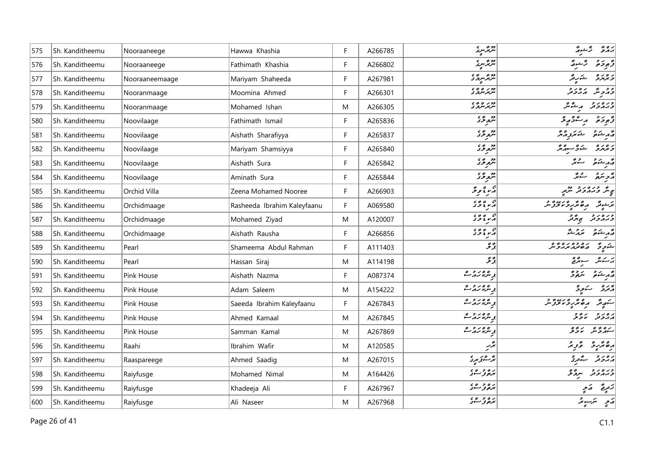| 575 | Sh. Kanditheemu | Nooraaneege    | Hawwa Khashia               | F. | A266785 | دوره برد.<br>مرتكز بريد             | رە بە<br>برادى<br>رَ ً شەرىج                    |
|-----|-----------------|----------------|-----------------------------|----|---------|-------------------------------------|-------------------------------------------------|
| 576 | Sh. Kanditheemu | Nooraaneege    | Fathimath Khashia           | F  | A266802 | تر پڑ <sub>سری</sub>                | ۇ بوزىر                                         |
| 577 | Sh. Kanditheemu | Nooraaneemaage | Mariyam Shaheeda            | F. | A267981 | دو پر دی<br>سرپر سرچري              | ر ه بر ه<br><del>د</del> بر بر د<br>سشورقر      |
| 578 | Sh. Kanditheemu | Nooranmaage    | Moomina Ahmed               | F. | A266301 | دد ره و د<br>سرپرسرو د              | پروژی<br>وړې پر                                 |
| 579 | Sh. Kanditheemu | Nooranmaage    | Mohamed Ishan               | Μ  | A266305 | دد ر ه و ،<br>سرپرسرچ ی             | و ره ر و<br><i>و پر</i> پر تر<br>ىرىشەشر        |
| 580 | Sh. Kanditheemu | Noovilaage     | Fathimath Ismail            | F  | A265836 | دد پر پر<br>سر <sub>گر</sub> بر بر  | ژوده پر شوړی                                    |
| 581 | Sh. Kanditheemu | Noovilaage     | Aishath Sharafiyya          | F  | A265837 | دو پرې<br>سرعر پرې                  | مەر شەڭ ھەمرومەر                                |
| 582 | Sh. Kanditheemu | Noovilaage     | Mariyam Shamsiyya           | F  | A265840 | دد د په<br>سرعر تر                  | رەرە دەرەر                                      |
| 583 | Sh. Kanditheemu | Noovilaage     | Aishath Sura                | F. | A265842 | دد پر ۽<br>سرع پر پر                | ۇرىشى ئىر<br>مەرىشى ئىر                         |
| 584 | Sh. Kanditheemu | Noovilaage     | Aminath Sura                | F. | A265844 | دد د د ،<br>متره د د                | أأروسكم فلتستعمر                                |
| 585 | Sh. Kanditheemu | Orchid Villa   | Zeena Mohamed Nooree        | F  | A266903 | م<br>مربع عرقته                     | بې پر دره درو <mark>دو</mark> ر                 |
| 586 | Sh. Kanditheemu | Orchidmaage    | Rasheeda Ibrahim Kaleyfaanu | F  | A069580 | م و و و و<br>مربع <del>و</del> و    | ىرىسى ھەمگەر 2022 -                             |
| 587 | Sh. Kanditheemu | Orchidmaage    | Mohamed Ziyad               | M  | A120007 |                                     | כנסנכ<br>כ <i>ג</i> ונכנ <sub>ע א</sub> ונע     |
| 588 | Sh. Kanditheemu | Orchidmaage    | Aishath Rausha              | F  | A266856 | م و و و و<br>مربو و د               | مەرىشقى ئىدىش                                   |
| 589 | Sh. Kanditheemu | Pearl          | Shameema Abdul Rahman       | F  | A111403 | پۇ بى<br>بۇ بىر                     | ر ه و ه د ه د ه و<br>پره تربر تر س<br>شكور و گر |
| 590 | Sh. Kanditheemu | Pearl          | Hassan Siraj                | Μ  | A114198 | بڑتر                                | ئەسەھەر سەبۇقى                                  |
| 591 | Sh. Kanditheemu | Pink House     | Aishath Nazma               | F. | A087374 | اب <sub>ې</sub> شر <i>ه د حر</i> حه | أشهر شدد المردون                                |
| 592 | Sh. Kanditheemu | Pink House     | Adam Saleem                 | M  | A154222 | ار مره بر د م                       | أربره سكورة                                     |
| 593 | Sh. Kanditheemu | Pink House     | Saeeda Ibrahim Kaleyfaanu   | F. | A267843 | ب <sub>ر</sub> مربر دیگر گ<br>مرب   | ם מישימים ברית.<br>תפייק בעיקריית<br>سە پەتىر   |
| 594 | Sh. Kanditheemu | Pink House     | Ahmed Kamaal                | Μ  | A267845 | و م <sup>ە</sup> رىر 2 ھ            | رەر دىر                                         |
| 595 | Sh. Kanditheemu | Pink House     | Samman Kamal                | Μ  | A267869 | بو مرد در مرد م                     | يەدە ئەدە                                       |
| 596 | Sh. Kanditheemu | Raahi          | Ibrahim Wafir               | M  | A120585 | پۇر                                 | رە ئۆر ئۇر ئو                                   |
| 597 | Sh. Kanditheemu | Raaspareege    | Ahmed Saadig                | M  | A267015 | ېژىش <sub>ۇر ئىرى</sub>             | رەرو ئەرو                                       |
| 598 | Sh. Kanditheemu | Raiyfusge      | Mohamed Nimal               | Μ  | A164426 | ر ه د ه ه<br>بروز سر                | سرڈ ٹر<br>و ره ر د<br><i>د ب</i> رگرفر          |
| 599 | Sh. Kanditheemu | Raiyfusge      | Khadeeja Ali                | F  | A267967 | ره ده وه<br>بروز سور                | ئرَىم <sub>و</sub> چَّ<br>ەنىپە                 |
| 600 | Sh. Kanditheemu | Raiyfusge      | Ali Naseer                  | M  | A267968 | ره د ه ه<br>بروز سور                | أرمي الكرسوم                                    |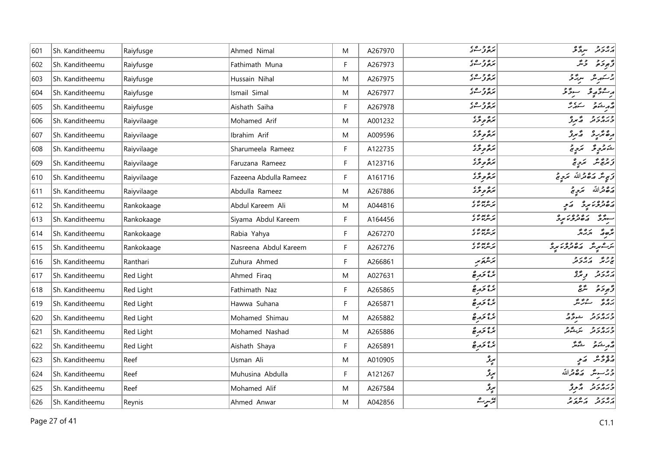| 601 | Sh. Kanditheemu | Raiyfusge        | Ahmed Nimal            | M           | A267970 | ره د ه ،<br>بروز سر                     | پروتر<br>سرپر ثو                                                                                                                                                                                                                 |
|-----|-----------------|------------------|------------------------|-------------|---------|-----------------------------------------|----------------------------------------------------------------------------------------------------------------------------------------------------------------------------------------------------------------------------------|
| 602 | Sh. Kanditheemu | Raiyfusge        | Fathimath Muna         | F           | A267973 | ر ه د ه ه<br>بروز سر                    | تر شر<br>و مرد<br>اقرام در م                                                                                                                                                                                                     |
| 603 | Sh. Kanditheemu | Raiyfusge        | Hussain Nihal          | M           | A267975 | ره د ه ،<br>بروز سر                     | رحسكر مركز                                                                                                                                                                                                                       |
| 604 | Sh. Kanditheemu | Raiyfusge        | Ismail Simal           | M           | A267977 | ره ده و،<br>بروو سور                    | ە ئەۋەبىرى سىردىمى<br>م                                                                                                                                                                                                          |
| 605 | Sh. Kanditheemu | Raiyfusge        | Aishath Saiha          | $\mathsf F$ | A267978 | ره د ه ،<br>بروز سر                     | و مرد د در در در مرد بر<br>در مشوره مستورگر                                                                                                                                                                                      |
| 606 | Sh. Kanditheemu | Raiyvilaage      | Mohamed Arif           | M           | A001232 | ره وي<br>مرهوم څو                       | ورەر د پرو                                                                                                                                                                                                                       |
| 607 | Sh. Kanditheemu | Raiyvilaage      | Ibrahim Arif           | M           | A009596 | بره و ځ <sup>ې</sup>                    | وەترىر ھېرو                                                                                                                                                                                                                      |
| 608 | Sh. Kanditheemu | Raiyvilaage      | Sharumeela Rameez      | F.          | A122735 | ره<br>بر <sub>هو</sub> و ژ <sub>ک</sub> |                                                                                                                                                                                                                                  |
| 609 | Sh. Kanditheemu | Raiyvilaage      | Faruzana Rameez        | F           | A123716 | ره<br>بره و ژی                          | ر دي پر برد و کار دي.<br>از برج پر برگرد ج                                                                                                                                                                                       |
| 610 | Sh. Kanditheemu | Raiyvilaage      | Fazeena Abdulla Rameez | F.          | A161716 | ره وي<br>مره و ژی                       | تربي مثَّر مَرْحَدْ اللَّهُ تَمَرَّدٍ مِنْ                                                                                                                                                                                       |
| 611 | Sh. Kanditheemu | Raiyvilaage      | Abdulla Rameez         | M           | A267886 | برە و ڈی                                | بره والله برديج                                                                                                                                                                                                                  |
| 612 | Sh. Kanditheemu | Rankokaage       | Abdul Kareem Ali       | M           | A044816 | ر ٥ پر <u>دی</u><br>بر سربر رک          | גם כסיק פ                                                                                                                                                                                                                        |
| 613 | Sh. Kanditheemu | Rankokaage       | Siyama Abdul Kareem    | F.          | A164456 | ر ۵ پر ۵ پر<br>برس را ر                 | - 10707 14                                                                                                                                                                                                                       |
| 614 | Sh. Kanditheemu | Rankokaage       | Rabia Yahya            | F.          | A267270 | ر ەيدىر<br>بىر سرىرىرى                  | $501$ $202$                                                                                                                                                                                                                      |
| 615 | Sh. Kanditheemu | Rankokaage       | Nasreena Abdul Kareem  | F           | A267276 | ر ەيدىر<br>بىرس ما ي                    | تر شمرینگ از ۱۵۶۵ مرد                                                                                                                                                                                                            |
| 616 | Sh. Kanditheemu | Ranthari         | Zuhura Ahmed           | F           | A266861 | ابتر متعدّمبر                           | و و په مره رو<br>پح <i>رنگ</i> مرکز کر                                                                                                                                                                                           |
| 617 | Sh. Kanditheemu | Red Light        | Ahmed Firaq            | M           | A027631 | برء بحرر ه                              | پروتر پیڅو                                                                                                                                                                                                                       |
| 618 | Sh. Kanditheemu | <b>Red Light</b> | Fathimath Naz          | F.          | A265865 | ے ہ پر ہ<br>مرد <del>پ</del> ر ہ        | سرچ<br>و مرد<br>اقرام در م                                                                                                                                                                                                       |
| 619 | Sh. Kanditheemu | Red Light        | Hawwa Suhana           | F           | A265871 | برة تزريح                               | برەپچ<br>سەرمىگە                                                                                                                                                                                                                 |
| 620 | Sh. Kanditheemu | Red Light        | Mohamed Shimau         | M           | A265882 | ے ہ ر ر ہ<br>مرد <del>قر</del> ر ہے     | ورەر د مەد<br><i>دىدە</i> ر تىن ھەر                                                                                                                                                                                              |
| 621 | Sh. Kanditheemu | <b>Red Light</b> | Mohamed Nashad         | M           | A265886 | برء بحرره                               | ورەر د سرشگ <sup>و</sup> د                                                                                                                                                                                                       |
| 622 | Sh. Kanditheemu | <b>Red Light</b> | Aishath Shaya          | F           | A265891 | ے ہ پر ہ<br>مرد <del>پ</del> ر ہ        | أقرم شوقر الشوقر                                                                                                                                                                                                                 |
| 623 | Sh. Kanditheemu | Reef             | Usman Ali              | M           | A010905 | ىيەتر                                   | وه و د کام                                                                                                                                                                                                                       |
| 624 | Sh. Kanditheemu | Reef             | Muhusina Abdulla       | F           | A121267 | ىپەتر                                   | وجر ويثر الاقتصالله                                                                                                                                                                                                              |
| 625 | Sh. Kanditheemu | Reef             | Mohamed Alif           | M           | A267584 | سميرتش                                  | وره در محمد محمد در المحمد المحمد المحمد المحمد المحمد المحمد المحمد المحمد المحمد المحمد المحمد المحمد المحمد<br>المحمد المحمد المحمد المحمد المحمد المحمد المحمد المحمد المحمد المحمد المحمد المحمد المحمد المحمد المحمد المحم |
| 626 | Sh. Kanditheemu | Reynis           | Ahmed Anwar            | M           | A042856 | ئۇسرىسە<br>                             | ג סג כ גם גב<br>הגבע השפת                                                                                                                                                                                                        |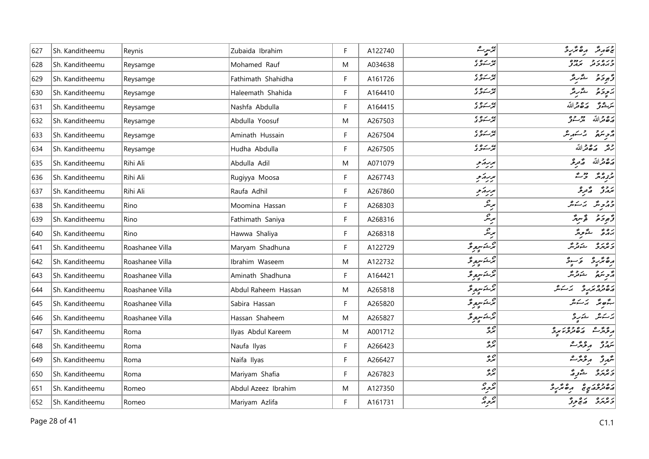| 627 | Sh. Kanditheemu | Reynis          | Zubaida Ibrahim     | F         | A122740 | ئۇسرىسە                    | وە ئۆرۈ<br>چ ئەمرىتر<br>ئ                              |
|-----|-----------------|-----------------|---------------------|-----------|---------|----------------------------|--------------------------------------------------------|
| 628 | Sh. Kanditheemu | Reysamge        | Mohamed Rauf        | M         | A034638 | ەر بەرە بى<br>ئىرسىۋى      | و ر ه ر د<br><i>و پر</i> پر تر<br>ر دد ه<br>بود تو     |
| 629 | Sh. Kanditheemu | Reysamge        | Fathimath Shahidha  | F         | A161726 | ەر بەرە بى<br>ئىرسىنىۋى    | ا تو بر در<br>ا<br>ستەرىتر                             |
| 630 | Sh. Kanditheemu | Reysamge        | Haleemath Shahida   | F         | A164410 | ەيمەسىرە ئ                 | مشرىر<br>ر<br>پروپره                                   |
| 631 | Sh. Kanditheemu | Reysamge        | Nashfa Abdulla      | F         | A164415 | ەر مەدە ي                  | مەھىراللە<br>سَرَحْشُوتَرَ                             |
| 632 | Sh. Kanditheemu | Reysamge        | Abdulla Yoosuf      | M         | A267503 | ەر مەدە ي                  | أرَهْ مَرْ اللَّهُ مَرْتَّعُوْ                         |
| 633 | Sh. Kanditheemu | Reysamge        | Aminath Hussain     | F         | A267504 | ی رے ہے<br>بوستوی          | أأترجع بمسكورهما                                       |
| 634 | Sh. Kanditheemu | Reysamge        | Hudha Abdulla       | F         | A267505 | ەر بەرە ئ                  | حقر وكافرالله                                          |
| 635 | Sh. Kanditheemu | Rihi Ali        | Abdulla Adil        | ${\sf M}$ | A071079 | ىرىرە ئو<br>ئەر            | ەھىراللە<br>ەگەرى                                      |
| 636 | Sh. Kanditheemu | Rihi Ali        | Rugiyya Moosa       | F         | A267743 | برردير                     | دو مشر<br>حر <sub>تو</sub> مرهر<br>مر <sub>تو</sub> مر |
| 637 | Sh. Kanditheemu | Rihi Ali        | Raufa Adhil         | F         | A267860 | برر بر بر<br>ر             | بردوش المحرف                                           |
| 638 | Sh. Kanditheemu | Rino            | Moomina Hassan      | F         | A268303 | بيرجمه                     | وأروش بركش                                             |
| 639 | Sh. Kanditheemu | Rino            | Fathimath Saniya    | F         | A268316 | بريثر                      | وَجوحَةً وَجُسِدَّ                                     |
| 640 | Sh. Kanditheemu | Rino            | Hawwa Shaliya       | F         | A268318 | بریمه                      | رەپ خۇمەر                                              |
| 641 | Sh. Kanditheemu | Roashanee Villa | Maryam Shadhuna     | F         | A122729 | ى<br>ئەسىس ئەسىر           | رەرە شەرەپە                                            |
| 642 | Sh. Kanditheemu | Roashanee Villa | Ibrahim Waseem      | ${\sf M}$ | A122732 | ە<br>ئىرىشەمبرىرىگر        | $rac{3}{5}$<br>ەر ھەتمەر 2<br>ر                        |
| 643 | Sh. Kanditheemu | Roashanee Villa | Aminath Shadhuna    | F         | A164421 | ترىئە يېرىدۇ.              | مەھ ئىقرىسى ئەرەپ                                      |
| 644 | Sh. Kanditheemu | Roashanee Villa | Abdul Raheem Hassan | ${\sf M}$ | A265818 | ئۇينەس <sub>ى</sub> پوقە   | גם כם גם גבות                                          |
| 645 | Sh. Kanditheemu | Roashanee Villa | Sabira Hassan       | F         | A265820 |                            | جو پر پر                                               |
| 646 | Sh. Kanditheemu | Roashanee Villa | Hassan Shaheem      | ${\sf M}$ | A265827 | جرىئە <sub>سرەب</sub> ەرگە | پرسکس اسکار و                                          |
| 647 | Sh. Kanditheemu | Roma            | Ilyas Abdul Kareem  | M         | A001712 | جرجح                       | פיצים גם בסיגם                                         |
| 648 | Sh. Kanditheemu | Roma            | Naufa Ilyas         | F         | A266423 | جربح                       | ىددۇ مەقەرم                                            |
| 649 | Sh. Kanditheemu | Roma            | Naifa Ilyas         | F         | A266427 | جرمح                       | أشمرز ويحترث                                           |
| 650 | Sh. Kanditheemu | Roma            | Mariyam Shafia      | F         | A267823 | جرمح                       | ر ه ر ه<br>د <del>ب</del> ربرگ<br>ستگورگ               |
| 651 | Sh. Kanditheemu | Romeo           | Abdul Azeez Ibrahim | M         | A127350 | لتحرجر                     |                                                        |
| 652 | Sh. Kanditheemu | Romeo           | Mariyam Azlifa      | F         | A161731 | لتعرجه                     | د ۱۵ د ۲۵ د و                                          |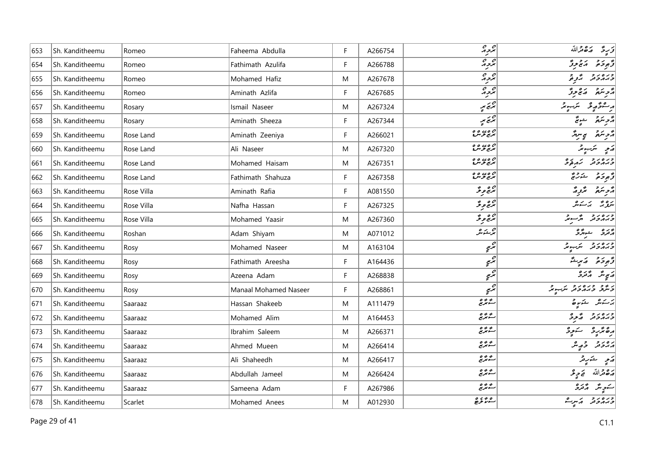| 653 | Sh. Kanditheemu | Romeo      | Faheema Abdulla       | F         | A266754 | لتحرجه                             | قريدة مكافرالله                                               |
|-----|-----------------|------------|-----------------------|-----------|---------|------------------------------------|---------------------------------------------------------------|
| 654 | Sh. Kanditheemu | Romeo      | Fathimath Azulifa     | F         | A266788 | لتحرجه                             | وتموذة المتمرو                                                |
| 655 | Sh. Kanditheemu | Romeo      | Mohamed Hafiz         | M         | A267678 | جرجره                              | ورەر دېر ب                                                    |
| 656 | Sh. Kanditheemu | Romeo      | Aminath Azlifa        | F         | A267685 | ە<br>ئىرىرىم                       | ەيج بور<br>ړ څر سره                                           |
| 657 | Sh. Kanditheemu | Rosary     | Ismail Naseer         | M         | A267324 | ج پر<br> تریخ سپ                   | ر جۇرچە سىبب                                                  |
| 658 | Sh. Kanditheemu | Rosary     | Aminath Sheeza        | F         | A267344 | ہ<br>تنزیح سمیہ                    |                                                               |
| 659 | Sh. Kanditheemu | Rose Land  | Aminath Zeeniya       | F         | A266021 | ە مەيدە <mark>ج</mark>             |                                                               |
| 660 | Sh. Kanditheemu | Rose Land  | Ali Naseer            | M         | A267320 | ە ەي ە ە<br>ئىرىنى ئۆسىيە          |                                                               |
| 661 | Sh. Kanditheemu | Rose Land  | Mohamed Haisam        | M         | A267351 | ہ ہ دے ہ ہ<br>مربح <del>فر</del> س | 22010 - 2017<br>22020 - 2018                                  |
| 662 | Sh. Kanditheemu | Rose Land  | Fathimath Shahuza     | F         | A267358 | 2 ء ۽ 2 م<br>  پرېبحر شرع          | و محمد المستورج                                               |
| 663 | Sh. Kanditheemu | Rose Villa | Aminath Rafia         | F         | A081550 | ترجم عرقحه                         | ړٌ پر سَرَو پُرو پَر                                          |
| 664 | Sh. Kanditheemu | Rose Villa | Nafha Hassan          | F         | A267325 | تریج عرقحه                         | بتروج برسكار                                                  |
| 665 | Sh. Kanditheemu | Rose Villa | Mohamed Yaasir        | M         | A267360 | تریج عرقحه                         | כנים ניב וקצייביות                                            |
| 666 | Sh. Kanditheemu | Roshan     | Adam Shiyam           | ${\sf M}$ | A071012 | ترىشەنتر                           | وره شوده<br>مرکزی شودگر                                       |
| 667 | Sh. Kanditheemu | Rosy       | Mohamed Naseer        | ${\sf M}$ | A163104 | تتربح                              | ورەرو شبرتر                                                   |
| 668 | Sh. Kanditheemu | Rosy       | Fathimath Areesha     | F         | A164436 | جرمج                               | و و در می انگیزینگی<br>و در می انگیزینگی<br>انگیزینگین انگران |
| 669 | Sh. Kanditheemu | Rosy       | Azeena Adam           | F         | A268838 | لقيمج                              |                                                               |
| 670 | Sh. Kanditheemu | Rosy       | Manaal Mohamed Naseer | F         | A268861 | اچېچ                               | ر ۶۶ - ۲۶۵۶۶ م.م.<br>د سرد و براروله سرمبوله                  |
| 671 | Sh. Kanditheemu | Saaraaz    | Hassan Shakeeb        | M         | A111479 | سەمىرى                             | $rac{1}{2}$                                                   |
| 672 | Sh. Kanditheemu | Saaraaz    | Mohamed Alim          | M         | A164453 | ستمترج                             | erore 2007                                                    |
| 673 | Sh. Kanditheemu | Saaraaz    | Ibrahim Saleem        | M         | A266371 | سەمىر                              | ەر ھەترىر <i>3</i><br>سەرد                                    |
| 674 | Sh. Kanditheemu | Saaraaz    | Ahmed Mueen           | M         | A266414 | شر پر ہ                            | رەرو دېھ                                                      |
| 675 | Sh. Kanditheemu | Saaraaz    | Ali Shaheedh          | M         | A266417 | سەپرى                              | أرشح المستشرية                                                |
| 676 | Sh. Kanditheemu | Saaraaz    | Abdullah Jameel       | M         | A266424 | ستمترج                             | برە دالله ق د ع                                               |
| 677 | Sh. Kanditheemu | Saaraaz    | Sameena Adam          | F         | A267986 | سەپرى                              | سَوِينَ الْمُعْرَفَ                                           |
| 678 | Sh. Kanditheemu | Scarlet    | Mohamed Anees         | M         | A012930 | ے پڑھ                              | ورەرو كەرب                                                    |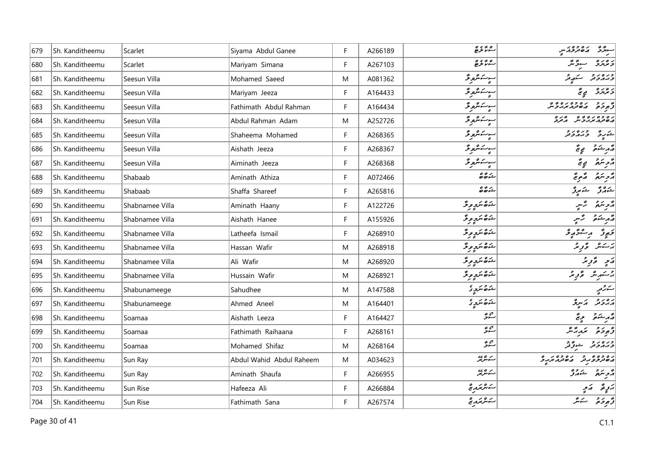| 679 | Sh. Kanditheemu | Scarlet         | Siyama Abdul Ganee       | F         | A266189 | ے پڑ نوچ                                                               | - المركز المقابلة المركز المركز المركز         |
|-----|-----------------|-----------------|--------------------------|-----------|---------|------------------------------------------------------------------------|------------------------------------------------|
| 680 | Sh. Kanditheemu | Scarlet         | Mariyam Simana           | F.        | A267103 | <u>ه ۶</u> پ <sup>ی</sup> و                                            | ر ه ر ه<br><del>و</del> بربرو<br>سومبر<br>پ    |
| 681 | Sh. Kanditheemu | Seesun Villa    | Mohamed Saeed            | M         | A081362 | سەسە ئىرى<br>ئ                                                         | و ر ه ر و<br>د بر پر <del>و</del> تر           |
| 682 | Sh. Kanditheemu | Seesun Villa    | Mariyam Jeeza            | F         | A164433 | سوسەھرىتى                                                              | ر ه ر ه<br><del>و</del> بربرو                  |
| 683 | Sh. Kanditheemu | Seesun Villa    | Fathimath Abdul Rahman   | F         | A164434 | سەسە ئىرى<br>ئ                                                         | ره وه ره ده<br>پره تربر تر س<br>و<br>ترج تر م  |
| 684 | Sh. Kanditheemu | Seesun Villa    | Abdul Rahman Adam        | M         | A252726 | بە ئەنگى <sub>م</sub> ۇ                                                | גם כם גם כם הכגם<br>השי <i>נה הגב</i> ית הינב  |
| 685 | Sh. Kanditheemu | Seesun Villa    | Shaheema Mohamed         | F         | A268365 | بېرىئىقبۇ                                                              | و ره ر د<br><i>د ب</i> رگرفر<br>ے کیے تھے<br>ت |
| 686 | Sh. Kanditheemu | Seesun Villa    | Aishath Jeeza            | F         | A268367 | سەسە ئىرى<br>ئ                                                         |                                                |
| 687 | Sh. Kanditheemu | Seesun Villa    | Aiminath Jeeza           | F         | A268368 | سەسە ئىرى <i>مۇ</i>                                                    | أثرمني<br>حج تج                                |
| 688 | Sh. Kanditheemu | Shabaab         | Aminath Athiza           | F         | A072466 | $\overset{\circ}{\circ} \overset{\circ}{\circ} \overset{\circ}{\cdot}$ | رحميح<br>أأروسه                                |
| 689 | Sh. Kanditheemu | Shabaab         | Shaffa Shareef           | F         | A265816 | $\overset{\circ}{\circ} \overset{\circ}{\circ} \overset{\circ}{\cdot}$ | شەھ تۇ<br>ىشكە موثۇ                            |
| 690 | Sh. Kanditheemu | Shabnamee Villa | Aminath Haany            | F         | A122726 | شەھ ئىز پە بۇ                                                          | و مرکز در دید.<br>مرکز مرکز در<br>ر<br>ر       |
| 691 | Sh. Kanditheemu | Shabnamee Villa | Aishath Hanee            | F         | A155926 | شەھ مىزى <sub>چە جە</sub> مۇ                                           | پ <sup>و</sup> پر شوې                          |
| 692 | Sh. Kanditheemu | Shabnamee Villa | Latheefa Ismail          | F         | A268910 | شەھ مىز چە بۇ                                                          | خويثر<br>رمەۋرپۇ                               |
| 693 | Sh. Kanditheemu | Shabnamee Villa | Hassan Wafir             | M         | A268918 | شەھ ئىزى <sub>چە جە</sub> مۇ                                           | برستهر<br>ۇرىر                                 |
| 694 | Sh. Kanditheemu | Shabnamee Villa | Ali Wafir                | ${\sf M}$ | A268920 | شەھ ئىر <sub>ىچە جە</sub> ئۇ                                           | ړنو څرنگ                                       |
| 695 | Sh. Kanditheemu | Shabnamee Villa | Hussain Wafir            | M         | A268921 | <br> شەھ ئىز پر برگر                                                   | بر سكر مكر التحرير                             |
| 696 | Sh. Kanditheemu | Shabunameege    | Sahudhee                 | M         | A147588 | ے کا مقرم کا م                                                         | سەرىسىيە                                       |
| 697 | Sh. Kanditheemu | Shabunameege    | Ahmed Aneel              | M         | A164401 | شەھ ئىزىر ئ                                                            | ر ه ر د<br>پر ژونر<br>ە ئىبرىۋ                 |
| 698 | Sh. Kanditheemu | Soamaa          | Aishath Leeza            | F         | A164427 | حيوته                                                                  | پ <sup>و</sup> پر ځوه<br>پر<br>حريج            |
| 699 | Sh. Kanditheemu | Soamaa          | Fathimath Raihaana       | F         | A268161 | حيوته                                                                  | ۋە ئەم ئىمە ئىگ                                |
| 700 | Sh. Kanditheemu | Soamaa          | Mohamed Shifaz           | M         | A268164 | يحبو                                                                   | وره د و شوگور<br>د بر د د کارنگر               |
| 701 | Sh. Kanditheemu | Sun Ray         | Abdul Wahid Abdul Raheem | M         | A034623 | سەمىرىپر                                                               | נסכסו כדי נסכסו ס<br>הסתיכפות הסתהיוגי         |
| 702 | Sh. Kanditheemu | Sun Ray         | Aminath Shaufa           | F         | A266955 | ر ۵ ،،،<br>سەسرىر                                                      | $rac{2}{3}$                                    |
| 703 | Sh. Kanditheemu | Sun Rise        | Hafeeza Ali              | F.        | A266884 | سەمىرىدى                                                               | برَوٍ پُرَ<br>رځ په                            |
| 704 | Sh. Kanditheemu | Sun Rise        | Fathimath Sana           | F         | A267574 | سەتىرى <i>مى</i> رى                                                    | ۇ بۇ دۇ سۇنئى                                  |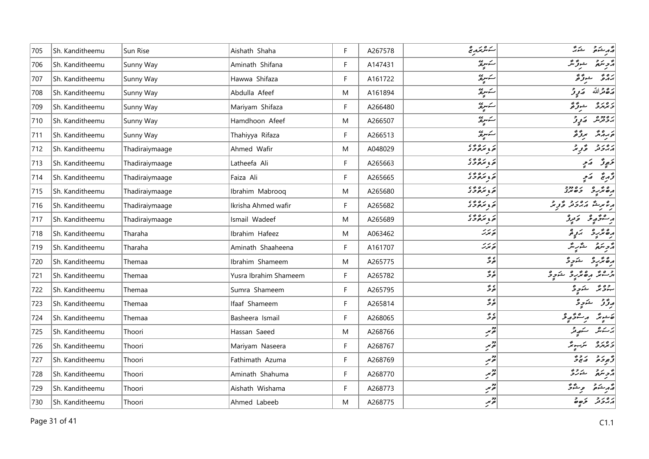| 705 | Sh. Kanditheemu | Sun Rise       | Aishath Shaha         | F         | A267578 | سە ئىرىر ئ                  | $\begin{array}{cc} \mathcal{L}_{\mathcal{L}} & \mathcal{L}_{\mathcal{L}} \\ \mathcal{L}_{\mathcal{L}} & \mathcal{L}_{\mathcal{L}} \end{array}$ |
|-----|-----------------|----------------|-----------------------|-----------|---------|-----------------------------|------------------------------------------------------------------------------------------------------------------------------------------------|
| 706 | Sh. Kanditheemu | Sunny Way      | Aminath Shifana       | F         | A147431 | سەمبەھ                      | ىشى <i>و ت</i> ۈنگر<br>$\frac{2}{3}$<br>$\frac{2}{3}$<br>$\frac{2}{3}$<br>$\frac{2}{3}$                                                        |
| 707 | Sh. Kanditheemu | Sunny Way      | Hawwa Shifaza         | F         | A161722 | سە يەرى<br>ئە               | شوڙهُ<br>پ                                                                                                                                     |
| 708 | Sh. Kanditheemu | Sunny Way      | Abdulla Afeef         | M         | A161894 | سە يېرىقە                   | ة صحرالله<br>ەروۋ                                                                                                                              |
| 709 | Sh. Kanditheemu | Sunny Way      | Mariyam Shifaza       | F         | A266480 | سەسرچە                      | ر ه ر ه<br>د بربر د<br>شووٌ <i>هُ</i>                                                                                                          |
| 710 | Sh. Kanditheemu | Sunny Way      | Hamdhoon Afeef        | M         | A266507 | سەبىرچە                     | پروژو په کرېږي                                                                                                                                 |
| 711 | Sh. Kanditheemu | Sunny Way      | Thahiyya Rifaza       | F         | A266513 | سە يەرى<br>ئە               | ەبەدە<br>ىرۇئۇ                                                                                                                                 |
| 712 | Sh. Kanditheemu | Thadiraiymaage | Ahmed Wafir           | M         | A048029 | ر<br>موءِ بمره و د د        | بر 2 بر 15<br>م. بر <del>5</del> تر<br>ۇرىمە                                                                                                   |
| 713 | Sh. Kanditheemu | Thadiraiymaage | Latheefa Ali          | F         | A265663 | ر<br>مو بره دی              | خوي<br>ەنىيە                                                                                                                                   |
| 714 | Sh. Kanditheemu | Thadiraiymaage | Faiza Ali             | F         | A265665 | ر<br>می ترم دی              | ەكىپىيە                                                                                                                                        |
| 715 | Sh. Kanditheemu | Thadiraiymaage | Ibrahim Mabrooq       | M         | A265680 | ر<br>مو بره دی              | ر ۵ وو د<br>تر ت مرتم                                                                                                                          |
| 716 | Sh. Kanditheemu | Thadiraiymaage | Ikrisha Ahmed wafir   | F.        | A265682 | ر<br>مو بره دی              | رەر ئە ئەر ئە                                                                                                                                  |
| 717 | Sh. Kanditheemu | Thadiraiymaage | Ismail Wadeef         | M         | A265689 | ر به ره و ،<br>مونتر ده د د | وحقيق وترو                                                                                                                                     |
| 718 | Sh. Kanditheemu | Tharaha        | Ibrahim Hafeez        | M         | A063462 | ە ئەر                       | دە ئۈرۈ<br>برَوٍةُو                                                                                                                            |
| 719 | Sh. Kanditheemu | Tharaha        | Aminath Shaaheena     | F         | A161707 | ەئەر                        | أأرمز<br>ىشترىرىتى                                                                                                                             |
| 720 | Sh. Kanditheemu | Themaa         | Ibrahim Shameem       | M         | A265775 | ج ج<br>حوتر                 | $rac{1}{2}$<br>شَوود                                                                                                                           |
| 721 | Sh. Kanditheemu | Themaa         | Yusra Ibrahim Shameem | F         | A265782 | ج حج<br>حو                  |                                                                                                                                                |
| 722 | Sh. Kanditheemu | Themaa         | Sumra Shameem         | F         | A265795 | ې بح                        | بەۋىر<br>ستوود                                                                                                                                 |
| 723 | Sh. Kanditheemu | Themaa         | Ifaaf Shameem         | F         | A265814 | ج ج<br>حو                   | ە ۋۇ<br>شکو و و                                                                                                                                |
| 724 | Sh. Kanditheemu | Themaa         | Basheera Ismail       | F         | A268065 | ې بح                        | وحدة ويحر<br>ەھسىدىگر                                                                                                                          |
| 725 | Sh. Kanditheemu | Thoori         | Hassan Saeed          | ${\sf M}$ | A268766 | ودير                        | ىزىكىش سكھيەتر                                                                                                                                 |
| 726 | Sh. Kanditheemu | Thoori         | Mariyam Naseera       | F         | A268767 | دد<br>حومر                  | دەرە شبىر                                                                                                                                      |
| 727 | Sh. Kanditheemu | Thoori         | Fathimath Azuma       | F         | A268769 | ود<br>حوسر                  | ەسىمى<br>و مر د<br>ترمونه م                                                                                                                    |
| 728 | Sh. Kanditheemu | Thoori         | Aminath Shahuma       | F         | A268770 | دد<br>حوسر                  | أأدمر المنافرة                                                                                                                                 |
| 729 | Sh. Kanditheemu | Thoori         | Aishath Wishama       | F         | A268773 | لعقيمه                      | و مر شو د<br>مرم شو د<br>ح مشترگر                                                                                                              |
| 730 | Sh. Kanditheemu | Thoori         | Ahmed Labeeb          | ${\sf M}$ | A268775 | دد<br>حومبر                 | رەرد ئەڭ                                                                                                                                       |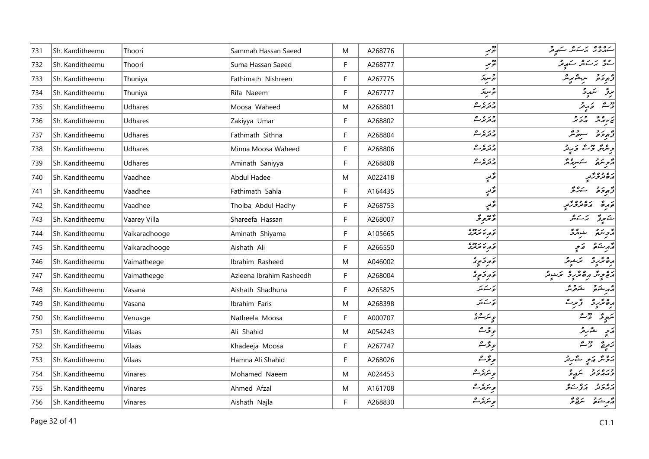| 731 | Sh. Kanditheemu | Thoori         | Sammah Hassan Saeed      | M         | A268776 | ودير                               | رەمەدە برىكى ئەرە                            |
|-----|-----------------|----------------|--------------------------|-----------|---------|------------------------------------|----------------------------------------------|
| 732 | Sh. Kanditheemu | Thoori         | Suma Hassan Saeed        | F         | A268777 | ودير                               | ر ده بر ره مرسم کرد د                        |
| 733 | Sh. Kanditheemu | Thuniya        | Fathimath Nishreen       | F         | A267775 | قحم سربر                           | ۇۋۇۋ سېھىم ئى                                |
| 734 | Sh. Kanditheemu | Thuniya        | Rifa Naeem               | F         | A267777 | هو سرهرَ                           | بروٌ سَمِدٍ                                  |
| 735 | Sh. Kanditheemu | Udhares        | Moosa Waheed             | M         | A268801 | ژبر پر ه<br>  پر تعریب             | لترشح توريتر                                 |
| 736 | Sh. Kanditheemu | Udhares        | Zakiyya Umar             | F         | A268802 | دیر ی ه                            |                                              |
| 737 | Sh. Kanditheemu | Udhares        | Fathmath Sithna          | F         | A268804 | ە ئەرىئە ھ                         | أُوَّ مِرْدَةٌ مُسْتَمَرَّةٌ مِنْ            |
| 738 | Sh. Kanditheemu | <b>Udhares</b> | Minna Moosa Waheed       | F         | A268806 | د ر ، م<br>مرمرسه                  | دِ عربته وحرفه الله الله عن الله             |
| 739 | Sh. Kanditheemu | <b>Udhares</b> | Aminath Saniyya          | F         | A268808 | ج پر پ <sub>ر</sub> ص              | أرمز<br>سەسەر                                |
| 740 | Sh. Kanditheemu | Vaadhee        | <b>Abdul Hadee</b>       | M         | A022418 | حٌسٍ                               | ر ه د ه و په<br>د ه مرمر ترمړ                |
| 741 | Sh. Kanditheemu | Vaadhee        | Fathimath Sahla          | F         | A164435 | ر<br>ح م <sub>ي</sub>              | ۇي <sub>و</sub> دۇ سەرۋ                      |
| 742 | Sh. Kanditheemu | Vaadhee        | Thoiba Abdul Hadhy       | F         | A268753 | ر<br>ح م <sub>ي</sub>              | ڔ<br><u>ۄ</u> ؙڔؗۄٞ؊ۄڗڕڗڔ                    |
| 743 | Sh. Kanditheemu | Vaarey Villa   | Shareefa Hassan          | F         | A268007 | و پر <sub>وگ</sub>                 | شكرونج الكاسكون                              |
| 744 | Sh. Kanditheemu | Vaikaradhooge  | Aminath Shiyama          | F         | A105665 | <br>  تەمرىم ئىرتىرى               | أأدوسكم والمحمر                              |
| 745 | Sh. Kanditheemu | Vaikaradhooge  | Aishath Ali              | F         | A266550 | تەرىئە ئىزدىرى<br>  تەرىئە ئىزدىرى | أقهر مشتوق أقدمي                             |
| 746 | Sh. Kanditheemu | Vaimatheege    | Ibrahim Rasheed          | M         | A046002 | ر<br>د مرځ مونه                    |                                              |
| 747 | Sh. Kanditheemu | Vaimatheege    | Azleena Ibrahim Rasheedh | F         | A268004 | ر<br>وګړو <sub>وو</sub>            | גם קבית תפית כל תייינת                       |
| 748 | Sh. Kanditheemu | Vasana         | Aishath Shadhuna         | F         | A265825 | ئەسە ئىر                           | ە<br>مەرشەم شەرىر                            |
| 749 | Sh. Kanditheemu | Vasana         | Ibrahim Faris            | M         | A268398 | ئەسەئىر                            | ەھترىرى ئ <sub>ەترى</sub>                    |
| 750 | Sh. Kanditheemu | Venusge        | Natheela Moosa           | F         | A000707 | وپئرسى                             | ىئەدىگە<br>درمیز                             |
| 751 | Sh. Kanditheemu | Vilaas         | Ali Shahid               | ${\sf M}$ | A054243 | اروثة                              | ړې شرير<br>مړينې                             |
| 752 | Sh. Kanditheemu | Vilaas         | Khadeeja Moosa           | F         | A267747 | ە ئۇش                              | أَرْسِعَ وَمَسَّمَّ                          |
| 753 | Sh. Kanditheemu | Vilaas         | Hamna Ali Shahid         | F         | A268026 | ءِ پُرُ م                          | رَوْنَزْ مَيْ حَرْبَرْ                       |
| 754 | Sh. Kanditheemu | Vinares        | Mohamed Naeem            | ${\sf M}$ | A024453 | <sub>ع</sub> بىر ئە <sup>م</sup>   | ورەر دىم ئە                                  |
| 755 | Sh. Kanditheemu | Vinares        | Ahmed Afzal              | M         | A161708 | مریز ک                             | رەرد رەپرە                                   |
| 756 | Sh. Kanditheemu | Vinares        | Aishath Najla            | F         | A268830 | ويتربئرك                           | و در شوم در در دیگر<br>در مرکز شومی سرچ مرکز |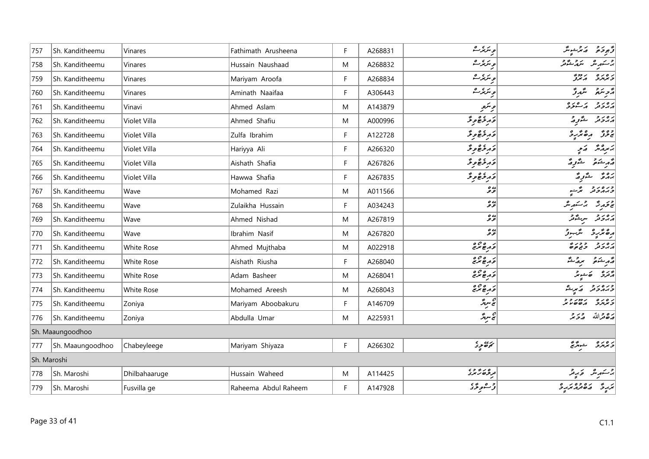| 757         | Sh. Kanditheemu  | Vinares           | Fathimath Arusheena  | F         | A268831 | ە ئىر ئۈرگە                 | قهودة متمشيش                                     |
|-------------|------------------|-------------------|----------------------|-----------|---------|-----------------------------|--------------------------------------------------|
| 758         | Sh. Kanditheemu  | <b>Vinares</b>    | Hussain Naushaad     | M         | A268832 | ە ئىر ئۈرگە                 | ج سے مرید متر شور                                |
| 759         | Sh. Kanditheemu  | Vinares           | Mariyam Aroofa       | F         | A268834 | <sub>ع</sub> سر پر م        | גם גם הבריבי                                     |
| 760         | Sh. Kanditheemu  | Vinares           | Aminath Naaifaa      | F         | A306443 | ە ئىر ئۈرگە                 | أأدجن المتمرز                                    |
| 761         | Sh. Kanditheemu  | Vinavi            | Ahmed Aslam          | M         | A143879 | ويترو                       | رەرد پەرەرە                                      |
| 762         | Sh. Kanditheemu  | Violet Villa      | Ahmed Shafiu         | ${\sf M}$ | A000996 | تەرىخ ھوڭر                  | دەر د ھەر ھ                                      |
| 763         | Sh. Kanditheemu  | Violet Villa      | Zulfa Ibrahim        | F         | A122728 | وَرِدْعْ وِدَّ              | برە ئۆرۈ<br>  ح ح ح<br>  س حر تر                 |
| 764         | Sh. Kanditheemu  | Violet Villa      | Hariyya Ali          | F         | A266320 | وَرِدْعْ وِدَّ              | يكروش وكمي                                       |
| 765         | Sh. Kanditheemu  | Violet Villa      | Aishath Shafia       | F         | A267826 | لتردفي وقر                  | مەر شىم ئىستى <i>ر قى</i>                        |
| 766         | Sh. Kanditheemu  | Violet Villa      | Hawwa Shafia         | F         | A267835 | وَرِدْعْ وِدَّ              | $rac{20}{200}$<br>شَّوَرٍ مَّ                    |
| 767         | Sh. Kanditheemu  | Wave              | Mohamed Razi         | ${\sf M}$ | A011566 | ړه ه<br>حرچ                 | و ر ه ر و<br>تر پر ژ تر                          |
| 768         | Sh. Kanditheemu  | Wave              | Zulaikha Hussain     | F         | A034243 | ړه<br>وگ                    | تحكم بمراكبه بالمستكر بالمراجر                   |
| 769         | Sh. Kanditheemu  | Wave              | Ahmed Nishad         | M         | A267819 | ړه ه<br>حرچ                 | رەر تەسىشى <i>ر</i>                              |
| 770         | Sh. Kanditheemu  | Wave              | Ibrahim Nasif        | ${\sf M}$ | A267820 | ءه<br>  حرح                 |                                                  |
| 771         | Sh. Kanditheemu  | <b>White Rose</b> | Ahmed Mujthaba       | ${\sf M}$ | A022918 | ر وه ه ه<br><i>و د</i> ه عر | ره رو دورد<br>درگر دوم                           |
| 772         | Sh. Kanditheemu  | White Rose        | Aishath Riusha       | F         | A268040 |                             | وكرم شكوه المروكسة                               |
| 773         | Sh. Kanditheemu  | White Rose        | Adam Basheer         | ${\sf M}$ | A268041 | ودیویو                      | أردره كالشويمر                                   |
| 774         | Sh. Kanditheemu  | White Rose        | Mohamed Areesh       | M         | A268043 |                             | وره د و رپه ده                                   |
| 775         | Sh. Kanditheemu  | Zoniya            | Mariyam Aboobakuru   | F         | A146709 | م<br>مع سرچ                 | 221331<br>KVOON<br>ر ه ر ه<br><del>د</del> بربرو |
| 776         | Sh. Kanditheemu  | Zoniya            | Abdulla Umar         | ${\sf M}$ | A225931 | تجسيرتمر                    | مَصْحَرَاللّه مُحَرَّمَ                          |
|             | Sh. Maaungoodhoo |                   |                      |           |         |                             |                                                  |
| 777         | Sh. Maaungoodhoo | Chabeyleege       | Mariyam Shiyaza      | F         | A266302 | ری د ؟<br>کوه د د           | ر ه ره شود.<br>د بربرو شوبری                     |
| Sh. Maroshi |                  |                   |                      |           |         |                             |                                                  |
| 778         | Sh. Maroshi      | Dhilbahaaruge     | Hussain Waheed       | ${\sf M}$ | A114425 | و د بر و د<br>ترنون ر بر د  | جەسىمبەر ئەرجى<br>مەسكىرىشى ئەرجىلى              |
| 779         | Sh. Maroshi      | Fusvilla ge       | Raheema Abdul Raheem | F         | A147928 | ۇ شەھ ۋې                    |                                                  |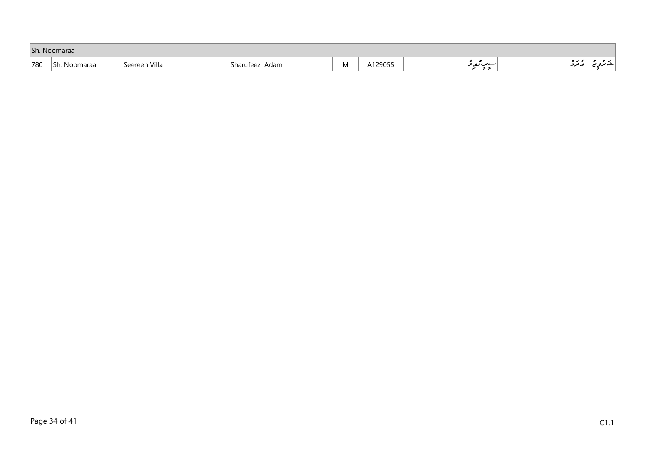|     | Sh. Noomaraa     |                 |                     |   |        |                                     |        |
|-----|------------------|-----------------|---------------------|---|--------|-------------------------------------|--------|
| 780 | ISh.<br>Noomaraa | Villa<br>APPRAP | Adam<br>sharufeez - | M | 129055 | سوبر سره و<br>$\tilde{\phantom{a}}$ | برقرحر |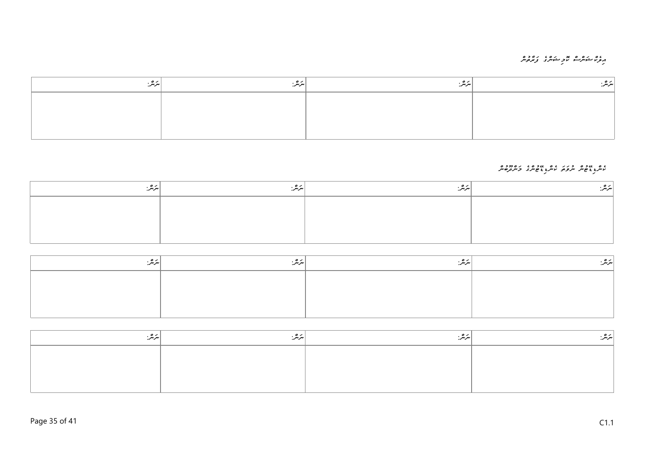## *w7qAn8m? sCw7mRo>u; wEw7mRw;sBo<*

| ' مرمر | 'يئرىثر: |
|--------|----------|
|        |          |
|        |          |
|        |          |

## *w7q9r@w7m> sCw7qHtFoFw7s; mAm=q7 w7qHtFoFw7s;*

| ىر تە | $\mathcal{O} \times$<br>$\sim$ | $\sim$<br>. . | لترنثر |
|-------|--------------------------------|---------------|--------|
|       |                                |               |        |
|       |                                |               |        |
|       |                                |               |        |

| انترنثر: | $^{\circ}$ | يبرهر | $^{\circ}$<br>سرسر |
|----------|------------|-------|--------------------|
|          |            |       |                    |
|          |            |       |                    |
|          |            |       |                    |

| ىرتىر: | 。<br>سر سر | .,<br>مرسر |
|--------|------------|------------|
|        |            |            |
|        |            |            |
|        |            |            |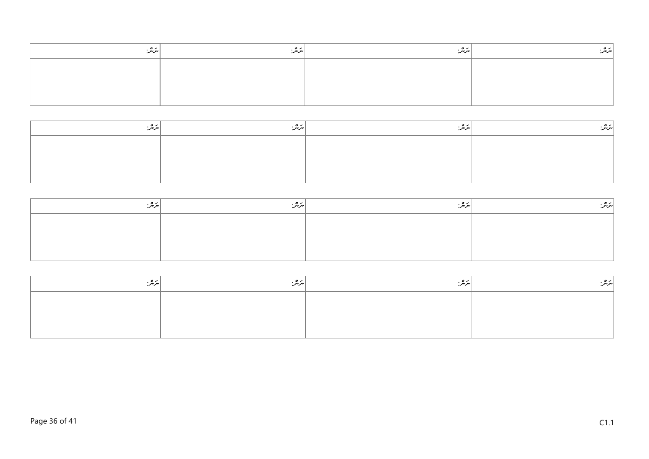| يزهر | $\mathcal{\mathcal{L}}$ | ىئرىتر: |  |
|------|-------------------------|---------|--|
|      |                         |         |  |
|      |                         |         |  |
|      |                         |         |  |

| <sup>.</sup> سرسر. |  |
|--------------------|--|
|                    |  |
|                    |  |
|                    |  |

| ىئرىتر. | $\sim$ | ا بر هه. | لىرىش |
|---------|--------|----------|-------|
|         |        |          |       |
|         |        |          |       |
|         |        |          |       |

| 。<br>مرس. | $\overline{\phantom{a}}$<br>مر مىر | يتريثر |
|-----------|------------------------------------|--------|
|           |                                    |        |
|           |                                    |        |
|           |                                    |        |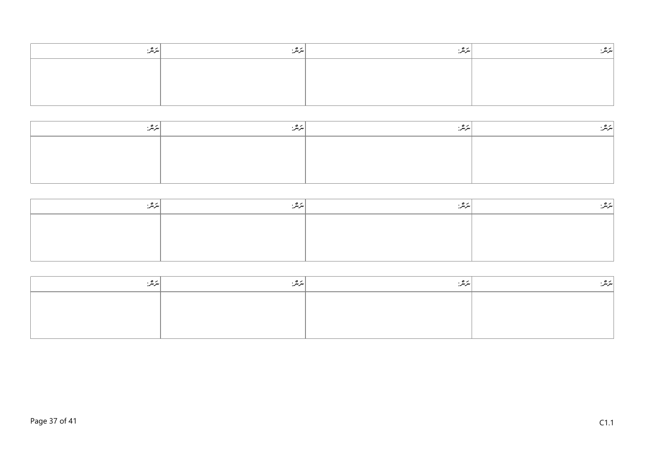| ير هو . | $\overline{\phantom{a}}$ | يرمر | اير هنه. |
|---------|--------------------------|------|----------|
|         |                          |      |          |
|         |                          |      |          |
|         |                          |      |          |

| ىبرىر. | $\sim$<br>ا سرسر . | يئرمثر | o . |
|--------|--------------------|--------|-----|
|        |                    |        |     |
|        |                    |        |     |
|        |                    |        |     |

| ابترىثر: | $\sim$<br>. . |  |
|----------|---------------|--|
|          |               |  |
|          |               |  |
|          |               |  |

|  | . ه |
|--|-----|
|  |     |
|  |     |
|  |     |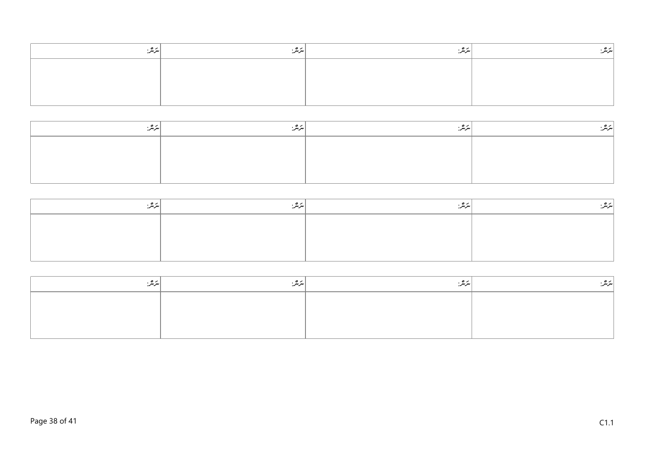| ير هو . | $\overline{\phantom{a}}$ | يرمر | اير هنه. |
|---------|--------------------------|------|----------|
|         |                          |      |          |
|         |                          |      |          |
|         |                          |      |          |

| ىبرىر. | $\sim$<br>ا سرسر . | يئرمثر | o . |
|--------|--------------------|--------|-----|
|        |                    |        |     |
|        |                    |        |     |
|        |                    |        |     |

| الترنثر: | ' مرتكز: | الترنثر: | .,<br>سرسر. |
|----------|----------|----------|-------------|
|          |          |          |             |
|          |          |          |             |
|          |          |          |             |

|  | . ه |
|--|-----|
|  |     |
|  |     |
|  |     |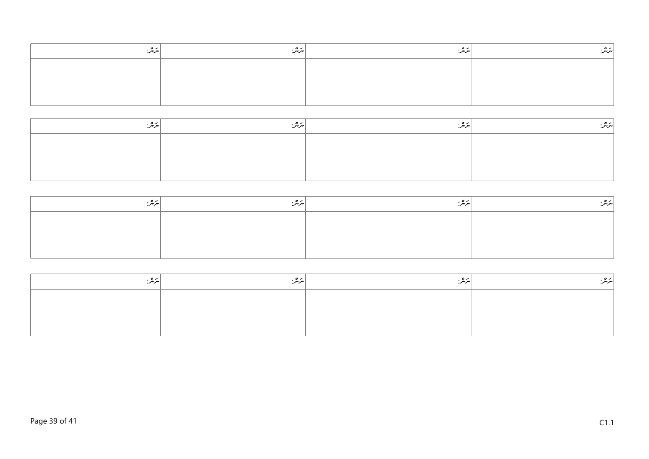| $\cdot$ | ο. | $\frac{\circ}{\cdot}$ | $\sim$<br>سرسر |
|---------|----|-----------------------|----------------|
|         |    |                       |                |
|         |    |                       |                |
|         |    |                       |                |

| ايرعر: | ر ه<br>. . |  |
|--------|------------|--|
|        |            |  |
|        |            |  |
|        |            |  |

| بر ه | 。 | $\sim$<br>َ سومس. |  |
|------|---|-------------------|--|
|      |   |                   |  |
|      |   |                   |  |
|      |   |                   |  |

| 。<br>. س | ىرىىر |  |
|----------|-------|--|
|          |       |  |
|          |       |  |
|          |       |  |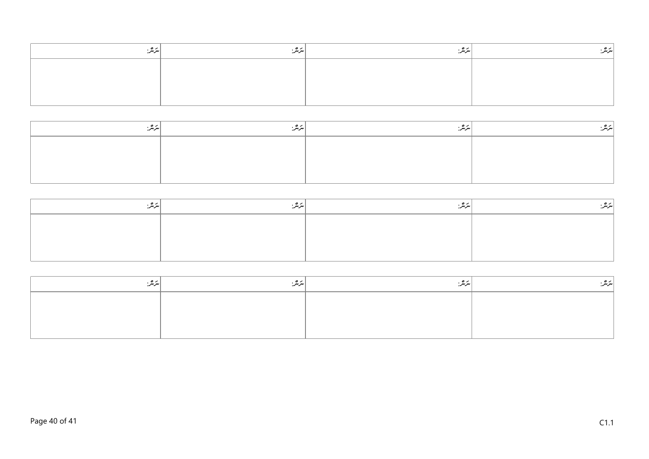| ير هو . | $\overline{\phantom{a}}$ | يرمر | لتزمثن |
|---------|--------------------------|------|--------|
|         |                          |      |        |
|         |                          |      |        |
|         |                          |      |        |

| ىبرىر. | $\sim$<br>ا سرسر . | يئرمثر | o . |
|--------|--------------------|--------|-----|
|        |                    |        |     |
|        |                    |        |     |
|        |                    |        |     |

| الترنثر: | ' مرتكز: | الترنثر: | .,<br>سرسر. |
|----------|----------|----------|-------------|
|          |          |          |             |
|          |          |          |             |
|          |          |          |             |

|  | . ه |
|--|-----|
|  |     |
|  |     |
|  |     |